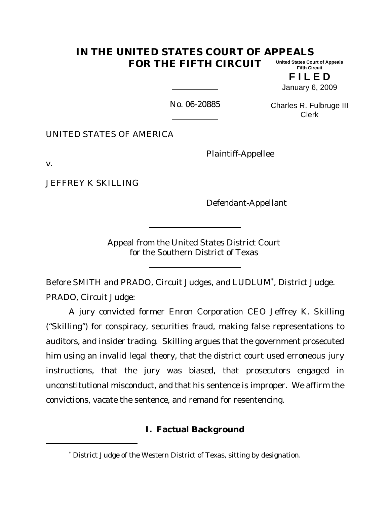#### **IN THE UNITED STATES COURT OF APPEALS FOR THE FIFTH CIRCUIT United States Court of Appeals Fifth Circuit**

**F I L E D** January 6, 2009

No. 06-20885

Charles R. Fulbruge III Clerk

UNITED STATES OF AMERICA

Plaintiff-Appellee

v.

JEFFREY K SKILLING

Defendant-Appellant

Appeal from the United States District Court for the Southern District of Texas

Before SMITH and PRADO, Circuit Judges, and LUDLUM\* , District Judge. PRADO, Circuit Judge:

A jury convicted former Enron Corporation CEO Jeffrey K. Skilling ("Skilling") for conspiracy, securities fraud, making false representations to auditors, and insider trading. Skilling argues that the government prosecuted him using an invalid legal theory, that the district court used erroneous jury instructions, that the jury was biased, that prosecutors engaged in unconstitutional misconduct, and that his sentence is improper. We affirm the convictions, vacate the sentence, and remand for resentencing.

**I. Factual Background**

<sup>\*</sup> District Judge of the Western District of Texas, sitting by designation.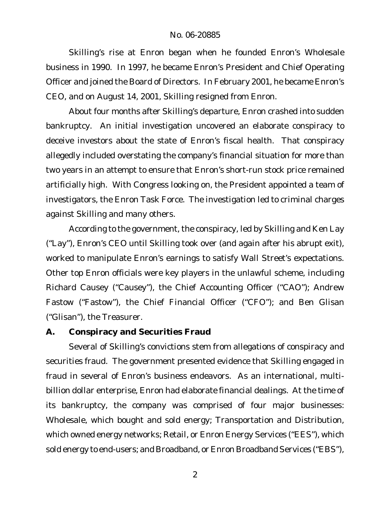Skilling's rise at Enron began when he founded Enron's Wholesale business in 1990. In 1997, he became Enron's President and Chief Operating Officer and joined the Board of Directors. In February 2001, he became Enron's CEO, and on August 14, 2001, Skilling resigned from Enron.

About four months after Skilling's departure, Enron crashed into sudden bankruptcy. An initial investigation uncovered an elaborate conspiracy to deceive investors about the state of Enron's fiscal health. That conspiracy allegedly included overstating the company's financial situation for more than two years in an attempt to ensure that Enron's short-run stock price remained artificially high. With Congress looking on, the President appointed a team of investigators, the Enron Task Force. The investigation led to criminal charges against Skilling and many others.

According to the government, the conspiracy, led by Skilling and Ken Lay ("Lay"), Enron's CEO until Skilling took over (and again after his abrupt exit), worked to manipulate Enron's earnings to satisfy Wall Street's expectations. Other top Enron officials were key players in the unlawful scheme, including Richard Causey ("Causey"), the Chief Accounting Officer ("CAO"); Andrew Fastow ("Fastow"), the Chief Financial Officer ("CFO"); and Ben Glisan ("Glisan"), the Treasurer.

## **A. Conspiracy and Securities Fraud**

Several of Skilling's convictions stem from allegations of conspiracy and securities fraud. The government presented evidence that Skilling engaged in fraud in several of Enron's business endeavors. As an international, multibillion dollar enterprise, Enron had elaborate financial dealings. At the time of its bankruptcy, the company was comprised of four major businesses: Wholesale, which bought and sold energy; Transportation and Distribution, which owned energy networks; Retail, or Enron Energy Services ("EES"), which sold energy to end-users; and Broadband, or Enron Broadband Services ("EBS"),

2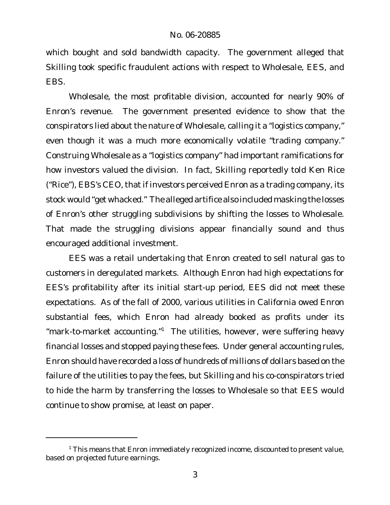which bought and sold bandwidth capacity. The government alleged that Skilling took specific fraudulent actions with respect to Wholesale, EES, and EBS.

Wholesale, the most profitable division, accounted for nearly 90% of Enron's revenue. The government presented evidence to show that the conspirators lied about the nature of Wholesale, calling it a "logistics company," even though it was a much more economically volatile "trading company." Construing Wholesale as a "logistics company" had important ramifications for how investors valued the division. In fact, Skilling reportedly told Ken Rice ("Rice"), EBS's CEO, that if investors perceived Enron as a trading company, its stock would "get whacked." The alleged artifice also included masking the losses of Enron's other struggling subdivisions by shifting the losses to Wholesale. That made the struggling divisions appear financially sound and thus encouraged additional investment.

EES was a retail undertaking that Enron created to sell natural gas to customers in deregulated markets. Although Enron had high expectations for EES's profitability after its initial start-up period, EES did not meet these expectations. As of the fall of 2000, various utilities in California owed Enron substantial fees, which Enron had already booked as profits under its "mark-to-market accounting."<sup>1</sup> The utilities, however, were suffering heavy financial losses and stopped paying these fees. Under general accounting rules, Enron should have recorded a loss of hundreds of millions of dollars based on the failure of the utilities to pay the fees, but Skilling and his co-conspirators tried to hide the harm by transferring the losses to Wholesale so that EES would continue to show promise, at least on paper.

 $1$  This means that Enron immediately recognized income, discounted to present value, based on projected future earnings.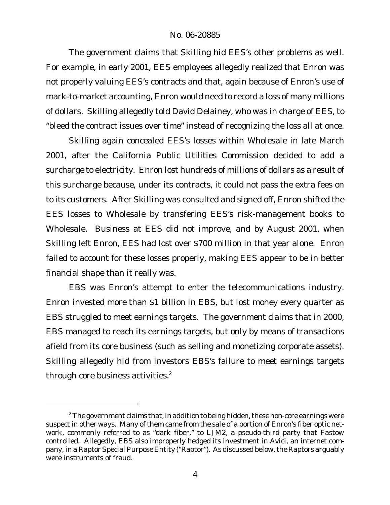The government claims that Skilling hid EES's other problems as well. For example, in early 2001, EES employees allegedly realized that Enron was not properly valuing EES's contracts and that, again because of Enron's use of mark-to-market accounting, Enron would need to record a loss of many millions of dollars. Skilling allegedly told David Delainey, who was in charge of EES, to "bleed the contract issues over time" instead of recognizing the loss all at once.

Skilling again concealed EES's losses within Wholesale in late March 2001, after the California Public Utilities Commission decided to add a surcharge to electricity. Enron lost hundreds of millions of dollars as a result of this surcharge because, under its contracts, it could not pass the extra fees on to its customers. After Skilling was consulted and signed off, Enron shifted the EES losses to Wholesale by transfering EES's risk-management books to Wholesale. Business at EES did not improve, and by August 2001, when Skilling left Enron, EES had lost over \$700 million in that year alone. Enron failed to account for these losses properly, making EES appear to be in better financial shape than it really was.

EBS was Enron's attempt to enter the telecommunications industry. Enron invested more than \$1 billion in EBS, but lost money every quarter as EBS struggled to meet earnings targets. The government claims that in 2000, EBS managed to reach its earnings targets, but only by means of transactions afield from its core business (such as selling and monetizing corporate assets). Skilling allegedly hid from investors EBS's failure to meet earnings targets through core business activities.<sup>2</sup>

 $2$  The government claims that, in addition to being hidden, these non-core earnings were suspect in other ways. Many of them came from the sale of a portion of Enron's fiber optic network, commonly referred to as "dark fiber," to LJM2, a pseudo-third party that Fastow controlled. Allegedly, EBS also improperly hedged its investment in Avici, an internet company, in a Raptor Special Purpose Entity ("Raptor"). As discussed below, the Raptors arguably were instruments of fraud.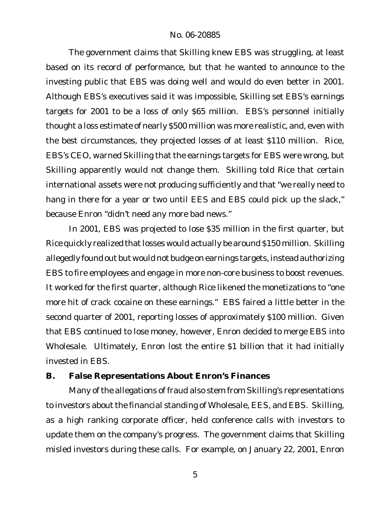#### No. 06-20885

The government claims that Skilling knew EBS was struggling, at least based on its record of performance, but that he wanted to announce to the investing public that EBS was doing well and would do even better in 2001. Although EBS's executives said it was impossible, Skilling set EBS's earnings targets for 2001 to be a loss of only \$65 million. EBS's personnel initially thought a loss estimate of nearly \$500 million was more realistic, and, even with the best circumstances, they projected losses of at least \$110 million. Rice, EBS's CEO, warned Skilling that the earnings targets for EBS were wrong, but Skilling apparently would not change them. Skilling told Rice that certain international assets were not producing sufficiently and that "we really need to hang in there for a year or two until EES and EBS could pick up the slack," because Enron "didn't need any more bad news."

In 2001, EBS was projected to lose \$35 million in the first quarter, but Rice quickly realized that losses would actually be around \$150 million. Skilling allegedly found out but would not budge on earnings targets, instead authorizing EBS to fire employees and engage in more non-core business to boost revenues. It worked for the first quarter, although Rice likened the monetizations to "one more hit of crack cocaine on these earnings." EBS faired a little better in the second quarter of 2001, reporting losses of approximately \$100 million. Given that EBS continued to lose money, however, Enron decided to merge EBS into Wholesale. Ultimately, Enron lost the entire \$1 billion that it had initially invested in EBS.

## **B. False Representations About Enron's Finances**

Many of the allegations of fraud also stem from Skilling's representations to investors about the financial standing of Wholesale, EES, and EBS. Skilling, as a high ranking corporate officer, held conference calls with investors to update them on the company's progress. The government claims that Skilling misled investors during these calls. For example, on January 22, 2001, Enron

5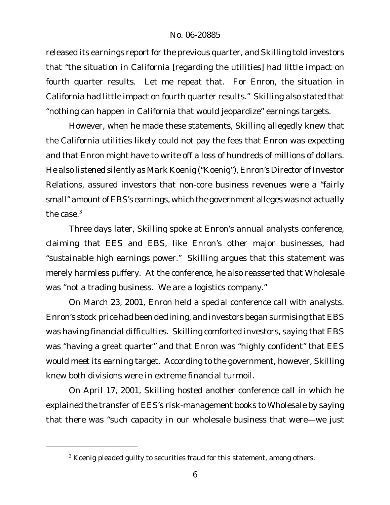released its earnings report for the previous quarter, and Skilling told investors that "the situation in California [regarding the utilities] had little impact on fourth quarter results. Let me repeat that. For Enron, the situation in California had little impact on fourth quarter results." Skilling also stated that "nothing can happen in California that would jeopardize" earnings targets.

However, when he made these statements, Skilling allegedly knew that the California utilities likely could not pay the fees that Enron was expecting and that Enron might have to write off a loss of hundreds of millions of dollars. He also listened silently as Mark Koenig ("Koenig"), Enron's Director of Investor Relations, assured investors that non-core business revenues were a "fairly small" amount of EBS's earnings, which the government alleges was not actually the case. $3$ 

Three days later, Skilling spoke at Enron's annual analysts conference, claiming that EES and EBS, like Enron's other major businesses, had "sustainable high earnings power." Skilling argues that this statement was merely harmless puffery. At the conference, he also reasserted that Wholesale was "not a trading business. We are a logistics company."

On March 23, 2001, Enron held a special conference call with analysts. Enron's stock price had been declining, and investors began surmising that EBS was having financial difficulties. Skilling comforted investors, saying that EBS was "having a great quarter" and that Enron was "highly confident" that EES would meet its earning target. According to the government, however, Skilling knew both divisions were in extreme financial turmoil.

On April 17, 2001, Skilling hosted another conference call in which he explained the transfer of EES's risk-management books to Wholesale by saying that there was "such capacity in our wholesale business that were—we just

<sup>&</sup>lt;sup>3</sup> Koenig pleaded quilty to securities fraud for this statement, among others.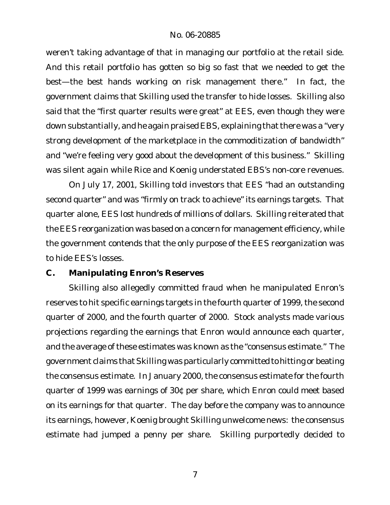weren't taking advantage of that in managing our portfolio at the retail side. And this retail portfolio has gotten so big so fast that we needed to get the best—the best hands working on risk management there." In fact, the government claims that Skilling used the transfer to hide losses. Skilling also said that the "first quarter results were great" at EES, even though they were down substantially, and he again praised EBS, explaining that there was a "very strong development of the marketplace in the commoditization of bandwidth" and "we're feeling very good about the development of this business." Skilling was silent again while Rice and Koenig understated EBS's non-core revenues.

On July 17, 2001, Skilling told investors that EES "had an outstanding second quarter" and was "firmly on track to achieve" its earnings targets. That quarter alone, EES lost hundreds of millions of dollars. Skilling reiterated that the EES reorganization was based on a concern for management efficiency, while the government contends that the only purpose of the EES reorganization was to hide EES's losses.

#### **C. Manipulating Enron's Reserves**

Skilling also allegedly committed fraud when he manipulated Enron's reserves to hit specific earnings targets in the fourth quarter of 1999, the second quarter of 2000, and the fourth quarter of 2000. Stock analysts made various projections regarding the earnings that Enron would announce each quarter, and the average of these estimates was known as the "consensus estimate." The government claims that Skilling was particularly committed to hitting or beating the consensus estimate. In January 2000, the consensus estimate for the fourth quarter of 1999 was earnings of 30¢ per share, which Enron could meet based on its earnings for that quarter. The day before the company was to announce its earnings, however, Koenig brought Skilling unwelcome news: the consensus estimate had jumped a penny per share. Skilling purportedly decided to

7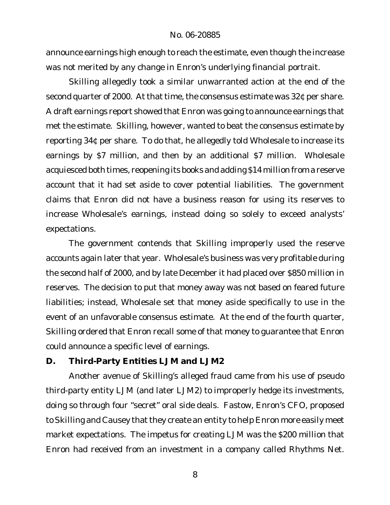announce earnings high enough to reach the estimate, even though the increase was not merited by any change in Enron's underlying financial portrait.

Skilling allegedly took a similar unwarranted action at the end of the second quarter of 2000. At that time, the consensus estimate was 32¢ per share. A draft earnings report showed that Enron was going to announce earnings that met the estimate. Skilling, however, wanted to beat the consensus estimate by reporting 34¢ per share. To do that, he allegedly told Wholesale to increase its earnings by \$7 million, and then by an additional \$7 million. Wholesale acquiesced both times, reopening its books and adding \$14 million from a reserve account that it had set aside to cover potential liabilities. The government claims that Enron did not have a business reason for using its reserves to increase Wholesale's earnings, instead doing so solely to exceed analysts' expectations.

The government contends that Skilling improperly used the reserve accounts again later that year. Wholesale's business was very profitable during the second half of 2000, and by late December it had placed over \$850 million in reserves. The decision to put that money away was not based on feared future liabilities; instead, Wholesale set that money aside specifically to use in the event of an unfavorable consensus estimate. At the end of the fourth quarter, Skilling ordered that Enron recall some of that money to guarantee that Enron could announce a specific level of earnings.

# **D. Third-Party Entities LJM and LJM2**

Another avenue of Skilling's alleged fraud came from his use of pseudo third-party entity LJM (and later LJM2) to improperly hedge its investments, doing so through four "secret" oral side deals. Fastow, Enron's CFO, proposed to Skilling and Causey that they create an entity to help Enron more easily meet market expectations. The impetus for creating LJM was the \$200 million that Enron had received from an investment in a company called Rhythms Net.

<sup>8</sup>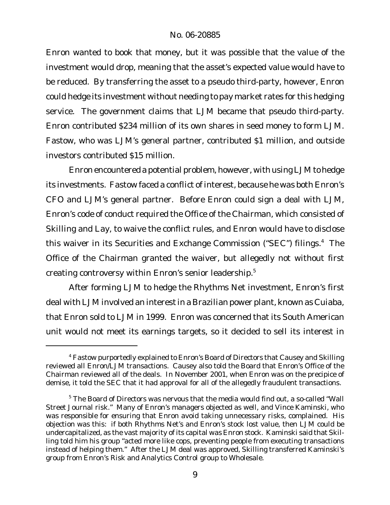Enron wanted to book that money, but it was possible that the value of the investment would drop, meaning that the asset's expected value would have to be reduced. By transferring the asset to a pseudo third-party, however, Enron could hedge its investment without needing to pay market rates for this hedging service. The government claims that LJM became that pseudo third-party. Enron contributed \$234 million of its own shares in seed money to form LJM. Fastow, who was LJM's general partner, contributed \$1 million, and outside investors contributed \$15 million.

Enron encountered a potential problem, however, with using LJM to hedge its investments. Fastow faced a conflict of interest, because he was both Enron's CFO and LJM's general partner. Before Enron could sign a deal with LJM, Enron's code of conduct required the Office of the Chairman, which consisted of Skilling and Lay, to waive the conflict rules, and Enron would have to disclose this waiver in its Securities and Exchange Commission ("SEC") filings.<sup>4</sup> The Office of the Chairman granted the waiver, but allegedly not without first creating controversy within Enron's senior leadership.<sup>5</sup>

After forming LJM to hedge the Rhythms Net investment, Enron's first deal with LJM involved an interest in a Brazilian power plant, known as Cuiaba, that Enron sold to LJM in 1999. Enron was concerned that its South American unit would not meet its earnings targets, so it decided to sell its interest in

<sup>4</sup> Fastow purportedly explained to Enron's Board of Directors that Causey and Skilling reviewed all Enron/LJM transactions. Causey also told the Board that Enron's Office of the Chairman reviewed all of the deals. In November 2001, when Enron was on the precipice of demise, it told the SEC that it had approval for all of the allegedly fraudulent transactions.

<sup>&</sup>lt;sup>5</sup> The Board of Directors was nervous that the media would find out, a so-called "Wall Street Journal risk." Many of Enron's managers objected as well, and Vince Kaminski, who was responsible for ensuring that Enron avoid taking unnecessary risks, complained. His objection was this: if both Rhythms Net's and Enron's stock lost value, then LJM could be undercapitalized, as the vast majority of its capital was Enron stock. Kaminski said that Skilling told him his group "acted more like cops, preventing people from executing transactions instead of helping them." After the LJM deal was approved, Skilling transferred Kaminski's group from Enron's Risk and Analytics Control group to Wholesale.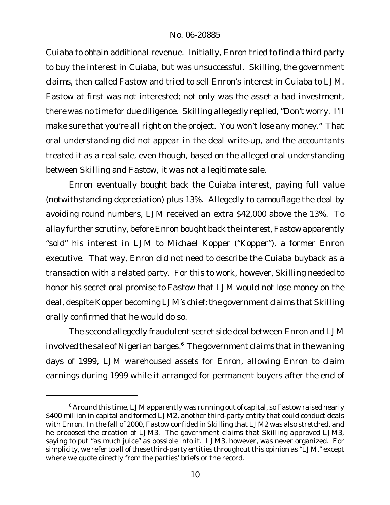Cuiaba to obtain additional revenue. Initially, Enron tried to find a third party to buy the interest in Cuiaba, but was unsuccessful. Skilling, the government claims, then called Fastow and tried to sell Enron's interest in Cuiaba to LJM. Fastow at first was not interested; not only was the asset a bad investment, there was no time for due diligence. Skilling allegedly replied, "Don't worry. I'll make sure that you're all right on the project. You won't lose any money." That oral understanding did not appear in the deal write-up, and the accountants treated it as a real sale, even though, based on the alleged oral understanding between Skilling and Fastow, it was not a legitimate sale.

Enron eventually bought back the Cuiaba interest, paying full value (notwithstanding depreciation) plus 13%. Allegedly to camouflage the deal by avoiding round numbers, LJM received an extra \$42,000 above the 13%. To allay further scrutiny, before Enron bought back the interest, Fastow apparently "sold" his interest in LJM to Michael Kopper ("Kopper"), a former Enron executive. That way, Enron did not need to describe the Cuiaba buyback as a transaction with a related party. For this to work, however, Skilling needed to honor his secret oral promise to Fastow that LJM would not lose money on the deal, despite Kopper becoming LJM's chief; the government claims that Skilling orally confirmed that he would do so.

The second allegedly fraudulent secret side deal between Enron and LJM involved the sale of Nigerian barges.<sup>6</sup> The government claims that in the waning days of 1999, LJM warehoused assets for Enron, allowing Enron to claim earnings during 1999 while it arranged for permanent buyers after the end of

<sup>&</sup>lt;sup>6</sup> Around this time, LJM apparently was running out of capital, so Fastow raised nearly \$400 million in capital and formed LJM2, another third-party entity that could conduct deals with Enron. In the fall of 2000, Fastow confided in Skilling that LJM2 was also stretched, and he proposed the creation of LJM3. The government claims that Skilling approved LJM3, saying to put "as much juice" as possible into it. LJM3, however, was never organized. For simplicity, we refer to all of these third-party entities throughout this opinion as "LJM," except where we quote directly from the parties' briefs or the record.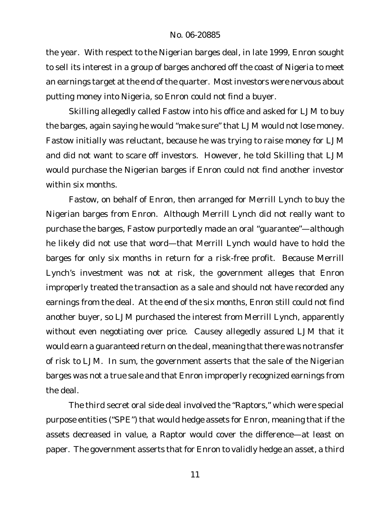the year. With respect to the Nigerian barges deal, in late 1999, Enron sought to sell its interest in a group of barges anchored off the coast of Nigeria to meet an earnings target at the end of the quarter. Most investors were nervous about putting money into Nigeria, so Enron could not find a buyer.

Skilling allegedly called Fastow into his office and asked for LJM to buy the barges, again saying he would "make sure" that LJM would not lose money. Fastow initially was reluctant, because he was trying to raise money for LJM and did not want to scare off investors. However, he told Skilling that LJM would purchase the Nigerian barges if Enron could not find another investor within six months.

Fastow, on behalf of Enron, then arranged for Merrill Lynch to buy the Nigerian barges from Enron. Although Merrill Lynch did not really want to purchase the barges, Fastow purportedly made an oral "guarantee"—although he likely did not use that word—that Merrill Lynch would have to hold the barges for only six months in return for a risk-free profit. Because Merrill Lynch's investment was not at risk, the government alleges that Enron improperly treated the transaction as a sale and should not have recorded any earnings from the deal. At the end of the six months, Enron still could not find another buyer, so LJM purchased the interest from Merrill Lynch, apparently without even negotiating over price. Causey allegedly assured LJM that it would earn a guaranteed return on the deal, meaning that there was no transfer of risk to LJM. In sum, the government asserts that the sale of the Nigerian barges was not a true sale and that Enron improperly recognized earnings from the deal.

The third secret oral side deal involved the "Raptors," which were special purpose entities ("SPE") that would hedge assets for Enron, meaning that if the assets decreased in value, a Raptor would cover the difference—at least on paper. The government asserts that for Enron to validly hedge an asset, a third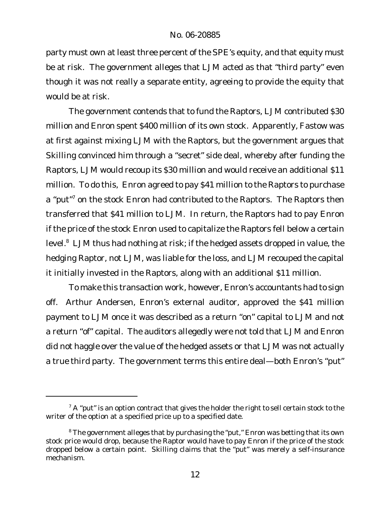party must own at least three percent of the SPE's equity, and that equity must be at risk. The government alleges that LJM acted as that "third party" even though it was not really a separate entity, agreeing to provide the equity that would be at risk.

The government contends that to fund the Raptors, LJM contributed \$30 million and Enron spent \$400 million of its own stock. Apparently, Fastow was at first against mixing LJM with the Raptors, but the government argues that Skilling convinced him through a "secret" side deal, whereby after funding the Raptors, LJM would recoup its \$30 million and would receive an additional \$11 million. To do this, Enron agreed to pay \$41 million to the Raptors to purchase a "put"<sup>7</sup> on the stock Enron had contributed to the Raptors. The Raptors then transferred that \$41 million to LJM. In return, the Raptors had to pay Enron if the price of the stock Enron used to capitalize the Raptors fell below a certain level.<sup>8</sup> LJM thus had nothing at risk; if the hedged assets dropped in value, the hedging Raptor, not LJM, was liable for the loss, and LJM recouped the capital it initially invested in the Raptors, along with an additional \$11 million.

To make this transaction work, however, Enron's accountants had to sign off. Arthur Andersen, Enron's external auditor, approved the \$41 million payment to LJM once it was described as a return "on" capital to LJM and not a return "of" capital. The auditors allegedly were not told that LJM and Enron did not haggle over the value of the hedged assets or that LJM was not actually a true third party. The government terms this entire deal—both Enron's "put"

 $7$  A "put" is an option contract that gives the holder the right to sell certain stock to the writer of the option at a specified price up to a specified date.

 $8$  The government alleges that by purchasing the "put," Enron was betting that its own stock price would drop, because the Raptor would have to pay Enron if the price of the stock dropped below a certain point. Skilling claims that the "put" was merely a self-insurance mechanism.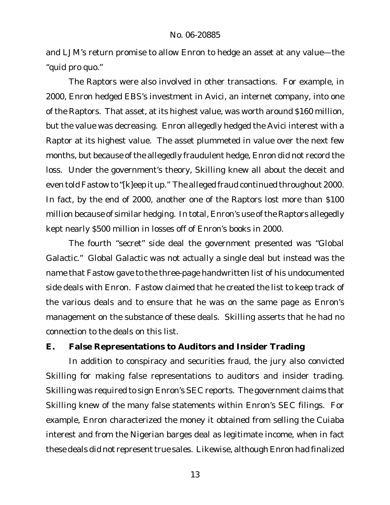and LJM's return promise to allow Enron to hedge an asset at any value—the "quid pro quo."

The Raptors were also involved in other transactions. For example, in 2000, Enron hedged EBS's investment in Avici, an internet company, into one of the Raptors. That asset, at its highest value, was worth around \$160 million, but the value was decreasing. Enron allegedly hedged the Avici interest with a Raptor at its highest value. The asset plummeted in value over the next few months, but because of the allegedly fraudulent hedge, Enron did not record the loss. Under the government's theory, Skilling knew all about the deceit and even told Fastow to "[k]eep it up." The alleged fraud continued throughout 2000. In fact, by the end of 2000, another one of the Raptors lost more than \$100 million because of similar hedging. In total, Enron's use of the Raptors allegedly kept nearly \$500 million in losses off of Enron's books in 2000.

The fourth "secret" side deal the government presented was "Global Galactic." Global Galactic was not actually a single deal but instead was the name that Fastow gave to the three-page handwritten list of his undocumented side deals with Enron. Fastow claimed that he created the list to keep track of the various deals and to ensure that he was on the same page as Enron's management on the substance of these deals. Skilling asserts that he had no connection to the deals on this list.

## **E. False Representations to Auditors and Insider Trading**

In addition to conspiracy and securities fraud, the jury also convicted Skilling for making false representations to auditors and insider trading. Skilling was required to sign Enron's SEC reports. The government claims that Skilling knew of the many false statements within Enron's SEC filings. For example, Enron characterized the money it obtained from selling the Cuiaba interest and from the Nigerian barges deal as legitimate income, when in fact these deals did not represent true sales. Likewise, although Enron had finalized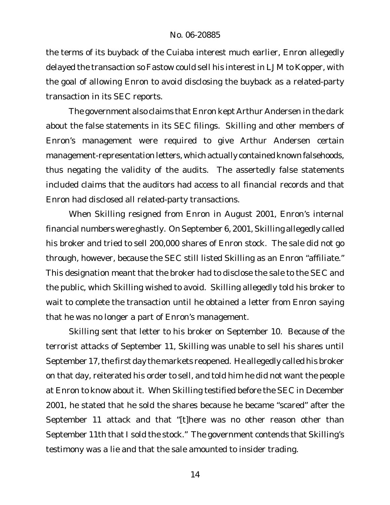the terms of its buyback of the Cuiaba interest much earlier, Enron allegedly delayed the transaction so Fastow could sell his interest in LJM to Kopper, with the goal of allowing Enron to avoid disclosing the buyback as a related-party transaction in its SEC reports.

The government also claims that Enron kept Arthur Andersen in the dark about the false statements in its SEC filings. Skilling and other members of Enron's management were required to give Arthur Andersen certain management-representation letters, which actually contained known falsehoods, thus negating the validity of the audits. The assertedly false statements included claims that the auditors had access to all financial records and that Enron had disclosed all related-party transactions.

When Skilling resigned from Enron in August 2001, Enron's internal financial numbers were ghastly. On September 6, 2001, Skilling allegedly called his broker and tried to sell 200,000 shares of Enron stock. The sale did not go through, however, because the SEC still listed Skilling as an Enron "affiliate." This designation meant that the broker had to disclose the sale to the SEC and the public, which Skilling wished to avoid. Skilling allegedly told his broker to wait to complete the transaction until he obtained a letter from Enron saying that he was no longer a part of Enron's management.

Skilling sent that letter to his broker on September 10. Because of the terrorist attacks of September 11, Skilling was unable to sell his shares until September 17, the first day the markets reopened. He allegedly called his broker on that day, reiterated his order to sell, and told him he did not want the people at Enron to know about it. When Skilling testified before the SEC in December 2001, he stated that he sold the shares because he became "scared" after the September 11 attack and that "[t]here was no other reason other than September 11th that I sold the stock." The government contends that Skilling's testimony was a lie and that the sale amounted to insider trading.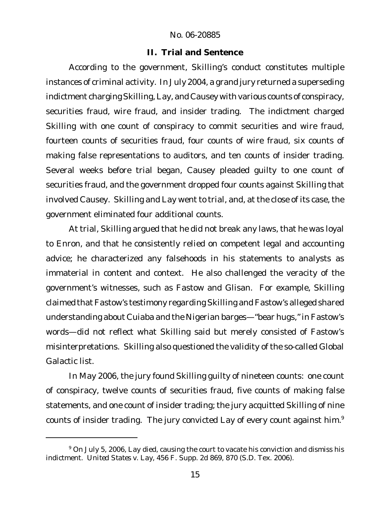## No. 06-20885

# **II. Trial and Sentence**

According to the government, Skilling's conduct constitutes multiple instances of criminal activity. In July 2004, a grand jury returned a superseding indictment charging Skilling, Lay, and Causey with various counts of conspiracy, securities fraud, wire fraud, and insider trading. The indictment charged Skilling with one count of conspiracy to commit securities and wire fraud, fourteen counts of securities fraud, four counts of wire fraud, six counts of making false representations to auditors, and ten counts of insider trading. Several weeks before trial began, Causey pleaded guilty to one count of securities fraud, and the government dropped four counts against Skilling that involved Causey. Skilling and Lay went to trial, and, at the close of its case, the government eliminated four additional counts.

At trial, Skilling argued that he did not break any laws, that he was loyal to Enron, and that he consistently relied on competent legal and accounting advice; he characterized any falsehoods in his statements to analysts as immaterial in content and context. He also challenged the veracity of the government's witnesses, such as Fastow and Glisan. For example, Skilling claimed thatFastow's testimony regarding Skilling and Fastow's alleged shared understanding about Cuiaba and the Nigerian barges—"bear hugs,"in Fastow's words—did not reflect what Skilling said but merely consisted of Fastow's misinterpretations. Skilling also questioned the validity of the so-called Global Galactic list.

In May 2006, the jury found Skilling guilty of nineteen counts: one count of conspiracy, twelve counts of securities fraud, five counts of making false statements, and one count of insider trading; the jury acquitted Skilling of nine counts of insider trading. The jury convicted Lay of every count against him.<sup>9</sup>

 $9$  On July 5, 2006, Lay died, causing the court to vacate his conviction and dismiss his indictment. *United States v. Lay*, 456 F. Supp. 2d 869, 870 (S.D. Tex. 2006).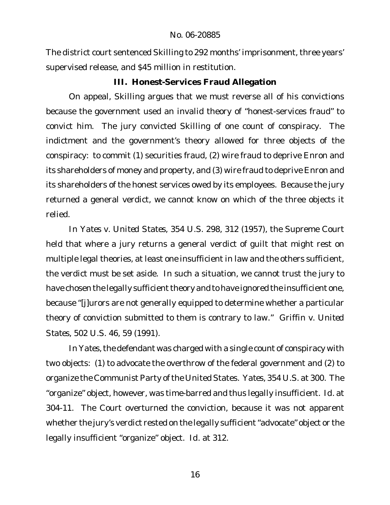The district court sentenced Skilling to 292 months' imprisonment, three years' supervised release, and \$45 million in restitution.

**III. Honest-Services Fraud Allegation**

On appeal, Skilling argues that we must reverse all of his convictions because the government used an invalid theory of "honest-services fraud" to convict him. The jury convicted Skilling of one count of conspiracy. The indictment and the government's theory allowed for three objects of the conspiracy: to commit (1) securities fraud, (2) wire fraud to deprive Enron and its shareholders of money and property, and (3) wire fraud to deprive Enron and its shareholders of the honest services owed by its employees. Because the jury returned a general verdict, we cannot know on which of the three objects it relied.

In *Yates v. United States*, 354 U.S. 298, 312 (1957), the Supreme Court held that where a jury returns a general verdict of guilt that might rest on multiple legal theories, at least one insufficient in law and the others sufficient, the verdict must be set aside. In such a situation, we cannot trust the jury to have chosen the legally sufficient theory and to have ignored the insufficient one, because "[j]urors are not generally equipped to determine whether a particular theory of conviction submitted to them is contrary to law." *Griffin v. United States*, 502 U.S. 46, 59 (1991).

In Yates, the defendant was charged with a single count of conspiracy with two objects: (1) to advocate the overthrow of the federal government and (2) to organize the Communist Party ofthe United States. *Yates*, 354 U.S. at 300. The "organize" object, however, was time-barred and thus legally insufficient. *Id.* at 304-11. The Court overturned the conviction, because it was not apparent whether the jury's verdict rested on the legally sufficient "advocate" object or the legally insufficient "organize" object. *Id.* at 312.

16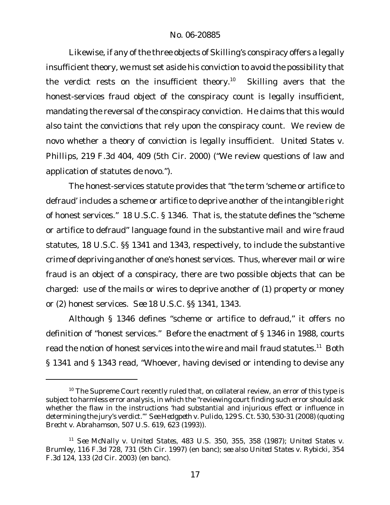Likewise, if any of the three objects of Skilling's conspiracy offers a legally insufficient theory, we must set aside his conviction to avoid the possibility that the verdict rests on the insufficient theory.<sup>10</sup> Skilling avers that the honest-services fraud object of the conspiracy count is legally insufficient, mandating the reversal of the conspiracy conviction. He claims that this would also taint the convictions that rely upon the conspiracy count. We review de novo whether a theory of conviction is legally insufficient. *United States v. Phillips*, 219 F.3d 404, 409 (5th Cir. 2000) ("We review questions of law and application of statutes *de novo*.").

The honest-services statute provides that "the term 'scheme or artifice to defraud' includes a scheme or artifice to deprive another of the intangible right of honest services." 18 U.S.C. § 1346. That is, the statute defines the "scheme or artifice to defraud" language found in the substantive mail and wire fraud statutes, 18 U.S.C. §§ 1341 and 1343, respectively, to include the substantive crime of depriving another of one's honest services. Thus, wherever mail or wire fraud is an object of a conspiracy, there are two possible objects that can be charged: use of the mails or wires to deprive another of (1) property or money or (2) honest services. *See* 18 U.S.C. §§ 1341, 1343.

Although § 1346 defines "scheme or artifice to defraud," it offers no definition of "honest services." Before the enactment of § 1346 in 1988, courts read the notion of honest services into the wire and mail fraud statutes.<sup>11</sup> Both § 1341 and § 1343 read, "Whoever, having devised or intending to devise any

 $10$  The Supreme Court recently ruled that, on collateral review, an error of this type is subject to harmless error analysis, in which the "reviewing court finding such error should ask whether the flaw in the instructions 'had substantial and injurious effect or influence in determining the jury's verdict.'" *See Hedgpeth v. Pulido*, 129 S. Ct. 530, 530-31 (2008) (quoting *Brecht v. Abrahamson*, 507 U.S. 619, 623 (1993)).

<sup>11</sup> *See McNally v. United States*, 483 U.S. 350, 355, 358 (1987); *United States v. Brumley*, 116 F.3d 728, 731 (5th Cir. 1997) (en banc); *see also United States v. Rybicki*, 354 F.3d 124, 133 (2d Cir. 2003) (en banc).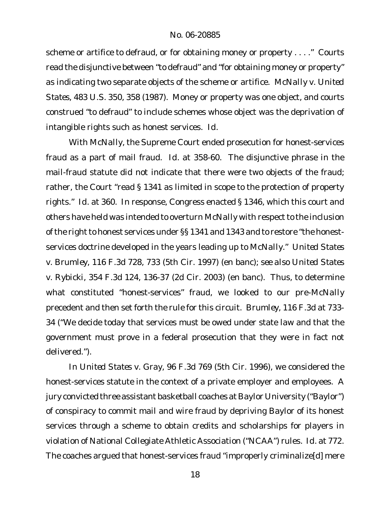scheme or artifice to defraud, or for obtaining money or property . . . ." Courts read the disjunctive between "to defraud" and "for obtaining money or property" as indicating two separate objects of the scheme or artifice. *McNally v. United States*, 483 U.S. 350, 358 (1987). Money or property was one object, and courts construed "to defraud" to include schemes whose object was the deprivation of intangible rights such as honest services. *Id.*

With *McNally*, the Supreme Court ended prosecution for honest-services fraud as a part of mail fraud. *Id.* at 358-60. The disjunctive phrase in the mail-fraud statute did not indicate that there were two objects of the fraud; rather, the Court "read § 1341 as limited in scope to the protection of property rights." *Id.* at 360. In response, Congress enacted § 1346, which this court and others have held was intended to overturn McNally with respect to the inclusion of the right to honest services under §§ 1341 and 1343 and to restore "the honestservices doctrine developed in the years leading up to *McNally*." *United States v. Brumley*, 116 F.3d 728, 733 (5th Cir. 1997) (en banc); *see also United States v. Rybicki*, 354 F.3d 124, 136-37 (2d Cir. 2003) (en banc). Thus, to determine what constituted "honest-services" fraud, we looked to our pre-*McNally* precedent and then set forth the rule for this circuit. *Brumley*, 116 F.3d at 733- 34 ("We decide today that services must be owed under state law and that the government must prove in a federal prosecution that they were in fact not delivered.").

In *United States v. Gray*, 96 F.3d 769 (5th Cir. 1996), we considered the honest-services statute in the context of a private employer and employees. A jury convicted three assistant basketball coaches at Baylor University ("Baylor") of conspiracy to commit mail and wire fraud by depriving Baylor of its honest services through a scheme to obtain credits and scholarships for players in violation of National Collegiate Athletic Association ("NCAA") rules. *Id.* at 772. The coaches argued that honest-services fraud "improperly criminalize[d] mere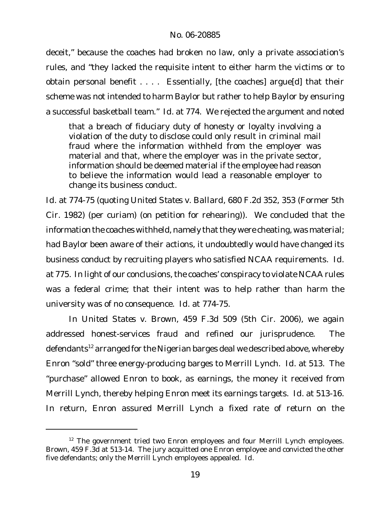deceit," because the coaches had broken no law, only a private association's rules, and "they lacked the requisite intent to either harm the victims or to obtain personal benefit . . . . Essentially, [the coaches] argue[d] that their scheme was not intended to harm Baylor but rather to help Baylor by ensuring a successful basketball team." *Id.* at 774. We rejected the argument and noted

that a breach of fiduciary duty of honesty or loyalty involving a violation of the duty to disclose could only result in criminal mail fraud where the information withheld from the employer was material and that, where the employer was in the private sector, information should be deemed material if the employee had reason to believe the information would lead a reasonable employer to change its business conduct.

*Id.* at 774-75 (quoting *United States v. Ballard*, 680 F.2d 352, 353 (Former 5th Cir. 1982) (per curiam) (on petition for rehearing)). We concluded that the information the coaches withheld, namely that they were cheating, was material; had Baylor been aware of their actions, it undoubtedly would have changed its business conduct by recruiting players who satisfied NCAA requirements. *Id.* at 775. In light of our conclusions, the coaches' conspiracy to violate NCAA rules was a federal crime; that their intent was to help rather than harm the university was of no consequence. *Id.* at 774-75.

In *United States v. Brown*, 459 F.3d 509 (5th Cir. 2006), we again addressed honest-services fraud and refined our jurisprudence. The defendants<sup>12</sup> arranged for the Nigerian barges deal we described above, whereby Enron "sold" three energy-producing barges to Merrill Lynch. *Id.* at 513. The "purchase" allowed Enron to book, as earnings, the money it received from Merrill Lynch, thereby helping Enron meet its earnings targets. *Id.* at 513-16. In return, Enron assured Merrill Lynch a fixed rate of return on the

 $12$  The government tried two Enron employees and four Merrill Lynch employees. *Brown*, 459 F.3d at 513-14. The jury acquitted one Enron employee and convicted the other five defendants; only the Merrill Lynch employees appealed. *Id.*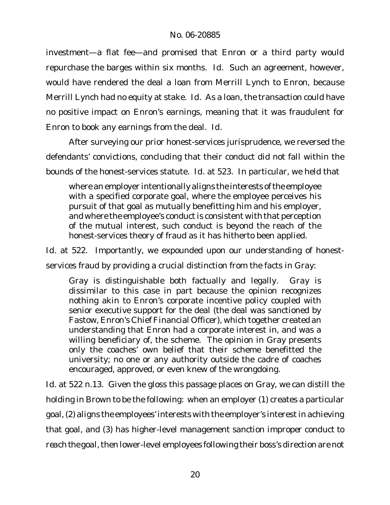investment—a flat fee—and promised that Enron or a third party would repurchase the barges within six months. *Id.* Such an agreement, however, would have rendered the deal a loan from Merrill Lynch to Enron, because Merrill Lynch had no equity at stake. *Id.* As a loan, the transaction could have no positive impact on Enron's earnings, meaning that it was fraudulent for Enron to book any earnings from the deal. *Id.*

After surveying our prior honest-services jurisprudence, we reversed the defendants' convictions, concluding that their conduct did not fall within the bounds of the honest-services statute. *Id.* at 523. In particular, we held that

where an employer intentionally aligns the interests of the employee with a specified corporate goal, where the employee perceives his pursuit of that goal as mutually benefitting him and his employer, and where the employee's conduct is consistent with that perception of the mutual interest, such conduct is beyond the reach of the honest-services theory of fraud as it has hitherto been applied.

*Id.* at 522. Importantly, we expounded upon our understanding of honestservices fraud by providing a crucial distinction from the facts in *Gray*:

*Gray* is distinguishable both factually and legally. *Gray* is dissimilar to this case in part because the opinion recognizes nothing akin to Enron's corporate incentive policy coupled with senior executive support for the deal (the deal was sanctioned by Fastow, Enron's Chief Financial Officer), which together created an understanding that Enron had a corporate interest in, and was a willing beneficiary of, the scheme. The opinion in *Gray* presents only the coaches' own belief that their scheme benefitted the university; no one or any authority outside the cadre of coaches encouraged, approved, or even knew of the wrongdoing.

*Id.* at 522 n.13. Given the gloss this passage places on *Gray*, we can distill the holding in *Brown* to be the following: when an employer (1) creates a particular goal,(2) aligns the employees' interests with the employer's interestin achieving that goal, and (3) has higher-level management *sanction improper conduct to* reach the goal, then lower-level employees following their boss's direction are not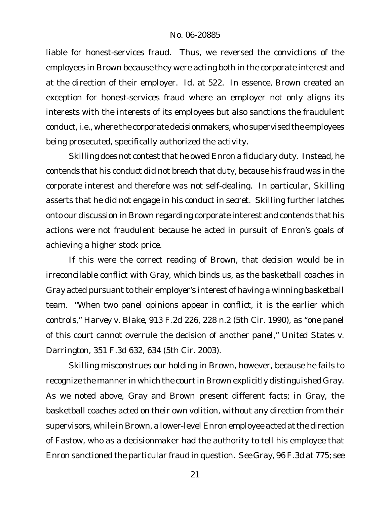liable for honest-services fraud. Thus, we reversed the convictions of the employees in *Brown* because they were acting both in the corporate interest and at the direction of their employer. *Id.* at 522. In essence, *Brown* created an exception for honest-services fraud where an employer not only aligns its interests with the interests of its employees but also sanctions the fraudulent conduct, i.e., where the corporate decisionmakers, who supervised the employees being prosecuted, specifically authorized the activity.

Skilling does not contest that he owed Enron a fiduciary duty. Instead, he contends that his conduct did not breach that duty, because his fraud was in the corporate interest and therefore was not self-dealing. In particular, Skilling asserts that he did not engage in his conduct in secret. Skilling further latches onto our discussion in *Brown* regarding corporate interest and contends that his actions were not fraudulent because he acted in pursuit of Enron's goals of achieving a higher stock price.

If this were the correct reading of *Brown*, that decision would be in irreconcilable conflict with *Gray*, which binds us, as the basketball coaches in *Gray* acted pursuant to their employer's interest of having a winning basketball team. "When two panel opinions appear in conflict, it is the earlier which controls," *Harvey v. Blake*, 913 F.2d 226, 228 n.2 (5th Cir. 1990), as "one panel of this court cannot overrule the decision of another panel," *United States v. Darrington*, 351 F.3d 632, 634 (5th Cir. 2003).

Skilling misconstrues our holding in *Brown*, however, because he fails to recognize the manner in which the courtin *Brown* explicitly distinguished *Gray*. As we noted above, *Gray* and *Brown* present different facts; in *Gray*, the basketball coaches acted on their own volition, without any direction from their supervisors, while in *Brown*, a lower-level Enron employee acted atthe direction of Fastow, who as a decisionmaker had the authority to tell his employee that Enron sanctioned the particular fraud in question. *See Gray*, 96 F.3d at 775; *see*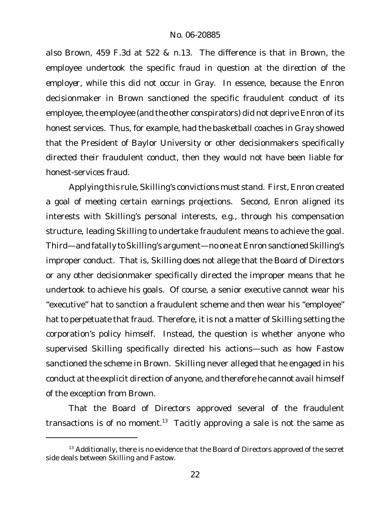*also Brown*, 459 F.3d at 522 & n.13. The difference is that in *Brown*, the employee undertook the specific fraud in question *at the direction of the employer*, while this did not occur in *Gray*. In essence, because the Enron decisionmaker in *Brown* sanctioned the specific fraudulent conduct of its employee, the employee (and the other conspirators) did not deprive Enron of its honest services. Thus, for example, had the basketball coaches in *Gray* showed that the President of Baylor University or other decisionmakers specifically directed their fraudulent conduct, then they would not have been liable for honest-services fraud.

Applying this rule, Skilling's convictions must stand. First, Enron created a goal of meeting certain earnings projections. Second, Enron aligned its interests with Skilling's personal interests, e.g., through his compensation structure, leading Skilling to undertake fraudulent means to achieve the goal. Third—and fatally to Skilling's argument—no one at Enron sanctioned Skilling's improper conduct. That is, Skilling does not allege that the Board of Directors or any other decisionmaker specifically directed the improper means that he undertook to achieve his goals. Of course, a senior executive cannot wear his "executive" hat to sanction a fraudulent scheme and then wear his "employee" hat to perpetuate that fraud. Therefore, it is not a matter of Skilling setting the corporation's policy himself. Instead, the question is whether anyone who supervised Skilling specifically directed his actions—such as how Fastow sanctioned the scheme in *Brown*. Skilling never alleged that he engaged in his conduct at the explicit direction of anyone, and therefore he cannot avail himself of the exception from *Brown*.

That the Board of Directors approved several of the fraudulent transactions is of no moment.<sup>13</sup> Tacitly approving a sale is not the same as

<sup>&</sup>lt;sup>13</sup> Additionally, there is no evidence that the Board of Directors approved of the secret side deals between Skilling and Fastow.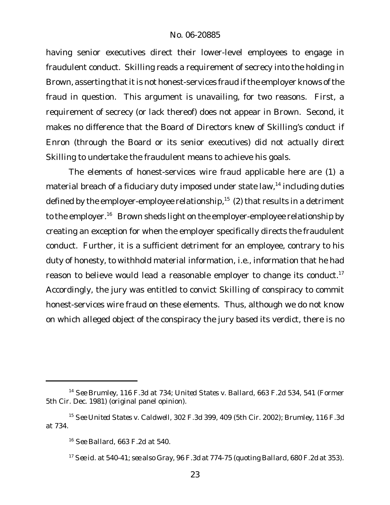having senior executives direct their lower-level employees to engage in fraudulent conduct. Skilling reads a requirement of secrecy into the holding in Brown, asserting that it is not honest-services fraud if the employer knows of the fraud in question. This argument is unavailing, for two reasons. First, a requirement of secrecy (or lack thereof) does not appear in *Brown*. Second, it makes no difference that the Board of Directors *knew* of Skilling's conduct if Enron (through the Board or its senior executives) did not actually *direct* Skilling to undertake the fraudulent means to achieve his goals.

The elements of honest-services wire fraud applicable here are (1) a material breach of a fiduciary duty imposed under state law,<sup>14</sup> including duties defined by the employer-employee relationship, $15$  (2) that results in a detriment to the employer.<sup>16</sup> *Brown* sheds light on the employer-employee relationship by creating an exception for when the employer specifically directs the fraudulent conduct. Further, it is a sufficient detriment for an employee, contrary to his duty of honesty, to withhold material information, i.e., information that he had reason to believe would lead a reasonable employer to change its conduct.<sup>17</sup> Accordingly, the jury was entitled to convict Skilling of conspiracy to commit honest-services wire fraud on these elements. Thus, although we do not know on which alleged object of the conspiracy the jury based its verdict, there is no

<sup>14</sup> *See Brumley*, 116 F.3d at 734; *United States v. Ballard*, 663 F.2d 534, 541 (Former 5th Cir. Dec. 1981) (original panel opinion).

<sup>15</sup> *See United States v. Caldwell*, 302 F.3d 399, 409 (5th Cir. 2002); *Brumley*, 116 F.3d at 734.

<sup>16</sup> *See Ballard*, 663 F.2d at 540.

<sup>17</sup> *See id.* at 540-41; *see also Gray*, 96 F.3d at 774-75 (quoting *Ballard*, 680 F.2d at 353).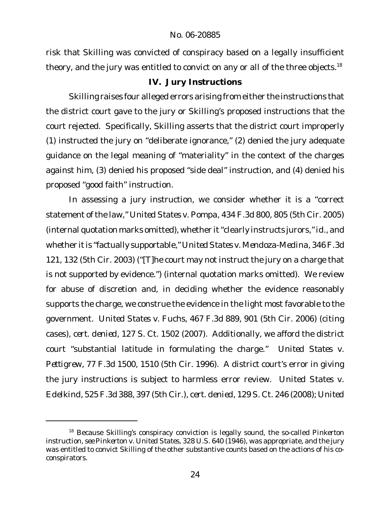risk that Skilling was convicted of conspiracy based on a legally insufficient theory, and the jury was entitled to convict on any or all of the three objects.<sup>18</sup>

# **IV. Jury Instructions**

Skilling raises four alleged errors arising from either the instructions that the district court gave to the jury or Skilling's proposed instructions that the court rejected. Specifically, Skilling asserts that the district court improperly (1) instructed the jury on "deliberate ignorance," (2) denied the jury adequate guidance on the legal meaning of "materiality" in the context of the charges against him, (3) denied his proposed "side deal" instruction, and (4) denied his proposed "good faith" instruction.

In assessing a jury instruction, we consider whether it is a "correct statement of the law," *United States v. Pompa*, 434 F.3d 800, 805 (5th Cir. 2005) (internal quotation marks omitted), whether it"clearly instructs jurors,"*id.*, and whether it is "factually supportable," *UnitedStates v. Mendoza-Medina*, 346F.3d 121, 132 (5th Cir. 2003) ("[T]he court may not instruct the jury on a charge that is not supported by evidence.") (internal quotation marks omitted). We review for abuse of discretion and, in deciding whether the evidence reasonably supports the charge, we construe the evidence in the light most favorable to the government. *United States v. Fuchs*, 467 F.3d 889, 901 (5th Cir. 2006) (citing cases), *cert. denied*, 127 S. Ct. 1502 (2007). Additionally, we afford the district court "substantial latitude in formulating the charge." *United States v. Pettigrew*, 77 F.3d 1500, 1510 (5th Cir. 1996). A district court's error in giving the jury instructions is subject to harmless error review. *United States v. Edelkind*, 525 F.3d 388, 397 (5th Cir.), *cert. denied*, 129 S. Ct. 246 (2008); *United*

<sup>18</sup> Because Skilling's conspiracy conviction is legally sound, the so-called *Pinkerton* instruction, *see Pinkerton v. United States*, 328 U.S. 640 (1946), was appropriate, and the jury was entitled to convict Skilling of the other substantive counts based on the actions of his coconspirators.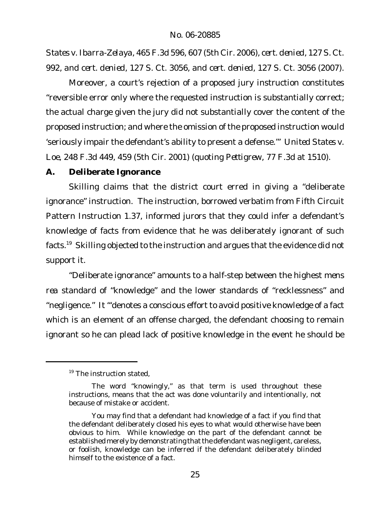*States v. Ibarra-Zelaya*, 465 F.3d 596, 607 (5th Cir. 2006), *cert. denied*, 127 S. Ct. 992, *and cert. denied*, 127 S. Ct. 3056, *and cert. denied*, 127 S. Ct. 3056 (2007).

Moreover, a court's rejection of a proposed jury instruction constitutes "reversible error only where the requested instruction is substantially correct; the actual charge given the jury did not substantially cover the content of the proposed instruction; and where the omission of the proposed instruction would 'seriously impair the defendant's ability to present a defense.'" *United States v. Loe*, 248 F.3d 449, 459 (5th Cir. 2001) (quoting *Pettigrew*, 77 F.3d at 1510).

**A. Deliberate Ignorance**

Skilling claims that the district court erred in giving a "deliberate ignorance" instruction. The instruction, borrowed verbatim from Fifth Circuit Pattern Instruction 1.37, informed jurors that they could infer a defendant's knowledge of facts from evidence that he was deliberately ignorant of such facts.<sup>19</sup> Skilling objected to the instruction and argues that the evidence did not support it.

"Deliberate ignorance" amounts to a half-step between the highest *mens rea* standard of "knowledge" and the lower standards of "recklessness" and "negligence." It "'denotes a conscious effort to avoid positive knowledge of a fact which is an element of an offense charged, the defendant choosing to remain ignorant so he can plead lack of positive knowledge in the event he should be

<sup>&</sup>lt;sup>19</sup> The instruction stated,

The word "knowingly," as that term is used throughout these instructions, means that the act was done voluntarily and intentionally, not because of mistake or accident.

You may find that a defendant had knowledge of a fact if you find that the defendant deliberately closed his eyes to what would otherwise have been obvious to him. While knowledge on the part of the defendant cannot be established merely by demonstrating that the defendant was negligent, careless, or foolish, knowledge can be inferred if the defendant deliberately blinded himself to the existence of a fact.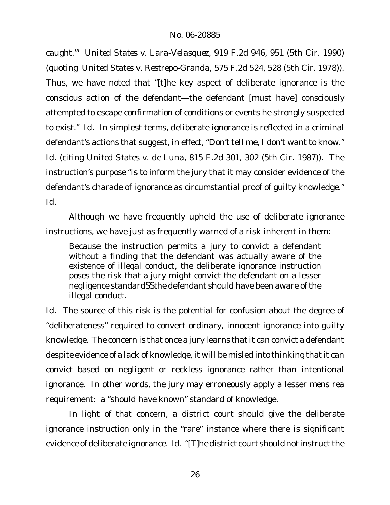caught.'" *United States v. Lara-Velasquez*, 919 F.2d 946, 951 (5th Cir. 1990) (quoting *United States v. Restrepo-Granda*, 575 F.2d 524, 528 (5th Cir. 1978)). Thus, we have noted that "[t]he key aspect of deliberate ignorance is the *conscious* action of the defendant—the defendant [must have] *consciously* attempted to escape confirmation of conditions or events he strongly suspected to exist." *Id.* In simplest terms, deliberate ignorance is reflected in a criminal defendant's actions that suggest, in effect, "Don't tell me, I don't want to know." *Id.* (citing *United States v. de Luna*, 815 F.2d 301, 302 (5th Cir. 1987)). The instruction's purpose "is to inform the jury that it may consider evidence of the defendant's charade of ignorance as circumstantial proof of guilty knowledge." *Id.*

Although we have frequently upheld the use of deliberate ignorance instructions, we have just as frequently warned of a risk inherent in them:

Because the instruction permits a jury to convict a defendant without a finding that the defendant was actually aware of the existence of illegal conduct, the deliberate ignorance instruction poses the risk that a jury might convict the defendant on a lesser negligence standardSSthe defendant *should* have been aware of the illegal conduct.

*Id.* The source of this risk is the potential for confusion about the degree of "deliberateness" required to convert ordinary, innocent ignorance into guilty knowledge. The concern is that once a jury learns that it can convict a defendant despite evidence of a lack of knowledge, it will be misled into thinking that it can convict based on negligent or reckless ignorance rather than intentional ignorance. In other words, the jury may erroneously apply a lesser *mens rea* requirement: a "should have known" standard of knowledge.

In light of that concern, a district court should give the deliberate ignorance instruction only in the "rare" instance where there is significant evidence of deliberate ignorance. *Id*. "[T]he district court should not instruct the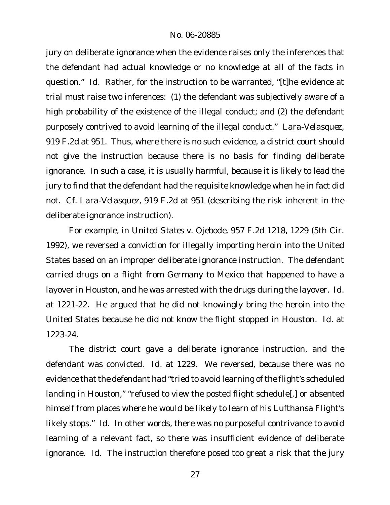#### No. 06-20885

jury on deliberate ignorance when the evidence raises only the inferences that the defendant had actual knowledge or no knowledge at all of the facts in question." *Id*. Rather, for the instruction to be warranted, "[t]he evidence at trial must raise two inferences: (1) the defendant was subjectively aware of a high probability of the existence of the illegal conduct; and (2) the defendant purposely contrived to avoid learning of the illegal conduct." *Lara-Velasquez*, 919 F.2d at 951. Thus, where there is no such evidence, a district court should not give the instruction because there is no basis for finding deliberate ignorance. In such a case, it is usually harmful, because it is likely to lead the jury to find that the defendant had the requisite knowledge when he in fact did not. *Cf. Lara-Velasquez*, 919 F.2d at 951 (describing the risk inherent in the deliberate ignorance instruction).

For example, in *United States v. Ojebode*, 957 F.2d 1218, 1229 (5th Cir. 1992), we reversed a conviction for illegally importing heroin into the United States based on an improper deliberate ignorance instruction. The defendant carried drugs on a flight from Germany to Mexico that happened to have a layover in Houston, and he was arrested with the drugs during the layover. *Id.* at 1221-22. He argued that he did not knowingly bring the heroin into the United States because he did not know the flight stopped in Houston. *Id.* at 1223-24.

The district court gave a deliberate ignorance instruction, and the defendant was convicted. *Id.* at 1229. We reversed, because there was no evidence that the defendant had "tried to avoid learning of the flight's scheduled landing in Houston," "refused to view the posted flight schedule[,] or absented himself from places where he would be likely to learn of his Lufthansa Flight's likely stops." *Id*. In other words, there was no purposeful contrivance to avoid learning of a relevant fact, so there was insufficient evidence of deliberate ignorance. *Id.* The instruction therefore posed too great a risk that the jury

27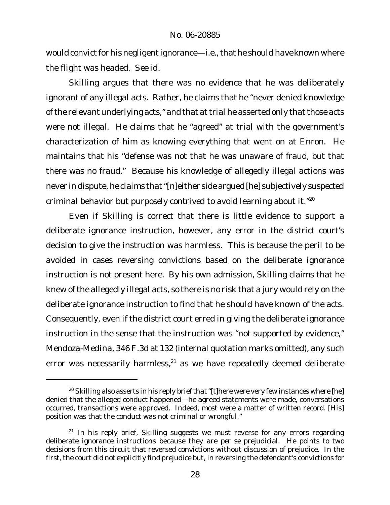would convict for his negligent ignorance—i.e., that he should have known where the flight was headed. *See id.*

Skilling argues that there was no evidence that he was deliberately ignorant of any illegal acts. Rather, he claims that he "never denied knowledge of the relevant underlying acts," and that at trial he asserted only that those acts were not illegal. He claims that he "agreed" at trial with the government's characterization of him as knowing everything that went on at Enron. He maintains that his "defense was not that he was unaware of fraud, but that there was no fraud." Because his knowledge of allegedly illegal actions was never in dispute, he claims that"[n]either side argued [he] subjectively *suspected* criminal behavior but *purposely contrived* to avoid learning about it."<sup>20</sup>

Even if Skilling is correct that there is little evidence to support a deliberate ignorance instruction, however, any error in the district court's decision to give the instruction was harmless. This is because the peril to be avoided in cases reversing convictions based on the deliberate ignorance instruction is not present here. By his own admission, Skilling claims that he knew of the allegedly illegal acts, so there is no risk that a jury would rely on the deliberate ignorance instruction to find that he should have known of the acts. Consequently, even if the district court erred in giving the deliberate ignorance instruction in the sense that the instruction was "not supported by evidence," *Mendoza-Medina*, 346 F.3d at 132 (internal quotation marks omitted), any such error was necessarily harmless,<sup>21</sup> as we have repeatedly deemed deliberate

<sup>&</sup>lt;sup>20</sup> Skilling also asserts in his reply brief that "[t]here were very few instances where [he] denied that the alleged conduct happened—he agreed statements were made, conversations occurred, transactions were approved. Indeed, most were a matter of written record. [His] position was that the conduct was not criminal or wrongful."

 $21$  In his reply brief, Skilling suggests we must reverse for any errors regarding deliberate ignorance instructions because they are *per se* prejudicial. He points to two decisions from this circuit that reversed convictions without discussion of prejudice. In the first, the court did not explicitly find prejudice but, in reversing the defendant's convictions for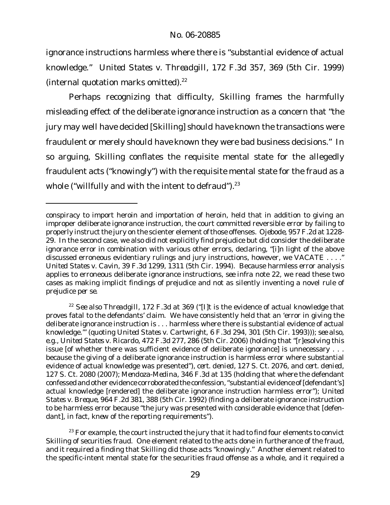ignorance instructions harmless where there is "substantial evidence of actual knowledge." *United States v. Threadgill*, 172 F.3d 357, 369 (5th Cir. 1999) (internal quotation marks omitted).<sup>22</sup>

Perhaps recognizing that difficulty, Skilling frames the harmfully misleading effect of the deliberate ignorance instruction as a concern that "the jury may well have decided [Skilling] *should have known* the transactions were fraudulent or merely *should have known* they were bad business decisions." In so arguing, Skilling conflates the requisite mental state for the allegedly fraudulent acts ("knowingly") with the requisite mental state for the fraud as a whole ("willfully and with the intent to defraud"). $^{23}$ 

conspiracy to import heroin and importation of heroin, held that in addition to giving an improper deliberate ignorance instruction, the court committed reversible error by failing to properly instruct the jury on the scienter element ofthose offenses. *Ojebode*, 957 F.2d at 1228- 29. In the second case, we also did not explicitly find prejudice but did consider the deliberate ignorance error in combination with various other errors, declaring, "[i]n light of the above discussed erroneous evidentiary rulings and jury instructions, however, we VACATE . . . ." *United States v. Cavin*, 39 F.3d 1299, 1311 (5th Cir. 1994). Because harmless error analysis applies to erroneous deliberate ignorance instructions, *see infra* note 22, we read these two cases as making implicit findings of prejudice and not as silently inventing a novel rule of prejudice *per se*.

<sup>22</sup> *See also Threadgill*, 172 F.3d at 369 ("[I]t is the evidence of actual knowledge that proves fatal to the defendants' claim. We have consistently held that an 'error in giving the deliberate ignorance instruction is . . . harmless where there is substantial evidence of actual knowledge.'" (quoting *United States v. Cartwright*, 6 F.3d 294, 301 (5th Cir. 1993))); *see also, e.g.*, *United States v. Ricardo*, 472 F.3d 277, 286 (5th Cir. 2006) (holding that "[r]esolving this issue [of whether there was sufficient evidence of deliberate ignorance] is unnecessary . . . because the giving of a deliberate ignorance instruction is harmless error where substantial evidence of actual knowledge was presented"), *cert. denied*, 127 S. Ct. 2076, *and cert. denied*, 127 S. Ct. 2080 (2007); *Mendoza-Medina*, 346 F.3d at 135 (holding that where the defendant confessedandother evidence corroborated the confession, "substantial evidence of [defendant's] actual knowledge [rendered] the deliberate ignorance instruction harmless error"); *United States v. Breque*, 964 F.2d 381, 388 (5th Cir. 1992) (finding a deliberate ignorance instruction to be harmless error because "the jury was presented with considerable evidence that [defendant], in fact, *knew* of the reporting requirements").

 $23$  For example, the court instructed the jury that it had to find four elements to convict Skilling of securities fraud. One element related to the acts done in furtherance of the fraud, and it required a finding that Skilling did those acts "knowingly." Another element related to the specific-intent mental state for the securities fraud offense as a whole, and it required a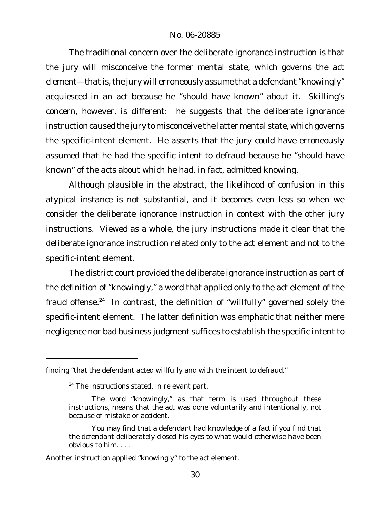#### No. 06-20885

The traditional concern over the deliberate ignorance instruction is that the jury will misconceive the former mental state, which governs the act element—that is, the jury will erroneously assume that a defendant "knowingly" acquiesced in an act because he "should have known" about it. Skilling's concern, however, is different: he suggests that the deliberate ignorance instruction caused the jury to misconceive the latter mental state, which governs the specific-intent element. He asserts that the jury could have erroneously assumed that he had the specific intent to defraud because he "should have known" of the acts about which he had, in fact, admitted knowing.

Although plausible in the abstract, the likelihood of confusion in this atypical instance is not substantial, and it becomes even less so when we consider the deliberate ignorance instruction in context with the other jury instructions. Viewed as a whole, the jury instructions made it clear that the deliberate ignorance instruction related only to the act element and not to the specific-intent element.

The district court provided the deliberate ignorance instruction as part of the definition of "knowingly," a word that applied only to the act element of the fraud offense.<sup>24</sup> In contrast, the definition of "willfully" governed solely the specific-intent element. The latter definition was emphatic that neither mere negligence nor bad business judgment suffices to establish the specific intent to

finding "that the defendant acted willfully and with the intent to defraud."

 $24$  The instructions stated, in relevant part,

The word "knowingly," as that term is used throughout these instructions, means that the act was done voluntarily and intentionally, not because of mistake or accident.

You may find that a defendant had knowledge of a fact if you find that the defendant deliberately closed his eyes to what would otherwise have been obvious to him. . . .

Another instruction applied "knowingly" to the act element.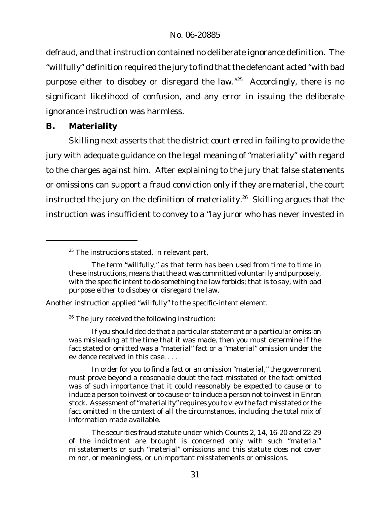defraud, and that instruction contained no deliberate ignorance definition. The "willfully" definition required the jury to find thatthe defendant acted "with bad purpose either to disobey or disregard the law."<sup>25</sup> Accordingly, there is no significant likelihood of confusion, and any error in issuing the deliberate ignorance instruction was harmless.

**B. Materiality**

Skilling next asserts that the district court erred in failing to provide the jury with adequate guidance on the legal meaning of "materiality" with regard to the charges against him. After explaining to the jury that false statements or omissions can support a fraud conviction only if they are material, the court instructed the jury on the definition of materiality.<sup>26</sup> Skilling argues that the instruction was insufficient to convey to a "lay juror who has never invested in

Another instruction applied "willfully" to the specific-intent element.

 $26$  The jury received the following instruction:

If you should decide that a particular statement or a particular omission was misleading at the time that it was made, then you must determine if the fact stated or omitted was a "material" fact or a "material" omission under the evidence received in this case. . . .

In order for you to find a fact or an omission "material," the government must prove beyond a reasonable doubt the fact misstated or the fact omitted was of such importance that it could reasonably be expected to cause or to induce a person to invest or to cause or to induce a person not to invest in Enron stock. Assessment of "materiality" requires you to view the fact misstated or the fact omitted in the context of all the circumstances, including the total mix of information made available.

The securities fraud statute under which Counts 2, 14, 16-20 and 22-29 of the indictment are brought is concerned only with such "material" misstatements or such "material" omissions and this statute does not cover minor, or meaningless, or unimportant misstatements or omissions.

 $25$  The instructions stated, in relevant part,

The term "willfully," as that term has been used from time to time in these instructions, means that the act was committed voluntarily and purposely, with the specific intent to do something the law forbids; that is to say, with bad purpose either to disobey or disregard the law.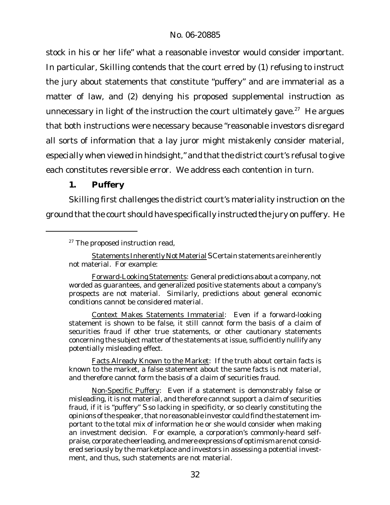stock in his or her life" what a reasonable investor would consider important. In particular, Skilling contends that the court erred by (1) refusing to instruct the jury about statements that constitute "puffery" and are immaterial as a matter of law, and (2) denying his proposed supplemental instruction as unnecessary in light of the instruction the court ultimately gave. $27$  He argues that both instructions were necessary because "reasonable investors disregard all sorts of information that a lay juror might mistakenly consider material, especially when viewed in hindsight," and that the district court's refusal to give each constitutes reversible error. We address each contention in turn.

**1. Puffery**

Skilling first challenges the district court's materiality instruction on the ground that the court should have specifically instructed the jury on puffery. He

 $27$  The proposed instruction read,

Statements Inherently Not Material S Certain statements are inherently not material. For example:

Forward-Looking Statements: General predictions about a company, not worded as guarantees, and generalized positive statements about a company's prospects are not material. Similarly, predictions about general economic conditions cannot be considered material.

Context Makes Statements Immaterial: Even if a forward-looking statement is shown to be false, it still cannot form the basis of a claim of securities fraud if other true statements, or other cautionary statements concerning the subject matter of the statements at issue, sufficiently nullify any potentially misleading effect.

Facts Already Known to the Market: If the truth about certain facts is known to the market, a false statement about the same facts is not material, and therefore cannot form the basis of a claim of securities fraud.

Non-Specific Puffery: Even if a statement is demonstrably false or misleading, it is not material, and therefore cannot support a claim of securities fraud, if it is "puffery" S so lacking in specificity, or so clearly constituting the opinions of the speaker, that no reasonable investor could find the statement important to the total mix of information he or she would consider when making an investment decision. For example, a corporation's commonly-heard selfpraise, corporate cheerleading, andmere expressions of optimism arenot considered seriously by the marketplace and investors in assessing a potential investment, and thus, such statements are not material.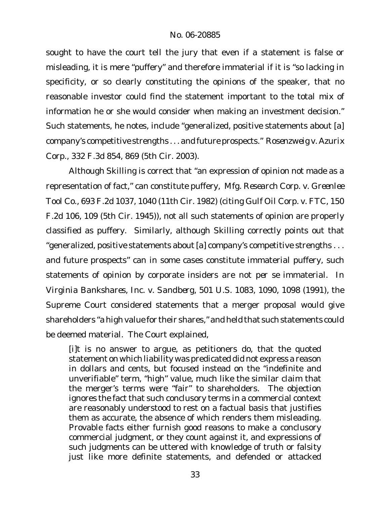sought to have the court tell the jury that even if a statement is false or misleading, it is mere "puffery" and therefore immaterial if it is "so lacking in specificity, or so clearly constituting the opinions of the speaker, that no reasonable investor could find the statement important to the total mix of information he or she would consider when making an investment decision." Such statements, he notes, include "generalized, positive statements about [a] company's competitive strengths . . . and future prospects." *Rosenzweig v. Azurix Corp.*, 332 F.3d 854, 869 (5th Cir. 2003).

Although Skilling is correct that "an expression of opinion not made as a representation of fact," can constitute puffery, *Mfg. Research Corp. v. Greenlee Tool Co.*, 693 F.2d 1037, 1040 (11th Cir. 1982) (citing *Gulf Oil Corp. v. FTC*, 150 F.2d 106, 109 (5th Cir. 1945)), not all such statements of opinion are properly classified as puffery. Similarly, although Skilling correctly points out that "generalized, positive statements about [a] company's competitive strengths . . . and future prospects" can in some cases constitute immaterial puffery, such statements of opinion by corporate insiders are not *per se* immaterial. In *Virginia Bankshares, Inc. v. Sandberg*, 501 U.S. 1083, 1090, 1098 (1991), the Supreme Court considered statements that a merger proposal would give shareholders "a high value for their shares," and held that such statements could be deemed material. The Court explained,

[i]t is no answer to argue, as petitioners do, that the quoted statement on which liability was predicated did not express a reason in dollars and cents, but focused instead on the "indefinite and unverifiable" term, "high" value, much like the similar claim that the merger's terms were "fair" to shareholders. The objection ignores the fact that such conclusory terms in a commercial context are reasonably understood to rest on a factual basis that justifies them as accurate, the absence of which renders them misleading. Provable facts either furnish good reasons to make a conclusory commercial judgment, or they count against it, and expressions of such judgments can be uttered with knowledge of truth or falsity just like more definite statements, and defended or attacked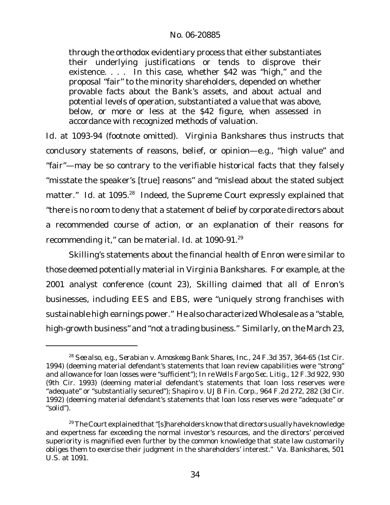## No. 06-20885

through the orthodox evidentiary process that either substantiates their underlying justifications or tends to disprove their existence. . . . In this case, whether \$42 was "high," and the proposal "fair" to the minority shareholders, depended on whether provable facts about the Bank's assets, and about actual and potential levels of operation, substantiated a value that was above, below, or more or less at the \$42 figure, when assessed in accordance with recognized methods of valuation.

*Id.* at 1093-94 (footnote omitted). *Virginia Bankshares* thus instructs that conclusory statements of reasons, belief, or opinion—e.g., "high value" and "fair"—may be so contrary to the verifiable historical facts that they falsely "misstate the speaker's [true] reasons" and "mislead about the stated subject matter." Id. at 1095.<sup>28</sup> Indeed, the Supreme Court expressly explained that "there is no room to deny that a statement of belief by corporate directors about a recommended course of action, or an explanation of their reasons for recommending it," can be material. *Id.* at 1090-91.<sup>29</sup>

Skilling's statements about the financial health of Enron were similar to those deemed potentially material in *Virginia Bankshares*. For example, at the 2001 analyst conference (count 23), Skilling claimed that all of Enron's businesses, including EES and EBS, were "uniquely strong franchises with sustainable high earnings power." He also characterized Wholesale as a "stable, high-growth business" and "not a trading business." Similarly, on the March 23,

<sup>28</sup> *See also, e.g.*, *Serabian v. Amoskeag Bank Shares, Inc.*, 24 F.3d 357, 364-65 (1st Cir. 1994) (deeming material defendant's statements that loan review capabilities were "strong" and allowance for loan losses were "sufficient"); *In re Wells Fargo Sec. Litig.*, 12 F.3d 922, 930 (9th Cir. 1993) (deeming material defendant's statements that loan loss reserves were "adequate" or "substantially secured"); *Shapiro v. UJB Fin. Corp.*, 964 F.2d 272, 282 (3d Cir. 1992) (deeming material defendant's statements that loan loss reserves were "adequate" or "solid").

 $29$  The Court explained that "[s]hareholders know that directors usually have knowledge and expertness far exceeding the normal investor's resources, and the directors' perceived superiority is magnified even further by the common knowledge that state law customarily obliges them to exercise their judgment in the shareholders' interest." *Va. Bankshares*, 501 U.S. at 1091.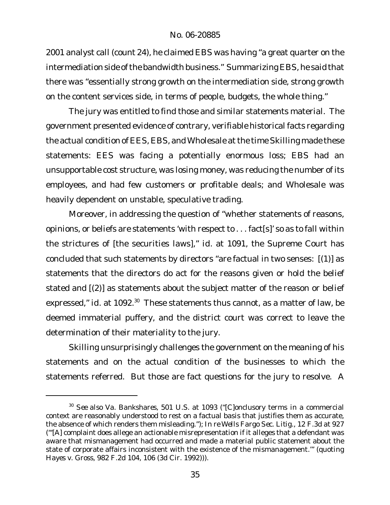2001 analyst call (count 24), he claimed EBS was having "a great quarter on the intermediation side of the bandwidth business." Summarizing EBS, he said that there was "essentially strong growth on the intermediation side, strong growth on the content services side, in terms of people, budgets, the whole thing."

The jury was entitled to find those and similar statements material. The government presented evidence of contrary, verifiable historical facts regarding the actual condition of EES, EBS, and Wholesale at the time Skilling made these statements: EES was facing a potentially enormous loss; EBS had an unsupportable cost structure, was losing money, was reducing the number of its employees, and had few customers or profitable deals; and Wholesale was heavily dependent on unstable, speculative trading.

Moreover, in addressing the question of "whether statements of reasons, opinions, or beliefs are statements 'with respect to . . . fact[s]' so as to fall within the strictures of [the securities laws]," *id.* at 1091, the Supreme Court has concluded that such statements by directors "are factual in two senses: [(1)] as statements that the directors do act for the reasons given or hold the belief stated and [(2)] as statements about the subject matter of the reason or belief expressed," *id.* at 1092.<sup>30</sup> These statements thus cannot, as a matter of law, be deemed immaterial puffery, and the district court was correct to leave the determination of their materiality to the jury.

Skilling unsurprisingly challenges the government on the meaning of his statements and on the actual condition of the businesses to which the statements referred. But those are fact questions for the jury to resolve. A

<sup>30</sup> *See also Va. Bankshares*, 501 U.S. at 1093 ("[C]onclusory terms in a commercial context are reasonably understood to rest on a factual basis that justifies them as accurate, the absence of which renders them misleading."); *In re Wells Fargo Sec. Litig.*, 12 F.3d at 927 ("'[A] complaint does allege an actionable misrepresentation if it alleges that a defendant was aware that mismanagement had occurred and made a material public statement about the state of corporate affairs inconsistent with the existence of the mismanagement.'" (quoting *Hayes v. Gross*, 982 F.2d 104, 106 (3d Cir. 1992))).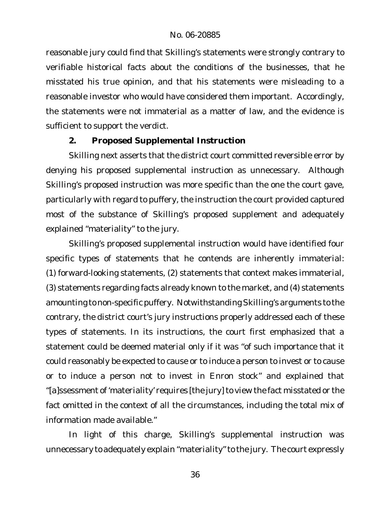reasonable jury could find that Skilling's statements were strongly contrary to verifiable historical facts about the conditions of the businesses, that he misstated his true opinion, and that his statements were misleading to a reasonable investor who would have considered them important. Accordingly, the statements were not immaterial as a matter of law, and the evidence is sufficient to support the verdict.

# **2. Proposed Supplemental Instruction**

Skilling next asserts that the district court committed reversible error by denying his proposed supplemental instruction as unnecessary. Although Skilling's proposed instruction was more specific than the one the court gave, particularly with regard to puffery, the instruction the court provided captured most of the substance of Skilling's proposed supplement and adequately explained "materiality" to the jury.

Skilling's proposed supplemental instruction would have identified four specific types of statements that he contends are inherently immaterial: (1) forward-looking statements, (2) statements that context makes immaterial, (3) statements regarding facts already known to the market, and (4) statements amounting to non-specific puffery. Notwithstanding Skilling's arguments to the contrary, the district court's jury instructions properly addressed each of these types of statements. In its instructions, the court first emphasized that a statement could be deemed material only if it was "of such importance that it could reasonably be expected to cause or to induce a person to invest or to cause or to induce a person not to invest in Enron stock" and explained that "[a]ssessment of 'materiality' requires [the jury]to view the fact misstated or the fact omitted in the context of all the circumstances, including the total mix of information made available."

In light of this charge, Skilling's supplemental instruction was unnecessary to adequately explain "materiality"to the jury. The court expressly

36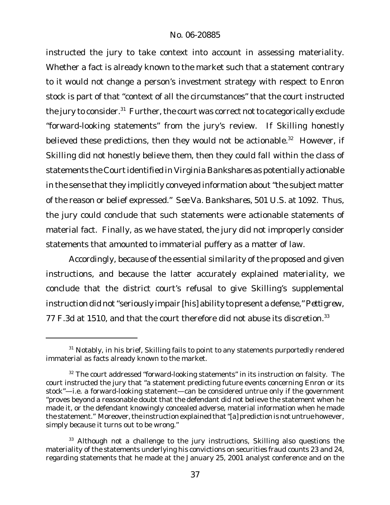instructed the jury to take context into account in assessing materiality. Whether a fact is already known to the market such that a statement contrary to it would not change a person's investment strategy with respect to Enron stock is part of that "context of all the circumstances" that the court instructed the jury to consider.<sup>31</sup> Further, the court was correct not to categorically exclude "forward-looking statements" from the jury's review. If Skilling honestly believed these predictions, then they would not be actionable.<sup>32</sup> However, if Skilling did not honestly believe them, then they could fall within the class of statements the Courtidentified in *Virginia Bankshares* as potentially actionable in the sense that they implicitly conveyed information about "the subject matter of the reason or belief expressed." *See Va. Bankshares*, 501 U.S. at 1092. Thus, the jury could conclude that such statements were actionable statements of material fact. Finally, as we have stated, the jury did not improperly consider statements that amounted to immaterial puffery as a matter of law.

Accordingly, because of the essential similarity of the proposed and given instructions, and because the latter accurately explained materiality, we conclude that the district court's refusal to give Skilling's supplemental instruction did not "seriously impair [his] ability to present a defense," *Pettigrew*, 77 F.3d at 1510, and that the court therefore did not abuse its discretion.<sup>33</sup>

<sup>&</sup>lt;sup>31</sup> Notably, in his brief, Skilling fails to point to any statements purportedly rendered immaterial as facts already known to the market.

 $32$  The court addressed "forward-looking statements" in its instruction on falsity. The court instructed the jury that "a statement predicting future events concerning Enron or its stock"—i.e. a forward-looking statement—can be considered untrue only if the government "proves beyond a reasonable doubt that the defendant did not believe the statement when he made it, or the defendant knowingly concealed adverse, material information when he made the statement." Moreover, the instruction explained that "[a] prediction is not untrue however, simply because it turns out to be wrong."

<sup>&</sup>lt;sup>33</sup> Although not a challenge to the jury instructions, Skilling also questions the materiality of the statements underlying his convictions on securities fraud counts 23 and 24, regarding statements that he made at the January 25, 2001 analyst conference and on the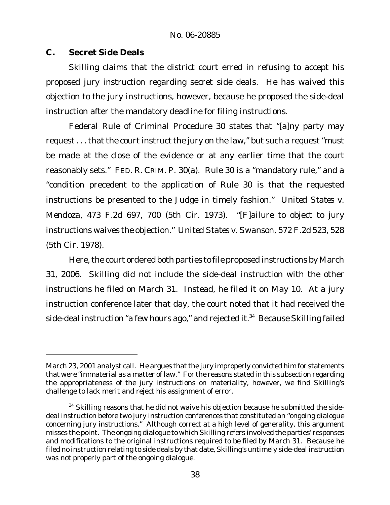# **C. Secret Side Deals**

Skilling claims that the district court erred in refusing to accept his proposed jury instruction regarding secret side deals. He has waived this objection to the jury instructions, however, because he proposed the side-deal instruction after the mandatory deadline for filing instructions.

Federal Rule of Criminal Procedure 30 states that "[a]ny party may request . . . that the court instruct the jury on the law," but such a request "must be made at the close of the evidence or at any earlier time that the court reasonably sets." FED. R. CRIM. P. 30(a). Rule 30 is a "mandatory rule," and a "condition precedent to the application of Rule 30 is that the requested instructions be presented to the Judge in timely fashion." *United States v. Mendoza*, 473 F.2d 697, 700 (5th Cir. 1973). "[F]ailure to object to jury instructions waives the objection." *United States v. Swanson*, 572 F.2d 523, 528 (5th Cir. 1978).

Here, the court ordered both parties to file proposed instructions by March 31, 2006. Skilling did not include the side-deal instruction with the other instructions he filed on March 31. Instead, he filed it on May 10. At a jury instruction conference later that day, the court noted that it had received the side-deal instruction "a few hours ago," and rejected it.<sup>34</sup> Because Skilling failed

March 23, 2001 analyst call. He argues that the jury improperly convicted him for statements that were "immaterial as a matter of law." For the reasons stated in this subsection regarding the appropriateness of the jury instructions on materiality, however, we find Skilling's challenge to lack merit and reject his assignment of error.

<sup>&</sup>lt;sup>34</sup> Skilling reasons that he did not waive his objection because he submitted the sidedeal instruction before two jury instruction conferences that constituted an "ongoing dialogue concerning jury instructions." Although correct at a high level of generality, this argument misses the point. The ongoing dialogue to which Skilling refers involved the parties' responses and modifications to the original instructions required to be filed by March 31. Because he filed no instruction relating to side deals by that date, Skilling's untimely side-deal instruction was not properly part of the ongoing dialogue.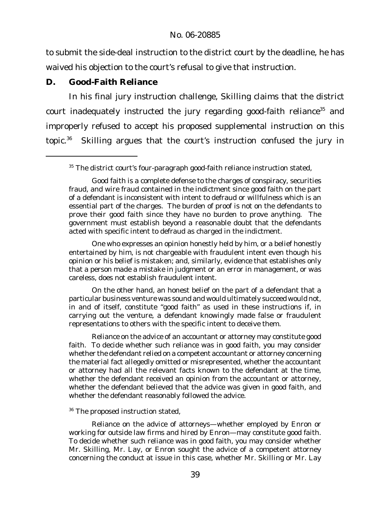to submit the side-deal instruction to the district court by the deadline, he has waived his objection to the court's refusal to give that instruction.

### **D. Good-Faith Reliance**

In his final jury instruction challenge, Skilling claims that the district court inadequately instructed the jury regarding good-faith reliance<sup>35</sup> and improperly refused to accept his proposed supplemental instruction on this topic.<sup>36</sup> Skilling argues that the court's instruction confused the jury in

One who expresses an opinion honestly held by him, or a belief honestly entertained by him, is not chargeable with fraudulent intent even though his opinion or his belief is mistaken; and, similarly, evidence that establishes only that a person made a mistake in judgment or an error in management, or was careless, does not establish fraudulent intent.

On the other hand, an honest belief on the part of a defendant that a particular business venture was sound and would ultimately succeed would not, in and of itself, constitute "good faith" as used in these instructions if, in carrying out the venture, a defendant knowingly made false or fraudulent representations to others with the specific intent to deceive them.

Reliance on the advice of an accountant or attorney may constitute good faith. To decide whether such reliance was in good faith, you may consider whether the defendant relied on a competent accountant or attorney concerning the material fact allegedly omitted or misrepresented, whether the accountant or attorney had all the relevant facts known to the defendant at the time, whether the defendant received an opinion from the accountant or attorney, whether the defendant believed that the advice was given in good faith, and whether the defendant reasonably followed the advice.

#### <sup>36</sup> The proposed instruction stated,

Reliance on the advice of attorneys—whether employed by Enron or working for outside law firms and hired by Enron—may constitute good faith. To decide whether such reliance was in good faith, you may consider whether Mr. Skilling, Mr. Lay, or Enron sought the advice of a competent attorney concerning the conduct at issue in this case, whether Mr. Skilling or Mr. Lay

 $35$  The district court's four-paragraph good-faith reliance instruction stated,

Good faith is a complete defense to the charges of conspiracy, securities fraud, and wire fraud contained in the indictment since good faith on the part of a defendant is inconsistent with intent to defraud or willfulness which is an essential part of the charges. The burden of proof is not on the defendants to prove their good faith since they have no burden to prove anything. The government must establish beyond a reasonable doubt that the defendants acted with specific intent to defraud as charged in the indictment.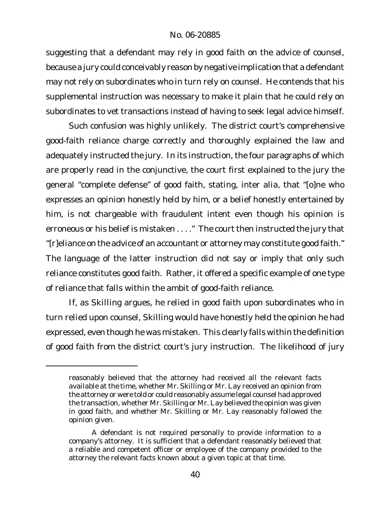suggesting that a defendant may rely in good faith on the advice of counsel, because a jury could conceivably reason by negative implication that a defendant may not rely on subordinates who in turn rely on counsel. He contends that his supplemental instruction was necessary to make it plain that he could rely on subordinates to vet transactions instead of having to seek legal advice himself.

Such confusion was highly unlikely. The district court's comprehensive good-faith reliance charge correctly and thoroughly explained the law and adequately instructed the jury. In its instruction, the four paragraphs of which are properly read in the conjunctive, the court first explained to the jury the general "complete defense" of good faith, stating, inter alia, that "[o]ne who expresses an opinion honestly held by him, or a belief honestly entertained by him, is not chargeable with fraudulent intent even though his opinion is erroneous or his belief is mistaken . . . ." The court then instructed the jury that "[r]eliance on the advice of an accountant or attorney may constitute good faith." The language of the latter instruction did not say or imply that *only* such reliance constitutes good faith. Rather, it offered a specific example of one type of reliance that falls within the ambit of good-faith reliance.

If, as Skilling argues, he relied in good faith upon subordinates who in turn relied upon counsel, Skilling would have honestly held the opinion he had expressed, even though he was mistaken. This clearly falls within the definition of good faith from the district court's jury instruction. The likelihood of jury

reasonably believed that the attorney had received all the relevant facts available at the time, whether Mr. Skilling or Mr. Lay received an opinion from the attorney or were told or could reasonably assume legal counsel had approved the transaction, whether Mr. Skilling or Mr. Lay believed the opinion was given in good faith, and whether Mr. Skilling or Mr. Lay reasonably followed the opinion given.

A defendant is not required personally to provide information to a company's attorney. It is sufficient that a defendant reasonably believed that a reliable and competent officer or employee of the company provided to the attorney the relevant facts known about a given topic at that time.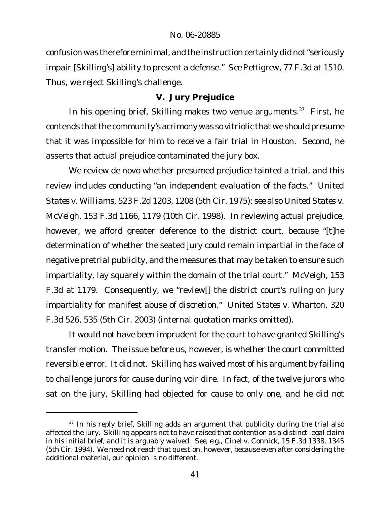confusion was therefore minimal, and the instruction certainly did not "seriously impair [Skilling's] ability to present a defense." *See Pettigrew*, 77 F.3d at 1510. Thus, we reject Skilling's challenge.

# **V. Jury Prejudice**

In his opening brief, Skilling makes two venue arguments.<sup>37</sup> First, he contends that the community's acrimony was so vitriolic that we should presume that it was impossible for him to receive a fair trial in Houston. Second, he asserts that actual prejudice contaminated the jury box.

We review de novo whether presumed prejudice tainted a trial, and this review includes conducting "an independent evaluation of the facts." *United States v. Williams*, 523 F.2d 1203, 1208 (5th Cir. 1975); *see also United States v. McVeigh*, 153 F.3d 1166, 1179 (10th Cir. 1998). In reviewing actual prejudice, however, we afford greater deference to the district court, because "[t]he determination of whether the seated jury could remain impartial in the face of negative pretrial publicity, and the measures that may be taken to ensure such impartiality, lay squarely within the domain of the trial court." *McVeigh*, 153 F.3d at 1179. Consequently, we "review[] the district court's ruling on jury impartiality for manifest abuse of discretion." *United States v. Wharton*, 320 F.3d 526, 535 (5th Cir. 2003) (internal quotation marks omitted).

It would not have been imprudent for the court to have granted Skilling's transfer motion. The issue before us, however, is whether the court committed reversible error. It did not. Skilling has waived most of his argument by failing to challenge jurors for cause during *voir dire*. In fact, of the twelve jurors who sat on the jury, Skilling had objected for cause to only one, and he did not

<sup>37</sup> In his reply brief, Skilling adds an argument that publicity *during* the trial also affected the jury. Skilling appears not to have raised that contention as a distinct legal claim in his initial brief, and it is arguably waived. *See, e.g.*, *Cinel v. Connick*, 15 F.3d 1338, 1345 (5th Cir. 1994). We need not reach that question, however, because even after considering the additional material, our opinion is no different.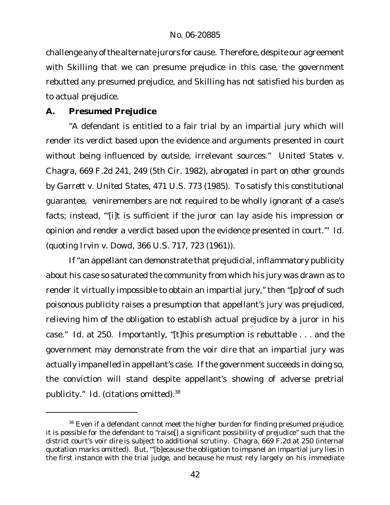challenge any of the alternate jurors for cause. Therefore, despite our agreement with Skilling that we can presume prejudice in this case, the government rebutted any presumed prejudice, and Skilling has not satisfied his burden as to actual prejudice.

# **A. Presumed Prejudice**

"A defendant is entitled to a fair trial by an impartial jury which will render its verdict based upon the evidence and arguments presented in court without being influenced by outside, irrelevant sources." *United States v. Chagra*, 669 F.2d 241, 249 (5th Cir. 1982), *abrogated in part on other grounds by Garrett v. United States*, 471 U.S. 773 (1985). To satisfy this constitutional guarantee, veniremembers are not required to be wholly ignorant of a case's facts; instead, "'[i]t is sufficient if the juror can lay aside his impression or opinion and render a verdict based upon the evidence presented in court.'" *Id*. (quoting *Irvin v. Dowd*, 366 U.S. 717, 723 (1961)).

If "an appellant can demonstrate that prejudicial, inflammatory publicity about his case so saturated the community from which his jury was drawn as to render it virtually impossible to obtain an impartial jury," then "[p]roof of such poisonous publicity raises a presumption that appellant's jury was prejudiced, relieving him of the obligation to establish actual prejudice by a juror in his case." *Id*. at 250. Importantly, "[t]his presumption is rebuttable . . . and the government may demonstrate from the *voir dire* that an impartial jury was actually impanelled in appellant's case. If the government succeeds in doing so, the conviction will stand despite appellant's showing of adverse pretrial publicity." Id. (citations omitted).<sup>38</sup>

 $38$  Even if a defendant cannot meet the higher burden for finding presumed prejudice, it is possible for the defendant to "raise[] a significant possibility of prejudice" such that the district court's *voir dire* is subject to additional scrutiny. *Chagra*, 669 F.2d at 250 (internal quotation marks omitted). But, "'[b]ecause the obligation to impanel an impartial jury lies in the first instance with the trial judge, and because he must rely largely on his immediate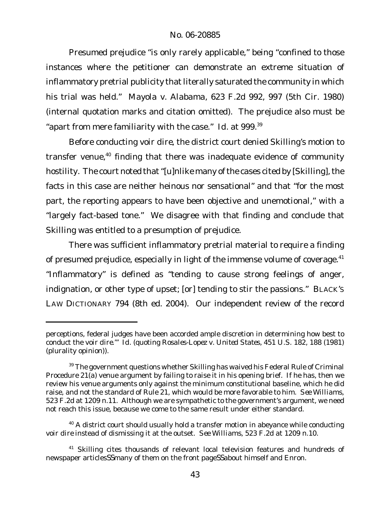#### No. 06-20885

Presumed prejudice "is only rarely applicable," being "confined to those instances where the petitioner can demonstrate an extreme situation of inflammatory pretrial publicity that literally saturated the community in which his trial was held." *Mayola v. Alabama*, 623 F.2d 992, 997 (5th Cir. 1980) (internal quotation marks and citation omitted). The prejudice also must be "apart from mere familiarity with the case." *Id*. at 999.<sup>39</sup>

Before conducting *voir dire*, the district court denied Skilling's motion to transfer venue,<sup>40</sup> finding that there was inadequate evidence of community hostility. The court noted that "[u]nlike many of the cases cited by [Skilling], the facts in this case are neither heinous nor sensational" and that "for the most part, the reporting appears to have been objective and unemotional," with a "largely fact-based tone." We disagree with that finding and conclude that Skilling was entitled to a presumption of prejudice.

There was sufficient inflammatory pretrial material to require a finding of presumed prejudice, especially in light of the immense volume of coverage.<sup>41</sup> "Inflammatory" is defined as "tending to cause strong feelings of anger, indignation, or other type of upset; [or] tending to stir the passions." BLACK'S LAW DICTIONARY 794 (8th ed. 2004). Our independent review of the record

perceptions, federal judges have been accorded ample discretion in determining how best to conduct the *voir dire*.'" *Id*. (quoting *Rosales-Lopez v. United States*, 451 U.S. 182, 188 (1981) (plurality opinion)).

<sup>&</sup>lt;sup>39</sup> The government questions whether Skilling has waived his Federal Rule of Criminal Procedure 21(a) venue argument by failing to raise it in his opening brief. If he has, then we review his venue arguments only against the minimum constitutional baseline, which he did raise, and not the standard of Rule 21, which would be more favorable to him. *See Williams*, 523 F.2d at 1209 n.11. Although we are sympathetic to the government's argument, we need not reach this issue, because we come to the same result under either standard.

 $40$  A district court should usually hold a transfer motion in abeyance while conducting *voir dire* instead of dismissing it at the outset. *See Williams*, 523 F.2d at 1209 n.10.

<sup>&</sup>lt;sup>41</sup> Skilling cites thousands of relevant local television features and hundreds of newspaper articlesSSmany of them on the front pageSSabout himself and Enron.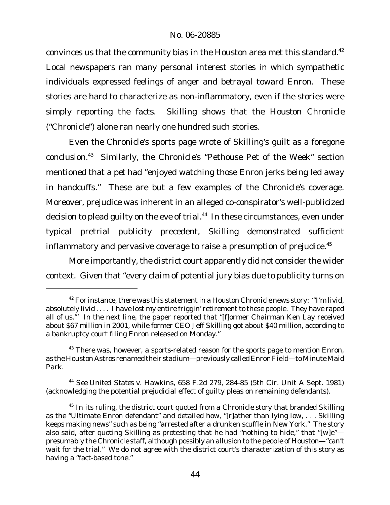#### No. 06-20885

convinces us that the community bias in the Houston area met this standard.<sup>42</sup> Local newspapers ran many personal interest stories in which sympathetic individuals expressed feelings of anger and betrayal toward Enron. These stories are hard to characterize as non-inflammatory, even if the stories were simply reporting the facts. Skilling shows that the *Houston Chronicle* ("*Chronicle*") alone ran nearly one hundred such stories.

Even the *Chronicle*'s sports page wrote of Skilling's guilt as a foregone conclusion.<sup>43</sup> Similarly, the *Chronicle*'s "Pethouse Pet of the Week" section mentioned that a *pet* had "enjoyed watching those Enron jerks being led away in handcuffs." These are but a few examples of the *Chronicle*'s coverage. Moreover, prejudice was inherent in an alleged co-conspirator's well-publicized decision to plead guilty on the eve of trial.<sup>44</sup> In these circumstances, even under typical pretrial publicity precedent, Skilling demonstrated sufficient inflammatory and pervasive coverage to raise a presumption of prejudice.<sup>45</sup>

More importantly, the district court apparently did not consider the wider context. Given that "every claim of potential jury bias due to publicity turns on

<sup>42</sup> For instance, there was this statement in a *Houston Chronicle* news story: "'I'm livid, absolutely livid . . . . I have lost my entire friggin' retirement to these people. They have raped all of us.'" In the next line, the paper reported that "[f]ormer Chairman Ken Lay received about \$67 million in 2001, while former CEO Jeff Skilling got about \$40 million, according to a bankruptcy court filing Enron released on Monday."

 $43$  There was, however, a sports-related reason for the sports page to mention Enron, as the Houston Astros renamed their stadium—previously called Enron Field—to Minute Maid Park.

<sup>44</sup> *See United States v. Hawkins*, 658 F.2d 279, 284-85 (5th Cir. Unit A Sept. 1981) (acknowledging the potential prejudicial effect of guilty pleas on remaining defendants).

<sup>45</sup> In its ruling, the district court quoted from a *Chronicle* story that branded Skilling as the "Ultimate Enron defendant" and detailed how, "[r]ather than lying low, . . . Skilling keeps making news" such as being "arrested after a drunken scuffle in New York." The story also said, after quoting Skilling as protesting that he had "nothing to hide," that "[w]e" presumably the *Chronicle* staff, although possibly an allusion to the people of Houston—"can't wait for the trial." We do not agree with the district court's characterization of this story as having a "fact-based tone."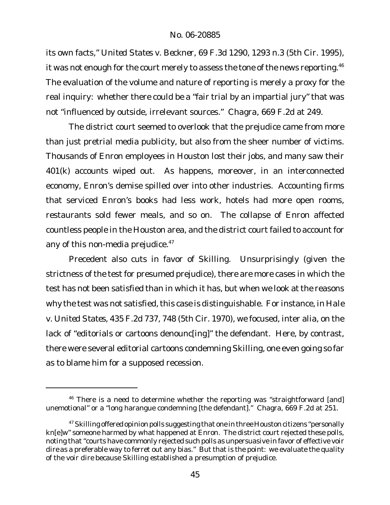its own facts," *United States v. Beckner*, 69 F.3d 1290, 1293 n.3 (5th Cir. 1995), it was not enough for the court merely to assess the tone of the news reporting.<sup>46</sup> The evaluation of the volume and nature of reporting is merely a proxy for the real inquiry: whether there could be a "fair trial by an impartial jury" that was not "influenced by outside, irrelevant sources." *Chagra*, 669 F.2d at 249.

The district court seemed to overlook that the prejudice came from more than just pretrial media publicity, but also from the sheer number of victims. Thousands of Enron employees in Houston lost their jobs, and many saw their 401(k) accounts wiped out. As happens, moreover, in an interconnected economy, Enron's demise spilled over into other industries. Accounting firms that serviced Enron's books had less work, hotels had more open rooms, restaurants sold fewer meals, and so on. The collapse of Enron affected countless people in the Houston area, and the district court failed to account for any of this non-media prejudice.<sup>47</sup>

Precedent also cuts in favor of Skilling. Unsurprisingly (given the strictness of the test for presumed prejudice), there are more cases in which the test has not been satisfied than in which it has, but when we look at the reasons why the test was not satisfied, this case is distinguishable. For instance, in Hale *v. United States*, 435 F.2d 737, 748 (5th Cir. 1970), we focused, inter alia, on the lack of "editorials or cartoons denounc[ing]" the defendant. Here, by contrast, there were several editorial cartoons condemning Skilling, one even going so far as to blame him for a supposed recession.

<sup>&</sup>lt;sup>46</sup> There is a need to determine whether the reporting was "straightforward [and] unemotional" or a "long harangue condemning [the defendant]." *Chagra*, 669 F.2d at 251.

<sup>&</sup>lt;sup>47</sup> Skilling offered opinion polls suggesting that one in three Houston citizens "personally kn[e]w" someone harmed by what happened at Enron. The district court rejected these polls, noting that "courts have commonly rejected such polls as unpersuasive in favor of effective *voir dire* as a preferable way to ferret out any bias." But that is the point: we evaluate the quality of the *voir dire* because Skilling established a presumption of prejudice.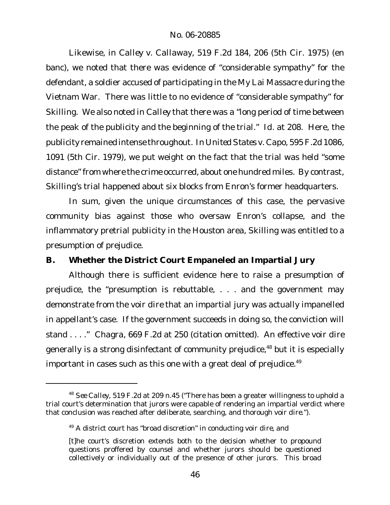Likewise, in *Calley v. Callaway*, 519 F.2d 184, 206 (5th Cir. 1975) (en banc), we noted that there was evidence of "considerable sympathy" for the defendant, a soldier accused of participating in the My Lai Massacre during the Vietnam War. There was little to no evidence of "considerable sympathy" for Skilling. We also noted in *Calley* that there was a "long period of time between the peak of the publicity and the beginning of the trial." *Id*. at 208. Here, the publicity remained intense throughout. In *UnitedStates v. Capo*, 595 F.2d 1086, 1091 (5th Cir. 1979), we put weight on the fact that the trial was held "some distance" from where the crime occurred, about one hundred miles. By contrast, Skilling's trial happened about six blocks from Enron's former headquarters.

In sum, given the unique circumstances of this case, the pervasive community bias against those who oversaw Enron's collapse, and the inflammatory pretrial publicity in the Houston area, Skilling was entitled to a presumption of prejudice.

**B. Whether the District Court Empaneled an Impartial Jury**

Although there is sufficient evidence here to raise a presumption of prejudice, the "presumption is rebuttable, . . . and the government may demonstrate from the *voir dire* that an impartial jury was actually impanelled in appellant's case. If the government succeeds in doing so, the conviction will stand . . . ." *Chagra*, 669 F.2d at 250 (citation omitted). An effective *voir dire* generally is a strong disinfectant of community prejudice,<sup>48</sup> but it is especially important in cases such as this one with a great deal of prejudice.<sup>49</sup>

<sup>48</sup> *See Calley*, 519 F.2d at 209 n.45 ("There has been a greater willingness to uphold a trial court's determination that jurors were capable of rendering an impartial verdict where that conclusion was reached after deliberate, searching, and thorough *voir dire*.").

<sup>49</sup> A district court has "broad discretion" in conducting *voir dire*, and

<sup>[</sup>t]he court's discretion extends both to the decision whether to propound questions proffered by counsel and whether jurors should be questioned collectively or individually out of the presence of other jurors. This broad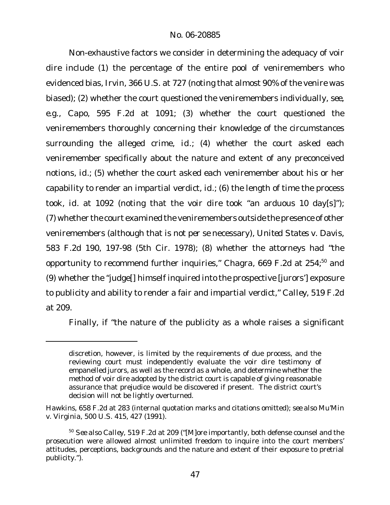Non-exhaustive factors we consider in determining the adequacy of *voir dire* include (1) the percentage of the entire pool of veniremembers who evidenced bias, *Irvin*, 366 U.S. at 727 (noting that almost 90% of the venire was biased); (2) whether the court questioned the veniremembers individually, *see, e.g.*, *Capo*, 595 F.2d at 1091; (3) whether the court questioned the veniremembers thoroughly concerning their knowledge of the circumstances surrounding the alleged crime, *id*.; (4) whether the court asked each veniremember specifically about the nature and extent of any preconceived notions, *id*.; (5) whether the court asked each veniremember about his or her capability to render an impartial verdict, *id*.; (6) the length of time the process took, *id*. at 1092 (noting that the *voir dire* took "an arduous 10 day[s]"); (7) whether the court examined the veniremembers outside the presence of other veniremembers (although that is not *per se* necessary), *United States v. Davis*, 583 F.2d 190, 197-98 (5th Cir. 1978); (8) whether the attorneys had "the opportunity to recommend further inquiries," *Chagra*, 669 F.2d at 254;<sup>50</sup> and (9) whether the "judge[] himself inquired into the prospective [jurors'] exposure to publicity and ability to render a fair and impartial verdict," *Calley*, 519 F.2d at 209.

Finally, if "the nature of the publicity as a whole raises a significant

discretion, however, is limited by the requirements of due process, and the reviewing court must independently evaluate the voir dire testimony of empanelled jurors, as well as the record as a whole, and determine whether the method of voir dire adopted by the district court is capable of giving reasonable assurance that prejudice would be discovered if present. The district court's decision will not be lightly overturned.

*Hawkins*, 658 F.2d at 283 (internal quotation marks and citations omitted); *see also Mu'Min v. Virginia*, 500 U.S. 415, 427 (1991).

<sup>50</sup> *See also Calley*, 519 F.2d at 209 ("[M]ore importantly, both defense counsel and the prosecution were allowed almost unlimited freedom to inquire into the court members' attitudes, perceptions, backgrounds and the nature and extent of their exposure to pretrial publicity.").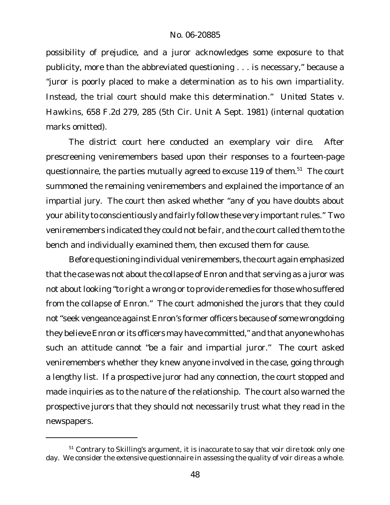possibility of prejudice, and a juror acknowledges some exposure to that publicity, more than the abbreviated questioning . . . is necessary," because a "juror is poorly placed to make a determination as to his own impartiality. Instead, the trial court should make this determination." *United States v. Hawkins*, 658 F.2d 279, 285 (5th Cir. Unit A Sept. 1981) (internal quotation marks omitted).

The district court here conducted an exemplary *voir dire*. After prescreening veniremembers based upon their responses to a fourteen-page questionnaire, the parties mutually agreed to excuse 119 of them.<sup>51</sup> The court summoned the remaining veniremembers and explained the importance of an impartial jury. The court then asked whether "any of you have doubts about your ability to conscientiously and fairly follow these very important rules." Two veniremembers indicated they could not be fair, and the court called them to the bench and individually examined them, then excused them for cause.

Before questioning individual veniremembers, the court again emphasized that the case was not about the collapse of Enron and that serving as a juror was not about looking "to right a wrong or to provide remedies for those who suffered from the collapse of Enron." The court admonished the jurors that they could not"seek vengeance against Enron's former officers because of some wrongdoing they believe Enron or its officers may have committed," and that anyone who has such an attitude cannot "be a fair and impartial juror." The court asked veniremembers whether they knew anyone involved in the case, going through a lengthy list. If a prospective juror had any connection, the court stopped and made inquiries as to the nature of the relationship. The court also warned the prospective jurors that they should not necessarily trust what they read in the newspapers.

<sup>51</sup> Contrary to Skilling's argument, it is inaccurate to say that *voir dire* took only one day. We consider the extensive questionnaire in assessing the quality of *voir dire* as a whole.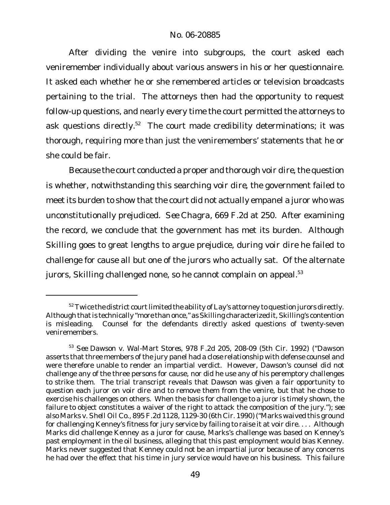After dividing the venire into subgroups, the court asked each veniremember individually about various answers in his or her questionnaire. It asked each whether he or she remembered articles or television broadcasts pertaining to the trial. The attorneys then had the opportunity to request follow-up questions, and nearly every time the court permitted the attorneys to ask questions directly.<sup>52</sup> The court made credibility determinations; it was thorough, requiring more than just the veniremembers' statements that he or she could be fair.

Because the court conducted a proper and thorough *voir dire*, the question is whether, notwithstanding this searching *voir dire*, the government failed to meet its burden to show that the court did not actually empanel a juror who was unconstitutionally prejudiced. *See Chagra*, 669 F.2d at 250. After examining the record, we conclude that the government has met its burden. Although Skilling goes to great lengths to argue prejudice, during *voir dire* he failed to challenge for cause all but one of the jurors who actually sat. Of the alternate jurors, Skilling challenged none, so he cannot complain on appeal.<sup>53</sup>

 $52$  Twice the district court limited the ability of Lay's attorney to question jurors directly. Although that is technically "more than once," as Skilling characterized it, Skilling's contention is misleading. Counsel for the defendants directly asked questions of twenty-seven veniremembers.

<sup>53</sup> *See Dawson v. Wal-Mart Stores*, 978 F.2d 205, 208-09 (5th Cir. 1992) ("Dawson asserts that three members of the jury panel had a close relationship with defense counsel and were therefore unable to render an impartial verdict. However, Dawson's counsel did not challenge any of the three persons for cause, nor did he use any of his peremptory challenges to strike them. The trial transcript reveals that Dawson was given a fair opportunity to question each juror on voir dire and to remove them from the venire, but that he chose to exercise his challenges on others. When the basis for challenge to a juror is timely shown, the failure to object constitutes a waiver of the right to attack the composition of the jury."); *see also Marks v. Shell Oil Co.*, 895 F.2d 1128, 1129-30 (6th Cir. 1990) ("Marks waived this ground for challenging Kenney's fitness for jury service by failing to raise it at voir dire. . . . Although Marks did challenge Kenney as a juror for cause, Marks's challenge was based on Kenney's past employment in the oil business, alleging that this past employment would bias Kenney. Marks never suggested that Kenney could not be an impartial juror because of any concerns he had over the effect that his time in jury service would have on his business. This failure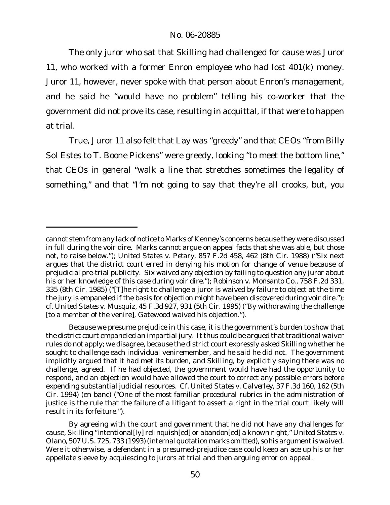The only juror who sat that Skilling had challenged for cause was Juror 11, who worked with a former Enron employee who had lost 401(k) money. Juror 11, however, never spoke with that person about Enron's management, and he said he "would have no problem" telling his co-worker that the government did not prove its case, resulting in acquittal, if that were to happen at trial.

True, Juror 11 also felt that Lay was "greedy" and that CEOs "from Billy Sol Estes to T. Boone Pickens" were greedy, looking "to meet the bottom line," that CEOs in general "walk a line that stretches sometimes the legality of something," and that "I'm not going to say that they're all crooks, but, you

cannot stem from any lack of notice to Marks of Kenney's concerns because they were discussed in full during the voir dire. Marks cannot argue on appeal facts that she was able, but chose not, to raise below."); *United States v. Petary*, 857 F.2d 458, 462 (8th Cir. 1988) ("Six next argues that the district court erred in denying his motion for change of venue because of prejudicial pre-trial publicity. Six waived any objection by failing to question any juror about his or her knowledge of this case during voir dire."); *Robinson v. Monsanto Co.*, 758 F.2d 331, 335 (8th Cir. 1985) ("[T]he right to challenge a juror is waived by failure to object at the time the jury is empaneled if the basis for objection might have been discovered during voir dire."); *cf. United States v. Musquiz*, 45 F.3d 927, 931 (5th Cir. 1995) ("By withdrawing the challenge [to a member of the venire], Gatewood waived his objection.").

Because we presume prejudice in this case, it is the government's burden to show that the district court empaneled an impartial jury. It thus could be argued that traditional waiver rules do not apply; we disagree, because the district court expressly asked Skilling whether he sought to challenge each individual veniremember, and he said he did not. The government implicitly argued that it had met its burden, and Skilling, by explicitly saying there was no challenge, agreed. If he had objected, the government would have had the opportunity to respond, and an objection would have allowed the court to correct any possible errors before expending substantial judicial resources. *Cf. United States v. Calverley*, 37 F.3d 160, 162 (5th Cir. 1994) (en banc) ("One of the most familiar procedural rubrics in the administration of justice is the rule that the failure of a litigant to assert a right in the trial court likely will result in its forfeiture.").

By agreeing with the court and government that he did not have any challenges for cause, Skilling "intentional[ly] relinquish[ed] or abandon[ed] a known right," *United States v. Olano*, 507 U.S. 725, 733 (1993)(internal quotation marks omitted), sohis argumentis waived. Were it otherwise, a defendant in a presumed-prejudice case could keep an ace up his or her appellate sleeve by acquiescing to jurors at trial and then arguing error on appeal.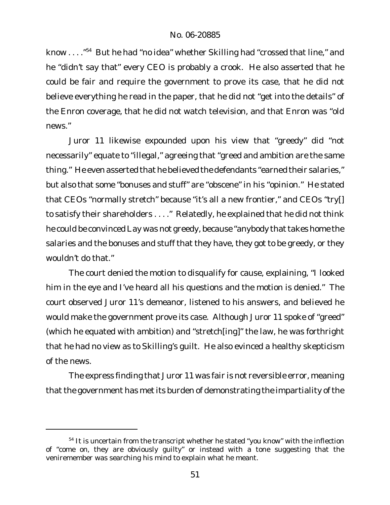know . . . ."<sup>54</sup> But he had "no idea" whether Skilling had "crossed that line," and he "didn't say that" every CEO is probably a crook. He also asserted that he could be fair and require the government to prove its case, that he did not believe everything he read in the paper, that he did not "get into the details" of the Enron coverage, that he did not watch television, and that Enron was "old news."

Juror 11 likewise expounded upon his view that "greedy" did "not necessarily" equate to "illegal," agreeing that "greed and ambition are the same thing." He even asserted that he believed the defendants "earned their salaries," but also that some "bonuses and stuff" are "obscene" in his "opinion." He stated that CEOs "normally stretch" because "it's all a new frontier," and CEOs "try[] to satisfy their shareholders . . . ." Relatedly, he explained that he did not think he could be convinced Lay was not greedy, because "anybody that takes home the salaries and the bonuses and stuff that they have, they got to be greedy, or they wouldn't do that."

The court denied the motion to disqualify for cause, explaining, "I looked him in the eye and I've heard all his questions and the motion is denied." The court observed Juror 11's demeanor, listened to his answers, and believed he would make the government prove its case. Although Juror 11 spoke of "greed" (which he equated with ambition) and "stretch[ing]" the law, he was forthright that he had no view as to Skilling's guilt. He also evinced a healthy skepticism of the news.

The express finding that Juror 11 was fair is not reversible error, meaning that the government has met its burden of demonstrating the impartiality of the

<sup>&</sup>lt;sup>54</sup> It is uncertain from the transcript whether he stated "you know" with the inflection of "come on, they are obviously guilty" or instead with a tone suggesting that the veniremember was searching his mind to explain what he meant.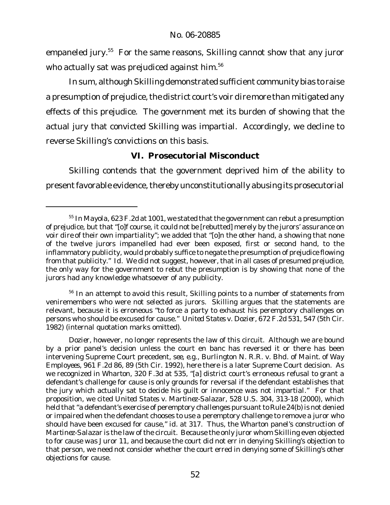empaneled jury.<sup>55</sup> For the same reasons, Skilling cannot show that any juror who actually sat was prejudiced against him.<sup>56</sup>

In sum, although Skilling demonstrated sufficient community bias to raise a presumption of prejudice, the district court's voir dire more than mitigated any effects of this prejudice. The government met its burden of showing that the actual jury that convicted Skilling was impartial. Accordingly, we decline to reverse Skilling's convictions on this basis.

**VI. Prosecutorial Misconduct**

Skilling contends that the government deprived him of the ability to present favorable evidence, thereby unconstitutionally abusing its prosecutorial

<sup>56</sup> In an attempt to avoid this result, Skilling points to a number of statements from veniremembers who were not selected as jurors. Skilling argues that the statements are relevant, because it is erroneous "to force a party to exhaust his peremptory challenges on persons who should be excused for cause." *United States v. Dozier*, 672 F.2d 531, 547 (5th Cir. 1982) (internal quotation marks omitted).

<sup>55</sup> In *Mayola*, 623 F.2d at 1001, we stated that the government can rebut a presumption of prejudice, but that "[o]f course, it could not be [rebutted] merely by the jurors' assurance on *voir dire* of their own impartiality"; we added that "[o]n the other hand, a showing that none of the twelve jurors impanelled had ever been exposed, first or second hand, to the inflammatory publicity, would probably suffice to negate the presumption of prejudice flowing from that publicity." *Id.* We did not suggest, however, that in all cases of presumed prejudice, the only way for the government to rebut the presumption is by showing that none of the jurors had any knowledge whatsoever of any publicity.

*Dozier*, however, no longer represents the law of this circuit. Although we are bound by a prior panel's decision unless the court en banc has reversed it or there has been intervening Supreme Court precedent, *see, e.g.*, *Burlington N. R.R. v. Bhd. of Maint. of Way Employees*, 961 F.2d 86, 89 (5th Cir. 1992), here there is a later Supreme Court decision. As we recognized in *Wharton*, 320 F.3d at 535, "[a] district court's erroneous refusal to grant a defendant's challenge for cause is only grounds for reversal if the defendant establishes that the jury which actually sat to decide his guilt or innocence was not impartial." For that proposition, we cited *United States v. Martinez-Salazar*, 528 U.S. 304, 313-18 (2000), which held that "a defendant's exercise of peremptory challenges pursuant to Rule 24(b) is not denied or impaired when the defendant chooses to use a peremptory challenge to remove a juror who should have been excused for cause," *id.* at 317. Thus, the *Wharton* panel's construction of *Martinez-Salazar* is the law of the circuit. Because the only juror whom Skilling even objected to for cause was Juror 11, and because the court did not err in denying Skilling's objection to that person, we need not consider whether the court erred in denying some of Skilling's other objections for cause.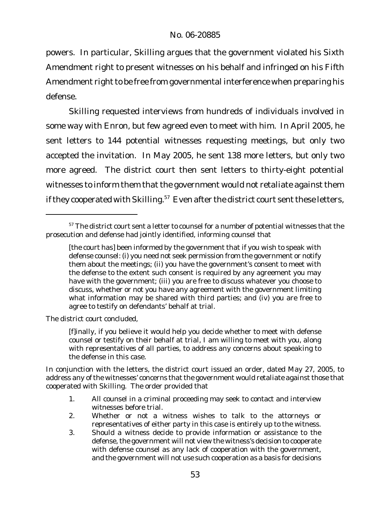powers. In particular, Skilling argues that the government violated his Sixth Amendment right to present witnesses on his behalf and infringed on his Fifth Amendment right to be free from governmental interference when preparing his defense.

Skilling requested interviews from hundreds of individuals involved in some way with Enron, but few agreed even to meet with him. In April 2005, he sent letters to 144 potential witnesses requesting meetings, but only two accepted the invitation. In May 2005, he sent 138 more letters, but only two more agreed. The district court then sent letters to thirty-eight potential witnesses to inform them that the government would not retaliate against them if they cooperated with Skilling. $57$  Even after the district court sent these letters,

The district court concluded,

[f]inally, if you believe it would help you decide whether to meet with defense counsel or testify on their behalf at trial, I am willing to meet with you, along with representatives of all parties, to address any concerns about speaking to the defense in this case.

In conjunction with the letters, the district court issued an order, dated May 27, 2005, to address any of the witnesses' concerns that the government would retaliate against those that cooperated with Skilling. The order provided that

- 1. All counsel in a criminal proceeding may seek to contact and interview witnesses before trial.
- 2. Whether or not a witness wishes to talk to the attorneys or representatives of either party in this case is entirely up to the witness.
- 3. Should a witness decide to provide information or assistance to the defense, the government will not view the witness's decision to cooperate with defense counsel as any lack of cooperation with the government, and the government will not use such cooperation as a basis for decisions

 $57$  The district court sent a letter to counsel for a number of potential witnesses that the prosecution and defense had jointly identified, informing counsel that

<sup>[</sup>the court has] been informed by the government that if you wish to speak with defense counsel: (i) you need not seek permission from the government or notify them about the meetings; (ii) you have the government's consent to meet with the defense to the extent such consent is required by any agreement you may have with the government; (iii) you are free to discuss whatever you choose to discuss, whether or not you have any agreement with the government limiting what information may be shared with third parties; and (iv) you are free to agree to testify on defendants' behalf at trial.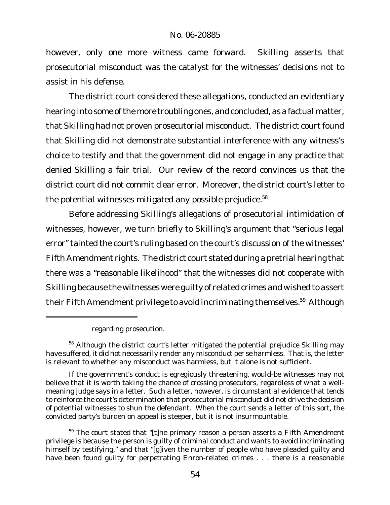however, only one more witness came forward. Skilling asserts that prosecutorial misconduct was the catalyst for the witnesses' decisions not to assist in his defense.

The district court considered these allegations, conducted an evidentiary hearing into some of the more troubling ones, and concluded, as a factual matter, that Skilling had not proven prosecutorial misconduct. The district court found that Skilling did not demonstrate substantial interference with any witness's choice to testify and that the government did not engage in any practice that denied Skilling a fair trial. Our review of the record convinces us that the district court did not commit clear error. Moreover, the district court's letter to the potential witnesses mitigated any possible prejudice.<sup>58</sup>

Before addressing Skilling's allegations of prosecutorial intimidation of witnesses, however, we turn briefly to Skilling's argument that "serious legal error" tainted the court's ruling based on the court's discussion of the witnesses' Fifth Amendment rights. The district court stated during a pretrial hearing that there was a "reasonable likelihood" that the witnesses did not cooperate with Skilling because the witnesses were guilty of related crimes and wished to assert their Fifth Amendment privilege to avoid incriminating themselves.<sup>59</sup> Although

regarding prosecution.

<sup>&</sup>lt;sup>58</sup> Although the district court's letter mitigated the potential prejudice Skilling may have suffered, it did not necessarily render any misconduct *per se* harmless. That is, the letter is relevant to whether any misconduct was harmless, but it alone is not sufficient.

If the government's conduct is egregiously threatening, would-be witnesses may not believe that it is worth taking the chance of crossing prosecutors, regardless of what a wellmeaning judge says in a letter. Such a letter, however, is circumstantial evidence that tends to reinforce the court's determination that prosecutorial misconduct did not drive the decision of potential witnesses to shun the defendant. When the court sends a letter of this sort, the convicted party's burden on appeal is steeper, but it is not insurmountable.

<sup>&</sup>lt;sup>59</sup> The court stated that "[t]he primary reason a person asserts a Fifth Amendment privilege is because the person is guilty of criminal conduct and wants to avoid incriminating himself by testifying," and that "[g]iven the number of people who have pleaded guilty and have been found guilty for perpetrating Enron-related crimes . . . there is a reasonable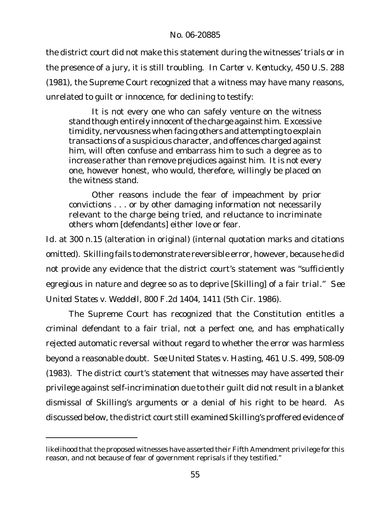the district court did not make this statement during the witnesses' trials or in the presence of a jury, it is still troubling. In *Carter v. Kentucky*, 450 U.S. 288 (1981), the Supreme Court recognized that a witness may have many reasons, unrelated to guilt or innocence, for declining to testify:

It is not every one who can safely venture on the witness stand though entirely innocent of the charge against him. Excessive timidity, nervousness when facing others and attempting to explain transactions of a suspicious character, and offences charged against him, will often confuse and embarrass him to such a degree as to increase rather than remove prejudices against him. It is not every one, however honest, who would, therefore, willingly be placed on the witness stand.

Other reasons include the fear of impeachment by prior convictions . . . or by other damaging information not necessarily relevant to the charge being tried, and reluctance to incriminate others whom [defendants] either love or fear.

*Id.* at 300 n.15 (alteration in original) (internal quotation marks and citations omitted). Skilling fails to demonstrate reversible error, however, because he did not provide any evidence that the district court's statement was "sufficiently egregious in nature and degree so as to deprive [Skilling] of a fair trial." *See United States v. Weddell*, 800 F.2d 1404, 1411 (5th Cir. 1986).

The Supreme Court has recognized that the Constitution entitles a criminal defendant to a fair trial, not a perfect one, and has emphatically rejected automatic reversal without regard to whether the error was harmless beyond a reasonable doubt. *See United States v. Hasting*, 461 U.S. 499, 508-09 (1983). The district court's statement that witnesses may have asserted their privilege against self-incrimination due to their guilt did not result in a blanket dismissal of Skilling's arguments or a denial of his right to be heard. As discussed below, the district court still examined Skilling's proffered evidence of

likelihood that the proposed witnesses have asserted their Fifth Amendment privilege for this reason, and not because of fear of government reprisals if they testified."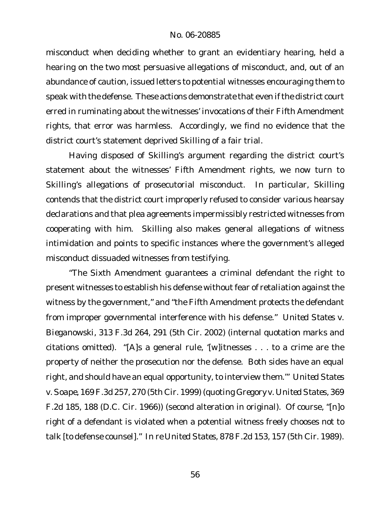misconduct when deciding whether to grant an evidentiary hearing, held a hearing on the two most persuasive allegations of misconduct, and, out of an abundance of caution, issued letters to potential witnesses encouraging them to speak with the defense. These actions demonstrate that even if the district court erred in ruminating about the witnesses' invocations of their Fifth Amendment rights, that error was harmless. Accordingly, we find no evidence that the district court's statement deprived Skilling of a fair trial.

Having disposed of Skilling's argument regarding the district court's statement about the witnesses' Fifth Amendment rights, we now turn to Skilling's allegations of prosecutorial misconduct. In particular, Skilling contends that the district court improperly refused to consider various hearsay declarations and that plea agreements impermissibly restricted witnesses from cooperating with him. Skilling also makes general allegations of witness intimidation and points to specific instances where the government's alleged misconduct dissuaded witnesses from testifying.

"The Sixth Amendment guarantees a criminal defendant the right to present witnesses to establish his defense without fear of retaliation against the witness by the government," and "the Fifth Amendment protects the defendant from improper governmental interference with his defense." *United States v. Bieganowski*, 313 F.3d 264, 291 (5th Cir. 2002) (internal quotation marks and citations omitted). "[A]s a general rule, '[w]itnesses . . . to a crime are the property of neither the prosecution nor the defense. Both sides have an equal right, and should have an equal opportunity, to interview them.'" *United States v.Soape*, 169 F.3d 257, 270 (5th Cir. 1999) (quoting *Gregory v. UnitedStates*, 369 F.2d 185, 188 (D.C. Cir. 1966)) (second alteration in original). Of course, "[n]o right of a defendant is violated when a potential witness freely chooses not to talk [to defense counsel]." *In re United States*, 878 F.2d 153, 157 (5th Cir. 1989).

56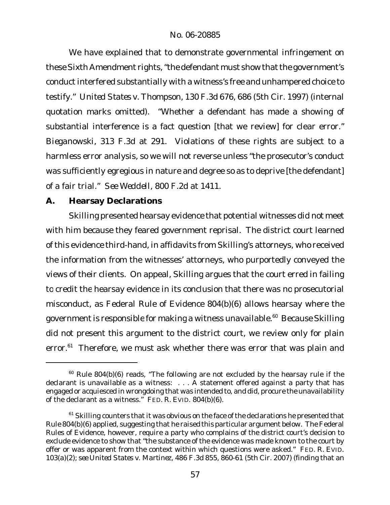We have explained that to demonstrate governmental infringement on these Sixth Amendment rights, "the defendant must show that the government's conduct interfered substantially with a witness's free and unhampered choice to testify." *United States v. Thompson*, 130 F.3d 676, 686 (5th Cir. 1997) (internal quotation marks omitted). "Whether a defendant has made a showing of substantial interference is a fact question [that we review] for clear error." *Bieganowski*, 313 F.3d at 291. Violations of these rights are subject to a harmless error analysis, so we will not reverse unless "the prosecutor's conduct was sufficiently egregious in nature and degree so as to deprive [the defendant] of a fair trial." *See Weddell*, 800 F.2d at 1411.

# **A. Hearsay Declarations**

Skilling presented hearsay evidence that potential witnesses did not meet with him because they feared government reprisal. The district court learned of this evidence third-hand, in affidavits from Skilling's attorneys, who received the information from the witnesses' attorneys, who purportedly conveyed the views of their clients. On appeal, Skilling argues that the court erred in failing to credit the hearsay evidence in its conclusion that there was no prosecutorial misconduct, as Federal Rule of Evidence 804(b)(6) allows hearsay where the government is responsible for making a witness unavailable.<sup>60</sup> Because Skilling did not present this argument to the district court, we review only for plain error.<sup>61</sup> Therefore, we must ask whether there was error that was plain and

 $60$  Rule 804(b)(6) reads, "The following are not excluded by the hearsay rule if the declarant is unavailable as a witness: . . . A statement offered against a party that has engaged or acquiesced in wrongdoing that was intended to, and did, procure the unavailability of the declarant as a witness." FED. R. EVID. 804(b)(6).

 $61$  Skilling counters that it was obvious on the face of the declarations he presented that Rule 804(b)(6) applied, suggesting that he raised this particular argument below. The Federal Rules of Evidence, however, require a party who complains of the district court's decision to exclude evidence to show that "the substance of the evidence was made known to the court by offer or was apparent from the context within which questions were asked." FED. R. EVID. 103(a)(2); *see United States v. Martinez*, 486 F.3d 855, 860-61 (5th Cir. 2007) (finding that an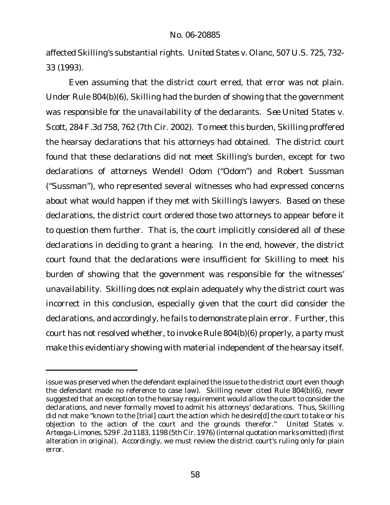affected Skilling's substantial rights. *United States v. Olano*, 507 U.S. 725, 732- 33 (1993).

Even assuming that the district court erred, that error was not plain. Under Rule 804(b)(6), Skilling had the burden of showing that the government was responsible for the unavailability of the declarants. *See United States v. Scott*, 284 F.3d 758, 762 (7th Cir. 2002). To meet this burden, Skilling proffered the hearsay declarations that his attorneys had obtained. The district court found that these declarations did not meet Skilling's burden, except for two declarations of attorneys Wendell Odom ("Odom") and Robert Sussman ("Sussman"), who represented several witnesses who had expressed concerns about what would happen if they met with Skilling's lawyers. Based on these declarations, the district court ordered those two attorneys to appear before it to question them further. That is, the court implicitly considered all of these declarations in deciding to grant a hearing. In the end, however, the district court found that the declarations were insufficient for Skilling to meet his burden of showing that the government was responsible for the witnesses' unavailability. Skilling does not explain adequately why the district court was incorrect in this conclusion, especially given that the court did consider the declarations, and accordingly, he fails to demonstrate plain error. Further, this court has not resolved whether, to invoke Rule 804(b)(6) properly, a party must make this evidentiary showing with material independent of the hearsay itself.

issue was preserved when the defendant explained the issue to the district court even though the defendant made no reference to case law). Skilling never cited Rule 804(b)(6), never suggested that an exception to the hearsay requirement would allow the court to consider the declarations, and never formally moved to admit his attorneys' declarations. Thus, Skilling did not make "known to the [trial] court the action which he desire[d] the court to take or his objection to the action of the court and the grounds therefor." *United States v. Arteaga-Limones,* 529F.2d 1183, 1198 (5th Cir. 1976) (internal quotation marks omitted)(first alteration in original). Accordingly, we must review the district court's ruling only for plain error.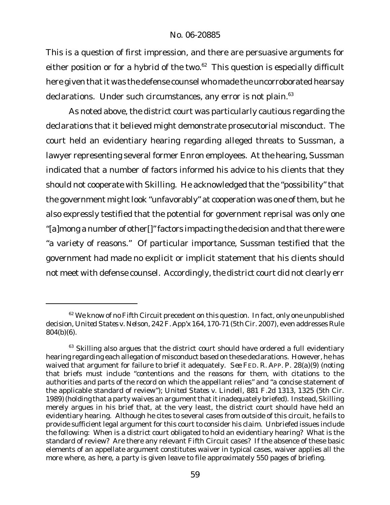This is a question of first impression, and there are persuasive arguments for either position or for a hybrid of the two. $62$  This question is especially difficult here given that it was the defense counsel who made the uncorroborated hearsay declarations. Under such circumstances, any error is not plain.<sup>63</sup>

As noted above, the district court was particularly cautious regarding the declarations that it believed might demonstrate prosecutorial misconduct. The court held an evidentiary hearing regarding alleged threats to Sussman, a lawyer representing several former Enron employees. At the hearing, Sussman indicated that a number of factors informed his advice to his clients that they should not cooperate with Skilling. He acknowledged that the "possibility" that the government might look "unfavorably" at cooperation was one of them, but he also expressly testified that the potential for government reprisal was only one "[a]mong a number of other[]" factors impacting the decision and that there were "a variety of reasons." Of particular importance, Sussman testified that the government had made no explicit or implicit statement that his clients should not meet with defense counsel. Accordingly, the district court did not clearly err

 $62$  We know of no Fifth Circuit precedent on this question. In fact, only one unpublished decision, *United States v. Nelson*, 242 F. App'x 164, 170-71 (5th Cir. 2007), even addresses Rule 804(b)(6).

<sup>&</sup>lt;sup>63</sup> Skilling also argues that the district court should have ordered a full evidentiary hearing regarding each allegation of misconduct based on these declarations. However, he has waived that argument for failure to brief it adequately. *See* FED. R. APP. P. 28(a)(9) (noting that briefs must include "contentions and the reasons for them, with citations to the authorities and parts of the record on which the appellant relies" and "a concise statement of the applicable standard of review"); *United States v. Lindell*, 881 F.2d 1313, 1325 (5th Cir. 1989) (holding that a party waives an argument that it inadequately briefed). Instead, Skilling merely argues in his brief that, at the very least, the district court should have held an evidentiary hearing. Although he cites to several cases from outside of this circuit, he fails to provide sufficient legal argument for this court to consider his claim. Unbriefed issues include the following: When is a district court obligated to hold an evidentiary hearing? What is the standard of review? Are there any relevant Fifth Circuit cases? If the absence of these basic elements of an appellate argument constitutes waiver in typical cases, waiver applies all the more where, as here, a party is given leave to file approximately 550 pages of briefing.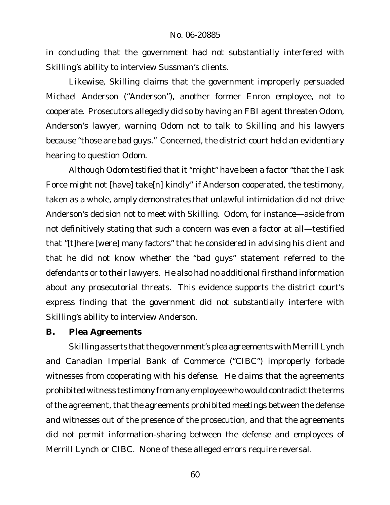in concluding that the government had not substantially interfered with Skilling's ability to interview Sussman's clients.

Likewise, Skilling claims that the government improperly persuaded Michael Anderson ("Anderson"), another former Enron employee, not to cooperate. Prosecutors allegedly did so by having an FBI agent threaten Odom, Anderson's lawyer, warning Odom not to talk to Skilling and his lawyers because "those are bad guys." Concerned, the district court held an evidentiary hearing to question Odom.

Although Odom testified that it "might" have been a factor "that the Task Force might not [have] take[n] kindly" if Anderson cooperated, the testimony, taken as a whole, amply demonstrates that unlawful intimidation did not drive Anderson's decision not to meet with Skilling. Odom, for instance—aside from not definitively stating that such a concern was even a factor at all—testified that "[t]here [were] many factors" that he considered in advising his client and that he did not know whether the "bad guys" statement referred to the defendants or to their lawyers. He also had no additional firsthand information about any prosecutorial threats. This evidence supports the district court's express finding that the government did not substantially interfere with Skilling's ability to interview Anderson.

**B. Plea Agreements**

Skilling asserts that the government's plea agreements with Merrill Lynch and Canadian Imperial Bank of Commerce ("CIBC") improperly forbade witnesses from cooperating with his defense. He claims that the agreements prohibited witness testimony from any employee who would contradict the terms of the agreement, that the agreements prohibited meetings between the defense and witnesses out of the presence of the prosecution, and that the agreements did not permit information-sharing between the defense and employees of Merrill Lynch or CIBC. None of these alleged errors require reversal.

60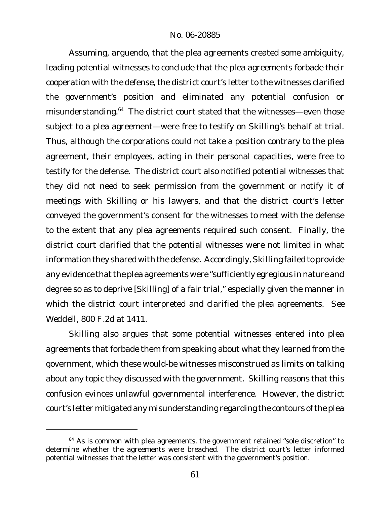Assuming, *arguendo*, that the plea agreements created some ambiguity, leading potential witnesses to conclude that the plea agreements forbade their cooperation with the defense, the district court's letter to the witnesses clarified the government's position and eliminated any potential confusion or misunderstanding.<sup>64</sup> The district court stated that the witnesses—even those subject to a plea agreement—were free to testify on Skilling's behalf at trial. Thus, although the *corporations* could not take a position contrary to the plea agreement, their *employees*, acting in their personal capacities, were free to testify for the defense. The district court also notified potential witnesses that they did not need to seek permission from the government or notify it of meetings with Skilling or his lawyers, and that the district court's letter conveyed the government's consent for the witnesses to meet with the defense to the extent that any plea agreements required such consent. Finally, the district court clarified that the potential witnesses were not limited in what information they shared with the defense. Accordingly, Skilling failed to provide any evidence that the plea agreements were "sufficiently egregious in nature and degree so as to deprive [Skilling] of a fair trial," especially given the manner in which the district court interpreted and clarified the plea agreements. *See Weddell*, 800 F.2d at 1411.

Skilling also argues that some potential witnesses entered into plea agreements that forbade them from speaking about what they learned *from* the government, which these would-be witnesses misconstrued as limits on talking about any topic they discussed *with* the government. Skilling reasons that this confusion evinces unlawful governmental interference. However, the district court's letter mitigated any misunderstanding regarding the contours of the plea

<sup>&</sup>lt;sup>64</sup> As is common with plea agreements, the government retained "sole discretion" to determine whether the agreements were breached. The district court's letter informed potential witnesses that the letter was consistent with the government's position.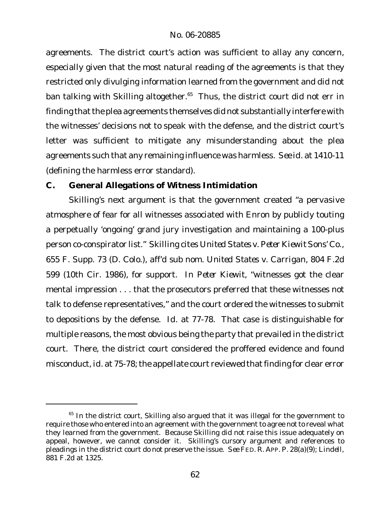agreements. The district court's action was sufficient to allay any concern, especially given that the most natural reading of the agreements is that they restricted only divulging information learned from the government and did not ban talking with Skilling altogether.<sup>65</sup> Thus, the district court did not err in finding that the plea agreements themselves did not substantially interfere with the witnesses' decisions not to speak with the defense, and the district court's letter was sufficient to mitigate any misunderstanding about the plea agreements such that any remaining influence was harmless. *See id.* at 1410-11 (defining the harmless error standard).

**C. General Allegations of Witness Intimidation**

Skilling's next argument is that the government created "a pervasive atmosphere of fear for all witnesses associated with Enron by publicly touting a perpetually 'ongoing' grand jury investigation and maintaining a 100-plus person co-conspirator list." Skilling cites *United States v. Peter Kiewit Sons' Co.*, 655 F. Supp. 73 (D. Colo.), *aff'd sub nom. United States v. Carrigan*, 804 F.2d 599 (10th Cir. 1986), for support. In *Peter Kiewit*, "witnesses got the clear mental impression . . . that the prosecutors preferred that these witnesses not talk to defense representatives," and the court ordered the witnesses to submit to depositions by the defense. *Id.* at 77-78. That case is distinguishable for multiple reasons, the most obvious being the party that prevailed in the district court. There, the district court considered the proffered evidence and found misconduct, id. at 75-78; the appellate court reviewed that finding for clear error

 $65$  In the district court, Skilling also argued that it was illegal for the government to require those who entered into an agreement with the government to agree not to reveal what they learned *from* the government. Because Skilling did not raise this issue adequately on appeal, however, we cannot consider it. Skilling's cursory argument and references to pleadings in the district court do not preserve the issue. *See* FED. R. APP. P. 28(a)(9); *Lindell*, 881 F.2d at 1325.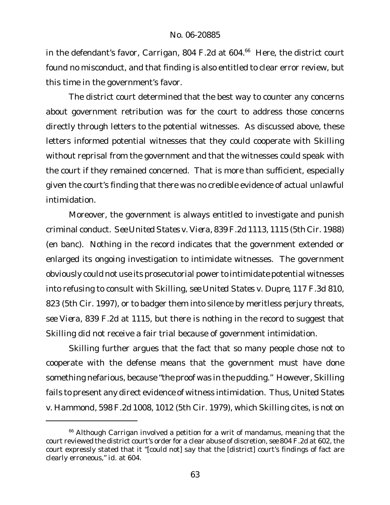in the defendant's favor, Carrigan, 804 F.2d at 604.<sup>66</sup> Here, the district court found no misconduct, and that finding is also entitled to clear error review, but this time in the government's favor.

The district court determined that the best way to counter any concerns about government retribution was for the court to address those concerns directly through letters to the potential witnesses. As discussed above, these letters informed potential witnesses that they could cooperate with Skilling without reprisal from the government and that the witnesses could speak with the court if they remained concerned. That is more than sufficient, especially given the court's finding that there was no credible evidence of actual unlawful intimidation.

Moreover, the government is always entitled to investigate and punish criminal conduct. *See United States v. Viera*, 839 F.2d 1113, 1115 (5th Cir. 1988) (en banc). Nothing in the record indicates that the government extended or enlarged its ongoing investigation to intimidate witnesses. The government obviously could not use its prosecutorial power to intimidate potential witnesses into refusing to consult with Skilling, *see United States v. Dupre*, 117 F.3d 810, 823 (5th Cir. 1997), or to badger them into silence by meritless perjury threats, *see Viera*, 839 F.2d at 1115, but there is nothing in the record to suggest that Skilling did not receive a fair trial because of government intimidation.

Skilling further argues that the fact that so many people chose not to cooperate with the defense means that the government must have done something nefarious, because "the proof was in the pudding." However, Skilling fails to present any direct evidence of witness intimidation. Thus, *United States v. Hammond*, 598 F.2d 1008, 1012 (5th Cir. 1979), which Skilling cites, is not on

<sup>66</sup> Although *Carrigan* involved a petition for a writ of mandamus, meaning that the court reviewed the district court's order for a clear abuse of discretion, *see* 804 F.2d at 602, the court expressly stated that it "[could not] say that the [district] court's findings of fact are clearly erroneous," *id.* at 604.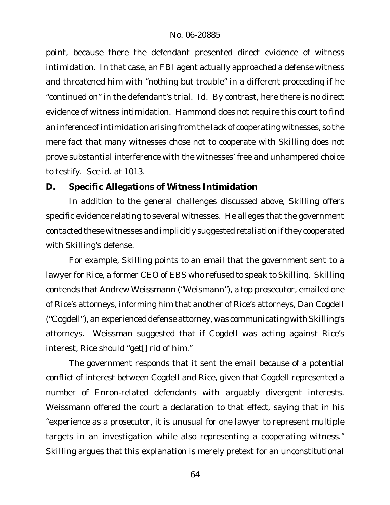#### No. 06-20885

point, because there the defendant presented direct evidence of witness intimidation. In that case, an FBI agent actually approached a defense witness and threatened him with "nothing but trouble" in a different proceeding if he "continued on" in the defendant's trial. *Id.* By contrast, here there is no direct evidence of witness intimidation. *Hammond* does not require this court to find an *inference* of intimidation arising from the lack of cooperating witnesses, so the mere fact that many witnesses chose not to cooperate with Skilling does not prove substantial interference with the witnesses' free and unhampered choice to testify. *See id.* at 1013.

**D. Specific Allegations of Witness Intimidation**

In addition to the general challenges discussed above, Skilling offers specific evidence relating to several witnesses. He alleges that the government contacted these witnesses and implicitly suggested retaliation ifthey cooperated with Skilling's defense.

For example, Skilling points to an email that the government sent to a lawyer for Rice, a former CEO of EBS who refused to speak to Skilling. Skilling contends that Andrew Weissmann ("Weismann"), a top prosecutor, emailed one of Rice's attorneys, informing him that another of Rice's attorneys, Dan Cogdell ("Cogdell"), an experienced defense attorney, was communicating with Skilling's attorneys. Weissman suggested that if Cogdell was acting against Rice's interest, Rice should "get[] rid of him."

The government responds that it sent the email because of a potential conflict of interest between Cogdell and Rice, given that Cogdell represented a number of Enron-related defendants with arguably divergent interests. Weissmann offered the court a declaration to that effect, saying that in his "experience as a prosecutor, it is unusual for one lawyer to represent multiple targets in an investigation while also representing a cooperating witness." Skilling argues that this explanation is merely pretext for an unconstitutional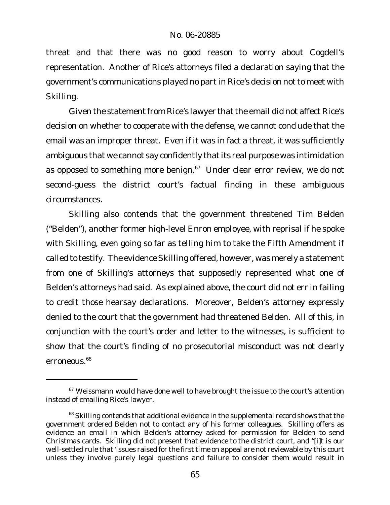threat and that there was no good reason to worry about Cogdell's representation. Another of Rice's attorneys filed a declaration saying that the government's communications played no part in Rice's decision not to meet with Skilling.

Given the statement from Rice's lawyer that the email did not affect Rice's decision on whether to cooperate with the defense, we cannot conclude that the email was an improper threat. Even if it was in fact a threat, it was sufficiently ambiguous that we cannot say confidently that its real purpose was intimidation as opposed to something more benign.<sup>67</sup> Under clear error review, we do not second-guess the district court's factual finding in these ambiguous circumstances.

Skilling also contends that the government threatened Tim Belden ("Belden"), another former high-level Enron employee, with reprisal if he spoke with Skilling, even going so far as telling him to take the Fifth Amendment if called to testify. The evidence Skilling offered, however, was merely a statement from one of Skilling's attorneys that supposedly represented what one of Belden's attorneys had said. As explained above, the court did not err in failing to credit those hearsay declarations. Moreover, Belden's attorney expressly denied to the court that the government had threatened Belden. All of this, in conjunction with the court's order and letter to the witnesses, is sufficient to show that the court's finding of no prosecutorial misconduct was not clearly erroneous.<sup>68</sup>

 $67$  Weissmann would have done well to have brought the issue to the court's attention instead of emailing Rice's lawyer.

 $^{68}$  Skilling contends that additional evidence in the supplemental record shows that the government ordered Belden not to contact any of his former colleagues. Skilling offers as evidence an email in which Belden's attorney asked for permission for Belden to send Christmas cards. Skilling did not present that evidence to the district court, and "[i]t is our well-settled rule that 'issues raised for the first time on appeal are not reviewable by this court unless they involve purely legal questions and failure to consider them would result in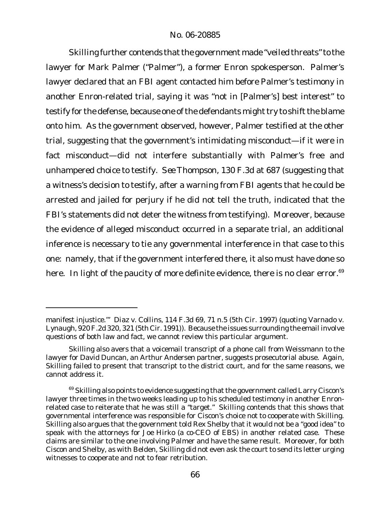Skilling further contends that the government made "veiled threats" to the lawyer for Mark Palmer ("Palmer"), a former Enron spokesperson. Palmer's lawyer declared that an FBI agent contacted him before Palmer's testimony in another Enron-related trial, saying it was "not in [Palmer's] best interest" to testify for the defense, because one of the defendants might try to shift the blame onto him. As the government observed, however, Palmer testified at the other trial, suggesting that the government's intimidating misconduct—if it were in fact misconduct—did not interfere substantially with Palmer's free and unhampered choice to testify. *See Thompson*, 130 F.3d at 687 (suggesting that a witness's decision to testify, after a warning from FBI agents that he could be arrested and jailed for perjury if he did not tell the truth, indicated that the FBI's statements did not deter the witness from testifying). Moreover, because the evidence of alleged misconduct occurred in a separate trial, an additional inference is necessary to tie any governmental interference in that case to this one: namely, that if the government interfered there, it also must have done so here. In light of the paucity of more definite evidence, there is no clear error.<sup>69</sup>

manifest injustice.'" *Diaz v. Collins*, 114 F.3d 69, 71 n.5 (5th Cir. 1997) (quoting *Varnado v. Lynaugh*, 920 F.2d 320, 321 (5th Cir. 1991)). Because the issues surrounding the email involve questions of both law and fact, we cannot review this particular argument.

Skilling also avers that a voicemail transcript of a phone call from Weissmann to the lawyer for David Duncan, an Arthur Andersen partner, suggests prosecutorial abuse. Again, Skilling failed to present that transcript to the district court, and for the same reasons, we cannot address it.

<sup>&</sup>lt;sup>69</sup> Skilling also points to evidence suggesting that the government called Larry Ciscon's lawyer three times in the two weeks leading up to his scheduled testimony in another Enronrelated case to reiterate that he was still a "target." Skilling contends that this shows that governmental interference was responsible for Ciscon's choice not to cooperate with Skilling. Skilling also argues that the government told Rex Shelby that it would not be a "good idea" to speak with the attorneys for Joe Hirko (a co-CEO of EBS) in another related case. These claims are similar to the one involving Palmer and have the same result. Moreover, for both Ciscon and Shelby, as with Belden, Skilling did not even ask the court to send its letter urging witnesses to cooperate and not to fear retribution.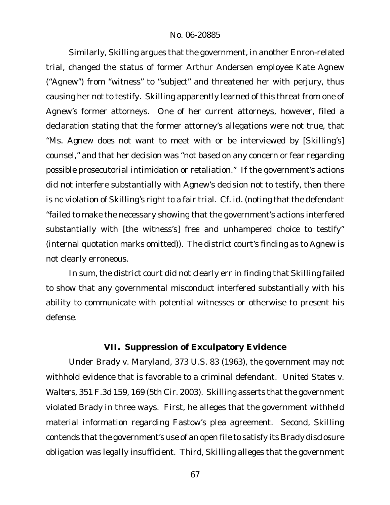#### No. 06-20885

Similarly, Skilling argues that the government, in another Enron-related trial, changed the status of former Arthur Andersen employee Kate Agnew ("Agnew") from "witness" to "subject" and threatened her with perjury, thus causing her not to testify. Skilling apparently learned of this threat from one of Agnew's former attorneys. One of her current attorneys, however, filed a declaration stating that the former attorney's allegations were not true, that "Ms. Agnew does not want to meet with or be interviewed by [Skilling's] counsel," and that her decision was "not based on any concern or fear regarding possible prosecutorial intimidation or retaliation." If the government's actions did not interfere substantially with Agnew's decision not to testify, then there is no violation of Skilling's right to a fair trial. *Cf. id.* (noting that the defendant "failed to make the necessary showing that the government's actions interfered substantially with [the witness's] free and unhampered choice to testify" (internal quotation marks omitted)). The district court's finding as to Agnew is not clearly erroneous.

In sum, the district court did not clearly err in finding that Skilling failed to show that any governmental misconduct interfered substantially with his ability to communicate with potential witnesses or otherwise to present his defense.

# **VII. Suppression of Exculpatory Evidence**

Under *Brady v. Maryland*, 373 U.S. 83 (1963), the government may not withhold evidence that is favorable to a criminal defendant. *United States v. Walters*, 351 F.3d 159, 169 (5th Cir. 2003). Skilling asserts that the government violated *Brady* in three ways. First, he alleges that the government withheld material information regarding Fastow's plea agreement. Second, Skilling contends that the government's use of an open file to satisfy its *Brady* disclosure obligation was legally insufficient. Third, Skilling alleges that the government

67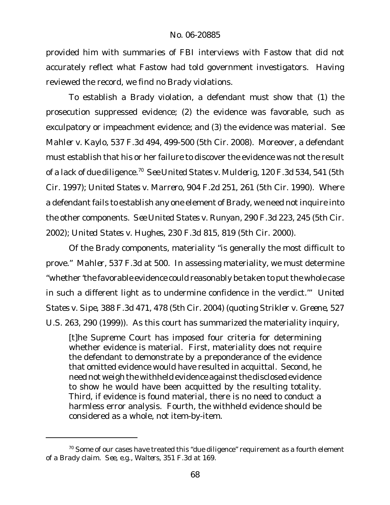provided him with summaries of FBI interviews with Fastow that did not accurately reflect what Fastow had told government investigators. Having reviewed the record, we find no *Brady* violations.

To establish a *Brady* violation, a defendant must show that (1) the prosecution suppressed evidence; (2) the evidence was favorable, such as exculpatory or impeachment evidence; and (3) the evidence was material. *See Mahler v. Kaylo*, 537 F.3d 494, 499-500 (5th Cir. 2008). Moreover, a defendant must establish that his or her failure to discover the evidence was not the result of a lack of due diligence.<sup>70</sup> *See United States v. Mulderig*, 120 F.3d 534, 541 (5th Cir. 1997); *United States v. Marrero*, 904 F.2d 251, 261 (5th Cir. 1990). Where a defendant fails to establish any one element of *Brady*, we need not inquire into the other components. *See United States v. Runyan*, 290 F.3d 223, 245 (5th Cir. 2002)*; United States v. Hughes*, 230 F.3d 815, 819 (5th Cir. 2000).

Of the *Brady* components, materiality "is generally the most difficult to prove." *Mahler*, 537 F.3d at 500. In assessing materiality, we must determine "whether 'the favorable evidence could reasonably be taken to put the whole case in such a different light as to undermine confidence in the verdict.'" *United States v. Sipe*, 388 F.3d 471, 478 (5th Cir. 2004) (quoting *Strikler v. Greene*, 527 U.S. 263, 290 (1999)). As this court has summarized the materiality inquiry,

[t]he Supreme Court has imposed four criteria for determining whether evidence is material. First, materiality does not require the defendant to demonstrate by a preponderance of the evidence that omitted evidence would have resulted in acquittal. Second, he need not weigh the withheld evidence against the disclosed evidence to show he would have been acquitted by the resulting totality. Third, if evidence is found material, there is no need to conduct a harmless error analysis. Fourth, the withheld evidence should be considered as a whole, not item-by-item.

 $70$  Some of our cases have treated this "due diligence" requirement as a fourth element of a *Brady* claim. *See, e.g.*, *Walters*, 351 F.3d at 169.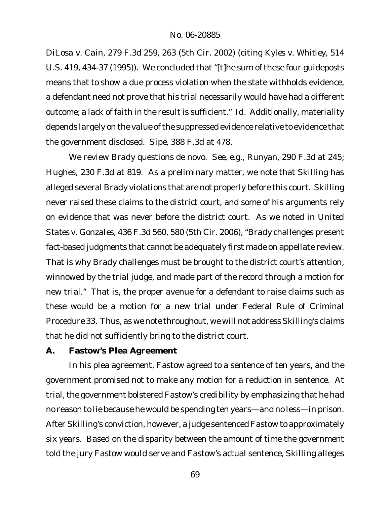*DiLosa v. Cain*, 279 F.3d 259, 263 (5th Cir. 2002) (citing *Kyles v. Whitley*, 514 U.S. 419, 434-37 (1995)). We concluded that "[t]he sum of these four guideposts means that to show a due process violation when the state withholds evidence, a defendant need not prove that his trial necessarily would have had a different outcome; a lack of faith in the result is sufficient." *Id.* Additionally, materiality depends largely on the value of the suppressed evidence relative to evidence that the government disclosed. *Sipe*, 388 F.3d at 478.

We review *Brady* questions de novo. *See, e.g.*, *Runyan*, 290 F.3d at 245; *Hughes*, 230 F.3d at 819. As a preliminary matter, we note that Skilling has alleged several *Brady* violations that are not properly before this court. Skilling never raised these claims to the district court, and some of his arguments rely on evidence that was never before the district court. As we noted in *United States v. Gonzales*, 436 F.3d 560, 580 (5th Cir. 2006), "*Brady* challenges present fact-based judgments that cannot be adequately first made on appellate review. That is why *Brady* challenges must be brought to the district court's attention, winnowed by the trial judge, and made part of the record through a motion for new trial." That is, the proper avenue for a defendant to raise claims such as these would be a motion for a new trial under Federal Rule of Criminal Procedure 33. Thus, as we note throughout, we will not address Skilling's claims that he did not sufficiently bring to the district court.

#### **A. Fastow's Plea Agreement**

In his plea agreement, Fastow agreed to a sentence of ten years, and the government promised not to make any motion for a reduction in sentence. At trial, the government bolstered Fastow's credibility by emphasizing that he had no reason to lie because he would be spending ten years—and no less—in prison. After Skilling's conviction, however, a judge sentenced Fastow to approximately six years. Based on the disparity between the amount of time the government told the jury Fastow would serve and Fastow's actual sentence, Skilling alleges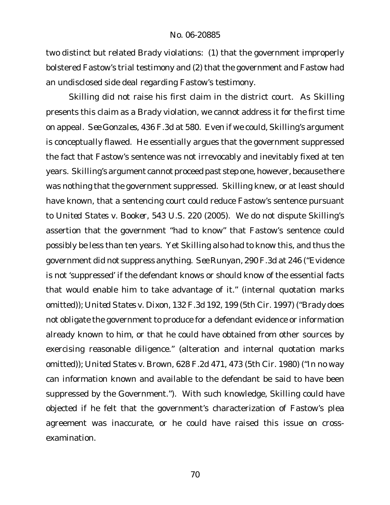two distinct but related *Brady* violations: (1) that the government improperly bolstered Fastow's trial testimony and (2) that the government and Fastow had an undisclosed side deal regarding Fastow's testimony.

Skilling did not raise his first claim in the district court. As Skilling presents this claim as a *Brady* violation, we cannot address it for the first time on appeal. *See Gonzales*, 436 F.3d at 580. Even if we could, Skilling's argument is conceptually flawed. He essentially argues that the government suppressed the fact that Fastow's sentence was not irrevocably and inevitably fixed at ten years. Skilling's argument cannot proceed past step one, however, because there was nothing that the government suppressed. Skilling knew, or at least should have known, that a sentencing court could reduce Fastow's sentence pursuant to *United States v. Booker*, 543 U.S. 220 (2005). We do not dispute Skilling's assertion that the government "had to know" that Fastow's sentence could possibly be less than ten years. Yet Skilling also had to know this, and thus the government did not suppress anything. *See Runyan*, 290 F.3d at 246 ("Evidence is not 'suppressed' if the defendant knows or should know of the essential facts that would enable him to take advantage of it." (internal quotation marks omitted)); *United States v. Dixon*, 132 F.3d 192, 199 (5th Cir. 1997) ("*Brady* does not obligate the government to produce for a defendant evidence or information already known to him, or that he could have obtained from other sources by exercising reasonable diligence." (alteration and internal quotation marks omitted)); *United States v. Brown*, 628 F.2d 471, 473 (5th Cir. 1980) ("In no way can information known and available to the defendant be said to have been suppressed by the Government."). With such knowledge, Skilling could have objected if he felt that the government's characterization of Fastow's plea agreement was inaccurate, or he could have raised this issue on crossexamination.

70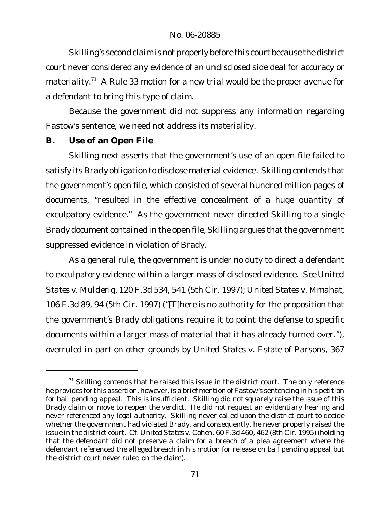Skilling's second claim is not properly before this court because the district court never considered any evidence of an undisclosed side deal for accuracy or materiality.<sup>71</sup> A Rule 33 motion for a new trial would be the proper avenue for a defendant to bring this type of claim.

Because the government did not suppress any information regarding Fastow's sentence, we need not address its materiality.

**B. Use of an Open File**

Skilling next asserts that the government's use of an open file failed to satisfy its *Brady* obligation to disclose material evidence. Skilling contends that the government's open file, which consisted of several hundred million pages of documents, "resulted in the effective concealment of a huge quantity of exculpatory evidence." As the government never directed Skilling to a single *Brady* document contained in the open file, Skilling argues that the government suppressed evidence in violation of *Brady*.

As a general rule, the government is under no duty to direct a defendant to exculpatory evidence within a larger mass of disclosed evidence. *See United States v. Mulderig*, 120 F.3d 534, 541 (5th Cir. 1997); *United States v. Mmahat*, 106 F.3d 89, 94 (5th Cir. 1997) ("[T]here is no authority for the proposition that the government's *Brady* obligations require it to point the defense to specific documents within a larger mass of material that it has already turned over."), *overruled in part on other grounds by United States v. Estate of Parsons*, 367

 $71$  Skilling contends that he raised this issue in the district court. The only reference he provides for this assertion, however, is a brief mention of Fastow's sentencing in his petition for bail pending appeal. This is insufficient. Skilling did not squarely raise the issue of this *Brady* claim or move to reopen the verdict. He did not request an evidentiary hearing and never referenced any legal authority. Skilling never called upon the district court to decide whether the government had violated *Brady*, and consequently, he never properly raised the issue in the district court. *Cf. United States v. Cohen*, 60 F.3d 460, 462 (8th Cir. 1995) (holding that the defendant did not preserve a claim for a breach of a plea agreement where the defendant referenced the alleged breach in his motion for release on bail pending appeal but the district court never ruled on the claim).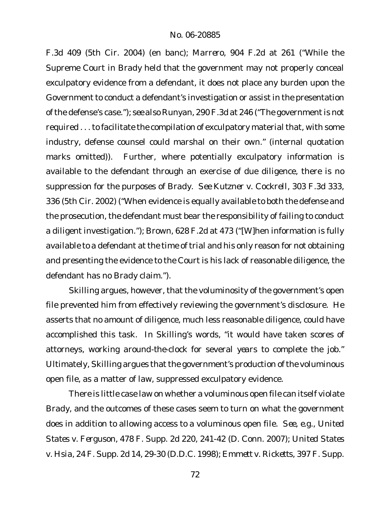F.3d 409 (5th Cir. 2004) (en banc); *Marrero*, 904 F.2d at 261 ("While the Supreme Court in *Brady* held that the government may not properly conceal exculpatory evidence from a defendant, it does not place any burden upon the Government to conduct a defendant's investigation or assist in the presentation ofthe defense's case."); *see also Runyan*, 290 F.3d at 246 ("The governmentis not required . . . to facilitate the compilation of exculpatory material that, with some industry, defense counsel could marshal on their own." (internal quotation marks omitted)). Further, where potentially exculpatory information is available to the defendant through an exercise of due diligence, there is no suppression for the purposes of *Brady*. *See Kutzner v. Cockrell*, 303 F.3d 333, 336 (5th Cir. 2002) ("When evidence is equally available to both the defense and the prosecution, the defendant must bear the responsibility of failing to conduct a diligent investigation."); *Brown*, 628 F.2d at 473 ("[W]hen information is fully available to a defendant at the time of trial and his only reason for not obtaining and presenting the evidence to the Court is his lack of reasonable diligence, the defendant has no *Brady* claim.").

Skilling argues, however, that the voluminosity of the government's open file prevented him from effectively reviewing the government's disclosure. He asserts that no amount of diligence, much less reasonable diligence, could have accomplished this task. In Skilling's words, "it would have taken scores of attorneys, working *around-the-clock* for several *years* to complete the job." Ultimately, Skilling argues that the government's production of the voluminous open file, as a matter of law, suppressed exculpatory evidence.

There is little case law on whether a voluminous open file can itself violate *Brady*, and the outcomes of these cases seem to turn on what the government does in addition to allowing access to a voluminous open file. *See, e.g.*, *United States v. Ferguson*, 478 F. Supp. 2d 220, 241-42 (D. Conn. 2007); *United States v. Hsia,* 24 F. Supp. 2d 14, 29-30 (D.D.C. 1998); *Emmett v. Ricketts*, 397 F. Supp.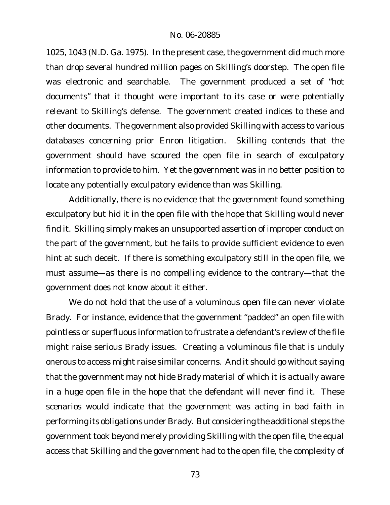1025, 1043 (N.D. Ga. 1975). In the present case, the government did much more than drop several hundred million pages on Skilling's doorstep. The open file was electronic and searchable. The government produced a set of "hot documents" that it thought were important to its case or were potentially relevant to Skilling's defense. The government created indices to these and other documents. The government also provided Skilling with access to various databases concerning prior Enron litigation. Skilling contends that the government should have scoured the open file in search of exculpatory information to provide to him. Yet the government was in no better position to locate any potentially exculpatory evidence than was Skilling.

Additionally, there is no evidence that the government found something exculpatory but hid it in the open file with the hope that Skilling would never find it. Skilling simply makes an unsupported assertion of improper conduct on the part of the government, but he fails to provide sufficient evidence to even hint at such deceit. If there is something exculpatory still in the open file, we must assume—as there is no compelling evidence to the contrary—that the government does not know about it either.

We do not hold that the use of a voluminous open file can never violate *Brady*. For instance, evidence that the government "padded" an open file with pointless or superfluous information to frustrate a defendant's review of the file might raise serious *Brady* issues. Creating a voluminous file that is unduly onerous to access might raise similar concerns. And it should go without saying that the government may not hide *Brady* material of which it is actually aware in a huge open file in the hope that the defendant will never find it. These scenarios would indicate that the government was acting in bad faith in performing its obligations under *Brady*. But considering the additional steps the government took beyond merely providing Skilling with the open file, the equal access that Skilling and the government had to the open file, the complexity of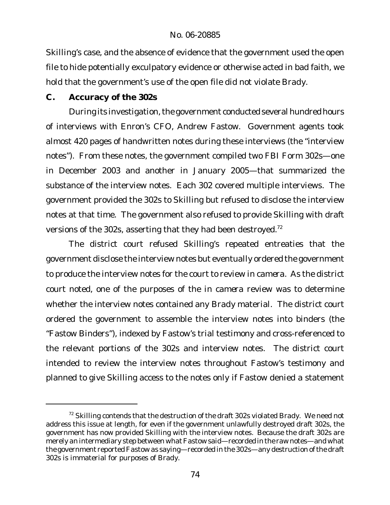Skilling's case, and the absence of evidence that the government used the open file to hide potentially exculpatory evidence or otherwise acted in bad faith, we hold that the government's use of the open file did not violate *Brady*.

**C. Accuracy of the 302s**

During its investigation, the government conducted several hundred hours of interviews with Enron's CFO, Andrew Fastow. Government agents took almost 420 pages of handwritten notes during these interviews (the "interview notes"). From these notes, the government compiled two FBI Form 302s—one in December 2003 and another in January 2005—that summarized the substance of the interview notes. Each 302 covered multiple interviews. The government provided the 302s to Skilling but refused to disclose the interview notes at that time. The government also refused to provide Skilling with draft versions of the 302s, asserting that they had been destroyed.<sup>72</sup>

The district court refused Skilling's repeated entreaties that the government disclose the interview notes but eventually ordered the government to produce the interview notes for the court to review *in camera*. As the district court noted, one of the purposes of the *in camera* review was to determine whether the interview notes contained any *Brady* material. The district court ordered the government to assemble the interview notes into binders (the "Fastow Binders"), indexed by Fastow's trial testimony and cross-referenced to the relevant portions of the 302s and interview notes. The district court intended to review the interview notes throughout Fastow's testimony and planned to give Skilling access to the notes only if Fastow denied a statement

<sup>72</sup> Skilling contends that the destruction of the draft 302s violated *Brady*. We need not address this issue at length, for even if the government unlawfully destroyed draft 302s, the government has now provided Skilling with the interview notes. Because the draft 302s are merely an intermediary step between what Fastow said—recorded in the raw notes—and what the government reported Fastow as saying—recorded in the 302s—any destruction of the draft 302s is immaterial for purposes of *Brady*.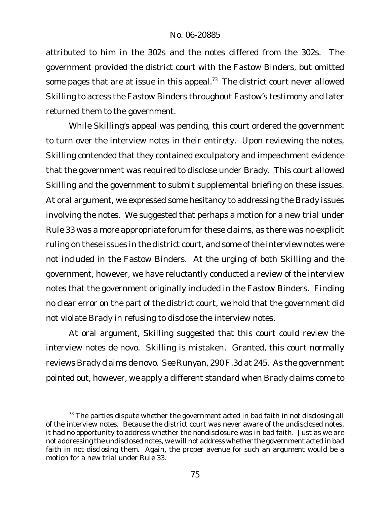attributed to him in the 302s and the notes differed from the 302s. The government provided the district court with the Fastow Binders, but omitted some pages that are at issue in this appeal.<sup>73</sup> The district court never allowed Skilling to access the Fastow Binders throughout Fastow's testimony and later returned them to the government.

While Skilling's appeal was pending, this court ordered the government to turn over the interview notes in their entirety. Upon reviewing the notes, Skilling contended that they contained exculpatory and impeachment evidence that the government was required to disclose under *Brady*. This court allowed Skilling and the government to submit supplemental briefing on these issues. At oral argument, we expressed some hesitancy to addressing the *Brady* issues involving the notes. We suggested that perhaps a motion for a new trial under Rule 33 was a more appropriate forum for these claims, as there was no explicit ruling on these issues in the district court, and some of the interview notes were not included in the Fastow Binders. At the urging of both Skilling and the government, however, we have reluctantly conducted a review of the interview notes that the government originally included in the Fastow Binders. Finding no clear error on the part of the district court, we hold that the government did not violate *Brady* in refusing to disclose the interview notes.

At oral argument, Skilling suggested that this court could review the interview notes de novo. Skilling is mistaken. Granted, this court normally reviews *Brady* claims de novo. *See Runyan*, 290 F.3d at 245. As the government pointed out, however, we apply a different standard when *Brady* claims come to

 $73$  The parties dispute whether the government acted in bad faith in not disclosing all of the interview notes. Because the district court was never aware of the undisclosed notes, it had no opportunity to address whether the nondisclosure was in bad faith. Just as we are not addressing the undisclosed notes, wewill not address whether the government acted in bad faith in not disclosing them. Again, the proper avenue for such an argument would be a motion for a new trial under Rule 33.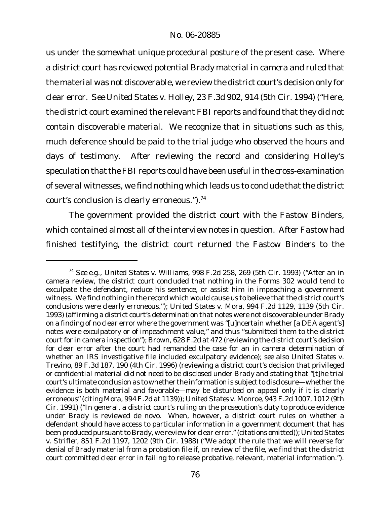us under the somewhat unique procedural posture of the present case. Where a district court has reviewed potential *Brady* material *in camera* and ruled that the material was not discoverable, we review the district court's decision only for clear error. *See United States v. Holley*, 23 F.3d 902, 914 (5th Cir. 1994) ("Here, the district court examined the relevant FBI reports and found that they did not contain discoverable material. We recognize that in situations such as this, much deference should be paid to the trial judge who observed the hours and days of testimony. After reviewing the record and considering Holley's speculation that the FBI reports could have been useful in the cross-examination of several witnesses, we find nothing which leads us to conclude that the district court's conclusion is clearly erroneous.").<sup>74</sup>

The government provided the district court with the Fastow Binders, which contained almost all of the interview notes in question. After Fastow had finished testifying, the district court returned the Fastow Binders to the

<sup>74</sup> *See e.g.*, *United States v. Williams*, 998 F.2d 258, 269 (5th Cir. 1993) ("After an *in camera* review, the district court concluded that nothing in the Forms 302 would tend to exculpate the defendant, reduce his sentence, or assist him in impeaching a government witness. We find nothing in the record which would cause us to believe that the district court's conclusions were clearly erroneous."); *United States v. Mora*, 994 F.2d 1129, 1139 (5th Cir. 1993) (affirming a district court's determination that notes were not discoverable under *Brady* on a finding of no clear error where the government was "[u]ncertain whether [a DEA agent's] notes were exculpatory or of impeachment value," and thus "submitted them to the district court for *in camera* inspection"); *Brown*, 628 F.2d at 472 (reviewing the district court's decision for clear error after the court had remanded the case for an *in camera* determination of whether an IRS investigative file included exculpatory evidence); *see also United States v. Trevino*, 89 F.3d 187, 190 (4th Cir. 1996) (reviewing a district court's decision that privileged or confidential material did not need to be disclosed under *Brady* and stating that "[t]he trial court's ultimate conclusion as to whether the information is subject to disclosure—whether the evidence is both material and favorable—may be disturbed on appeal only if it is clearly erroneous" (citing *Mora*, 994 F.2d at 1139)); *United States v. Monroe*, 943 F.2d 1007, 1012 (9th Cir. 1991) ("In general, a district court's ruling on the prosecution's duty to produce evidence under *Brady* is reviewed de novo. When, however, a district court rules on whether a defendant should have access to particular information in a government document that has been produced pursuant to Brady, we review for clear error." (citations omitted)); United States *v. Strifler*, 851 F.2d 1197, 1202 (9th Cir. 1988) ("We adopt the rule that we will reverse for denial of *Brady* material from a probation file if, on review of the file, we find that the district court committed clear error in failing to release probative, relevant, material information.").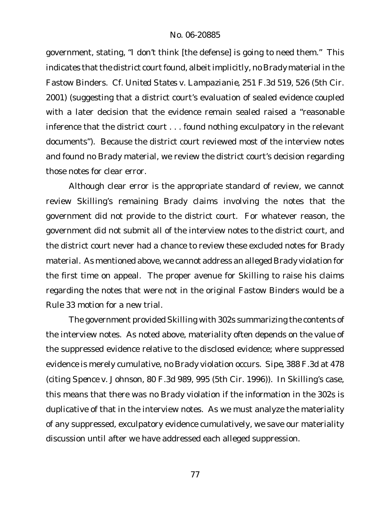government, stating, "I don't think [the defense] is going to need them." This indicates that the district court found, albeit implicitly, no Brady material in the Fastow Binders. *Cf. United States v. Lampazianie*, 251 F.3d 519, 526 (5th Cir. 2001) (suggesting that a district court's evaluation of sealed evidence coupled with a later decision that the evidence remain sealed raised a "reasonable inference that the district court . . . found nothing exculpatory in the relevant documents"). Because the district court reviewed most of the interview notes and found no *Brady* material, we review the district court's decision regarding those notes for clear error.

Although clear error is the appropriate standard of review, we cannot review Skilling's remaining *Brady* claims involving the notes that the government did not provide to the district court. For whatever reason, the government did not submit all of the interview notes to the district court, and the district court never had a chance to review these excluded notes for *Brady* material. As mentioned above, we cannot address an alleged *Brady* violation for the first time on appeal. The proper avenue for Skilling to raise his claims regarding the notes that were not in the original Fastow Binders would be a Rule 33 motion for a new trial.

The government provided Skilling with 302s summarizing the contents of the interview notes. As noted above, materiality often depends on the value of the suppressed evidence relative to the disclosed evidence; where suppressed evidence is merely cumulative, no *Brady* violation occurs. *Sipe*, 388 F.3d at 478 (citing *Spence v. Johnson*, 80 F.3d 989, 995 (5th Cir. 1996)). In Skilling's case, this means that there was no *Brady* violation if the information in the 302s is duplicative of that in the interview notes. As we must analyze the materiality of any suppressed, exculpatory evidence cumulatively, we save our materiality discussion until after we have addressed each alleged suppression.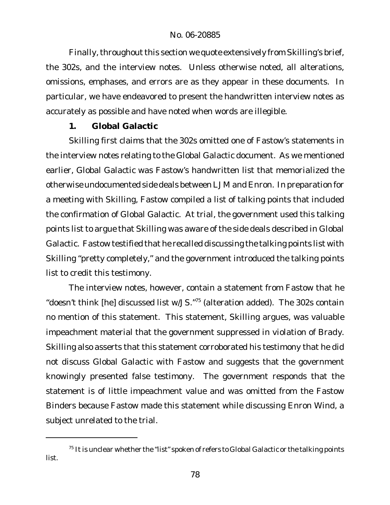Finally, throughout this section we quote extensively from Skilling's brief, the 302s, and the interview notes. Unless otherwise noted, all alterations, omissions, emphases, and errors are as they appear in these documents. In particular, we have endeavored to present the handwritten interview notes as accurately as possible and have noted when words are illegible.

**1. Global Galactic**

Skilling first claims that the 302s omitted one of Fastow's statements in the interview notes relating to the Global Galactic document. As we mentioned earlier, Global Galactic was Fastow's handwritten list that memorialized the otherwise undocumented side deals between LJM and Enron. In preparation for a meeting with Skilling, Fastow compiled a list of talking points that included the confirmation of Global Galactic. At trial, the government used this talking points list to argue that Skilling was aware of the side deals described in Global Galactic. Fastow testified that he recalled discussing the talking points list with Skilling "pretty completely," and the government introduced the talking points list to credit this testimony.

The interview notes, however, contain a statement from Fastow that he "doesn't think [he] discussed list w/JS."<sup>75</sup> (alteration added). The 302s contain no mention of this statement. This statement, Skilling argues, was valuable impeachment material that the government suppressed in violation of *Brady*. Skilling also asserts that this statement corroborated his testimony that he did not discuss Global Galactic with Fastow and suggests that the government knowingly presented false testimony. The government responds that the statement is of little impeachment value and was omitted from the Fastow Binders because Fastow made this statement while discussing Enron Wind, a subject unrelated to the trial.

 $75$  It is unclear whether the "list" spoken of refers to Global Galactic or the talking points list.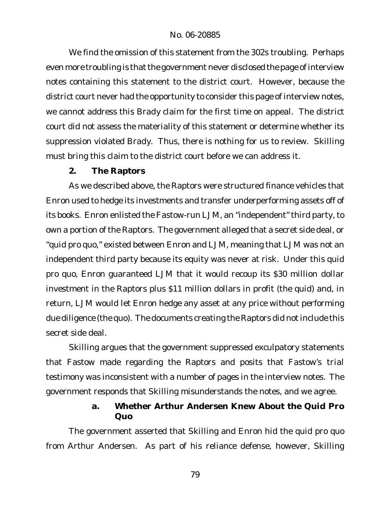We find the omission of this statement from the 302s troubling. Perhaps even more troubling is that the government never disclosed the page of interview notes containing this statement to the district court. However, because the district court never had the opportunity to consider this page of interview notes, we cannot address this *Brady* claim for the first time on appeal. The district court did not assess the materiality of this statement or determine whether its suppression violated *Brady*. Thus, there is nothing for us to review. Skilling must bring this claim to the district court before we can address it.

### **2. The Raptors**

As we described above, the Raptors were structured finance vehicles that Enron used to hedge its investments and transfer underperforming assets off of its books. Enron enlisted the Fastow-run LJM, an "independent" third party, to own a portion of the Raptors. The government alleged that a secret side deal, or "quid pro quo," existed between Enron and LJM, meaning that LJM was not an independent third party because its equity was never at risk. Under this quid pro quo, Enron guaranteed LJM that it would recoup its \$30 million dollar investment in the Raptors plus \$11 million dollars in profit (the quid) and, in return, LJM would let Enron hedge any asset at any price without performing due diligence (the quo). The documents creating the Raptors did not include this secret side deal.

Skilling argues that the government suppressed exculpatory statements that Fastow made regarding the Raptors and posits that Fastow's trial testimony was inconsistent with a number of pages in the interview notes. The government responds that Skilling misunderstands the notes, and we agree.

> **a. Whether Arthur Andersen Knew About the Quid Pro Quo**

The government asserted that Skilling and Enron hid the quid pro quo from Arthur Andersen. As part of his reliance defense, however, Skilling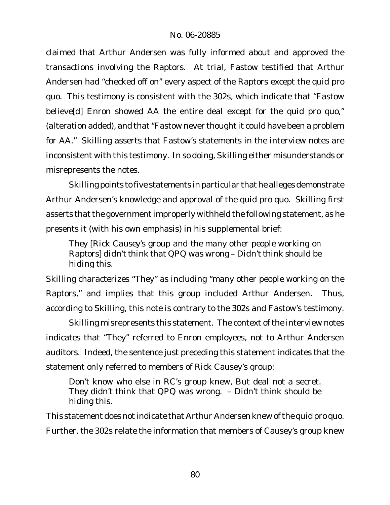claimed that Arthur Andersen was fully informed about and approved the transactions involving the Raptors. At trial, Fastow testified that Arthur Andersen had "checked off on" every aspect of the Raptors except the quid pro quo. This testimony is consistent with the 302s, which indicate that "Fastow believe[d] Enron showed AA the entire deal except for the quid pro quo," (alteration added), and that "Fastow never thought it could have been a problem for AA." Skilling asserts that Fastow's statements in the interview notes are inconsistent with this testimony. In so doing, Skilling either misunderstands or misrepresents the notes.

Skilling points to five statements in particular that he alleges demonstrate Arthur Andersen's knowledge and approval of the quid pro quo. Skilling first asserts that the government improperly withheld the following statement, as he presents it (with his own emphasis) in his supplemental brief:

*They [Rick Causey's group and the many other people working on Raptors] didn't think that QPQ was wrong – Didn't think should be hiding this.*

Skilling characterizes "They" as including "many other people working on the Raptors," and implies that this group included Arthur Andersen. Thus, according to Skilling, this note is contrary to the 302s and Fastow's testimony.

Skilling misrepresents this statement. The context of the interview notes indicates that "They" referred to Enron employees, not to Arthur Andersen auditors. Indeed, the sentence just preceding this statement indicates that the statement only referred to members of Rick Causey's group:

Don't know who else in RC's group knew, But deal not a secret. They didn't think that QPQ was wrong. – Didn't think should be hiding this.

This statement does not indicate that Arthur Andersen knew of the quid pro quo. Further, the 302s relate the information that members of Causey's group knew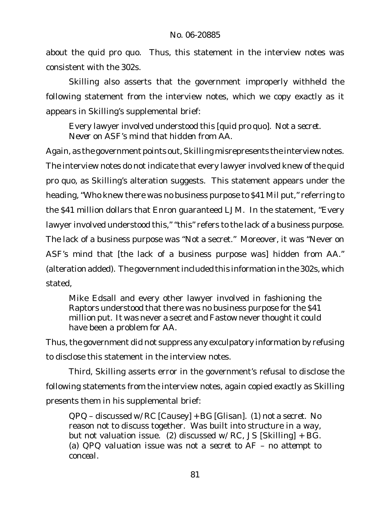about the quid pro quo. Thus, this statement in the interview notes was consistent with the 302s.

Skilling also asserts that the government improperly withheld the following statement from the interview notes, which we copy exactly as it appears in Skilling's supplemental brief:

Every lawyer involved understood this [quid pro quo]. *Not a secret. Never on ASF's mind that hidden from AA.*

Again, as the government points out, Skilling misrepresents the interview notes. The interview notes do not indicate that every lawyer involved knew of the quid pro quo, as Skilling's alteration suggests. This statement appears under the heading, "Who knew there was no business purpose to \$41 Mil put," referring to the \$41 million dollars that Enron guaranteed LJM. In the statement, "Every lawyer involved understood this," "this" refers to the lack of a business purpose. The lack of a business purpose was "Not a secret." Moreover, it was "Never on ASF's mind that [the lack of a business purpose was] hidden from AA." (alteration added). The government included this information in the 302s, which stated,

Mike Edsall and every other lawyer involved in fashioning the Raptors understood that there was no business purpose for the \$41 million put. It was never a secret and Fastow never thought it could have been a problem for AA.

Thus, the government did not suppress any exculpatory information by refusing to disclose this statement in the interview notes.

Third, Skilling asserts error in the government's refusal to disclose the following statements from the interview notes, again copied exactly as Skilling presents them in his supplemental brief:

QPQ – discussed w/ RC [Causey] + BG [Glisan]. (1) *not a secret.* No reason not to discuss together. Was built into structure in a way, but not valuation issue. (2) discussed w/ RC, JS [Skilling] + BG. (a) *QPQ valuation issue was not a secret to AF – no attempt to conceal.*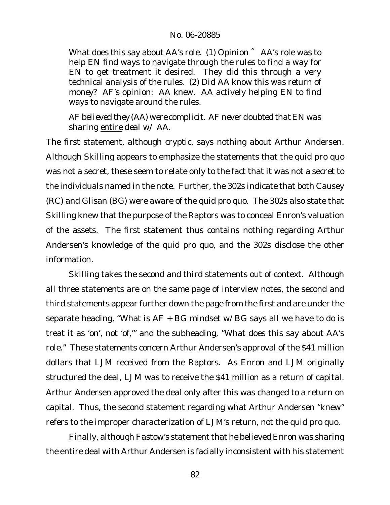#### No. 06-20885

What does this say about AA's role. (1) Opinion  $\ddot{\text{o}}$  AA's role was to help EN find ways to navigate through the rules to find a way for EN to get treatment it desired. They did this through a very technical analysis of the rules. (2) *Did AA know this was return of money? AF's opinion: AA knew.* AA actively helping EN to find ways to navigate around the rules.

*AF believed they (AA) were complicit. AF never doubted that EN was sharing entire deal w/ AA.*

The first statement, although cryptic, says nothing about Arthur Andersen. Although Skilling appears to emphasize the statements that the quid pro quo was not a secret, these seem to relate only to the fact that it was not a secret to the individuals named in the note. Further, the 302s indicate that both Causey (RC) and Glisan (BG) were aware of the quid pro quo. The 302s also state that Skilling knew that the purpose of the Raptors was to conceal Enron's valuation of the assets. The first statement thus contains nothing regarding Arthur Andersen's knowledge of the quid pro quo, and the 302s disclose the other information.

Skilling takes the second and third statements out of context. Although all three statements are on the same page of interview notes, the second and third statements appear further down the page from the first and are under the separate heading, "What is AF + BG mindset w/ BG says all we have to do is treat it as 'on', not 'of,'" and the subheading, "What does this say about AA's role." These statements concern Arthur Andersen's approval of the \$41 million dollars that LJM received from the Raptors. As Enron and LJM originally structured the deal, LJM was to receive the \$41 million as a return *of* capital. Arthur Andersen approved the deal only after this was changed to a return *on* capital. Thus, the second statement regarding what Arthur Andersen "knew" refers to the improper characterization of LJM's return, not the quid pro quo.

Finally, although Fastow's statement that he believed Enron was sharing the entire deal with Arthur Andersen is facially inconsistent with his statement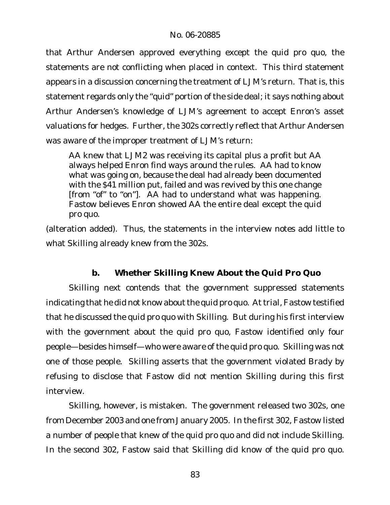that Arthur Andersen approved everything except the quid pro quo, the statements are not conflicting when placed in context. This third statement appears in a discussion concerning the treatment of LJM's return. That is, this statement regards only the "quid" portion of the side deal; it says nothing about Arthur Andersen's knowledge of LJM's agreement to accept Enron's asset valuations for hedges. Further, the 302s correctly reflect that Arthur Andersen was aware of the improper treatment of LJM's return:

AA knew that LJM2 was receiving its capital plus a profit but AA always helped Enron find ways around the rules. AA had to know what was going on, because the deal had already been documented with the \$41 million put, failed and was revived by this one change [from "of" to "on"]. AA had to understand what was happening. Fastow believes Enron showed AA the entire deal except the quid pro quo.

(alteration added). Thus, the statements in the interview notes add little to what Skilling already knew from the 302s.

# **b. Whether Skilling Knew About the Quid Pro Quo**

Skilling next contends that the government suppressed statements indicating that he did not know about the quid pro quo. At trial, Fastow testified that he discussed the quid pro quo with Skilling. But during his first interview with the government about the quid pro quo, Fastow identified only four people—besides himself—who were aware of the quid pro quo. Skilling was not one of those people. Skilling asserts that the government violated *Brady* by refusing to disclose that Fastow did not mention Skilling during this first interview.

Skilling, however, is mistaken. The government released two 302s, one from December 2003 and one from January 2005. In the first 302, Fastow listed a number of people that knew of the quid pro quo and did not include Skilling. In the second 302, Fastow said that Skilling did know of the quid pro quo.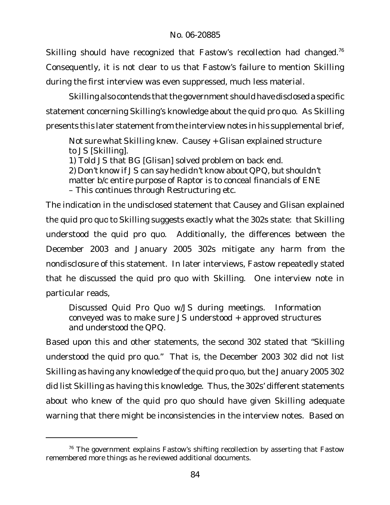Skilling should have recognized that Fastow's recollection had changed.<sup>76</sup> Consequently, it is not clear to us that Fastow's failure to mention Skilling during the first interview was even suppressed, much less material.

Skilling also contends that the government should have disclosed a specific statement concerning Skilling's knowledge about the quid pro quo. As Skilling presents this later statement from the interview notes in his supplemental brief,

*Not sure what Skilling knew.* Causey + Glisan explained structure to JS [Skilling].

1) Told JS that BG [Glisan] solved problem on back end.

2) *Don't know if JS can say he didn't know about QPQ*, but shouldn't matter b/c entire purpose of Raptor is to conceal financials of ENE – This continues through Restructuring etc.

The indication in the undisclosed statement that Causey and Glisan explained the quid pro quo to Skilling suggests exactly what the 302s state: that Skilling understood the quid pro quo. Additionally, the differences between the December 2003 and January 2005 302s mitigate any harm from the nondisclosure of this statement. In later interviews, Fastow repeatedly stated that he discussed the quid pro quo with Skilling. One interview note in particular reads,

Discussed Quid Pro Quo w/JS during meetings. Information conveyed was to make sure JS understood + approved structures and understood the QPQ.

Based upon this and other statements, the second 302 stated that "Skilling understood the quid pro quo." That is, the December 2003 302 did not list Skilling as having any knowledge of the quid pro quo, but the January 2005 302 did list Skilling as having this knowledge. Thus, the 302s' different statements about who knew of the quid pro quo should have given Skilling adequate warning that there might be inconsistencies in the interview notes. Based on

 $76$  The government explains Fastow's shifting recollection by asserting that Fastow remembered more things as he reviewed additional documents.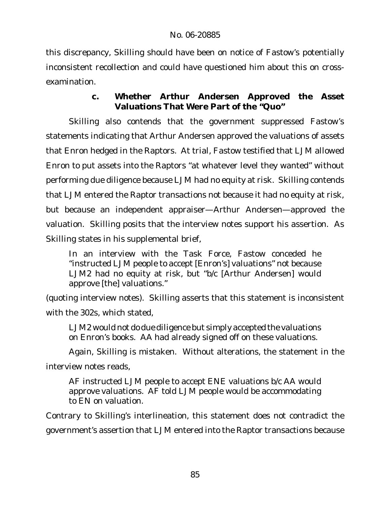this discrepancy, Skilling should have been on notice of Fastow's potentially inconsistent recollection and could have questioned him about this on crossexamination.

> **c. Whether Arthur Andersen Approved the Asset Valuations That Were Part of the "Quo"**

Skilling also contends that the government suppressed Fastow's statements indicating that Arthur Andersen approved the valuations of assets that Enron hedged in the Raptors. At trial, Fastow testified that LJM allowed Enron to put assets into the Raptors "at whatever level they wanted" without performing due diligence because LJM had no equity at risk. Skilling contends that LJM entered the Raptor transactions not because it had no equity at risk, but because an independent appraiser—Arthur Andersen—approved the valuation. Skilling posits that the interview notes support his assertion. As Skilling states in his supplemental brief,

In an interview with the Task Force, Fastow conceded he "instructed LJM people to accept [Enron's] valuations" not because LJM2 had *no* equity at risk, but "b/c [Arthur Andersen] would approve [the] valuations."

(quoting interview notes). Skilling asserts that this statement is inconsistent with the 302s, which stated,

LJM2 would not do due diligence but simply accepted the valuations on Enron's books. AA had already signed off on these valuations.

Again, Skilling is mistaken. Without alterations, the statement in the interview notes reads,

AF instructed LJM people to accept ENE valuations b/c AA would approve valuations. AF told LJM people would be accommodating to EN on valuation.

Contrary to Skilling's interlineation, this statement does not contradict the government's assertion that LJM entered into the Raptor transactions because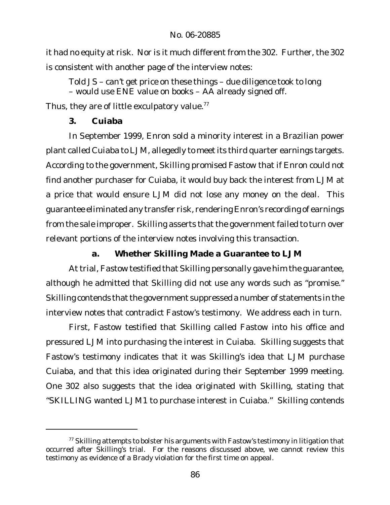it had no equity at risk. Nor is it much different from the 302. Further, the 302 is consistent with another page of the interview notes:

Told JS – can't get price on these things – due diligence took to long – would use ENE value on books – AA already signed off.

Thus, they are of little exculpatory value.<sup>77</sup>

**3. Cuiaba**

In September 1999, Enron sold a minority interest in a Brazilian power plant called Cuiaba to LJM, allegedly to meetits third quarter earnings targets. According to the government, Skilling promised Fastow that if Enron could not find another purchaser for Cuiaba, it would buy back the interest from LJM at a price that would ensure LJM did not lose any money on the deal. This guarantee eliminated any transfer risk, rendering Enron's recording of earnings from the sale improper. Skilling asserts that the government failed to turn over relevant portions of the interview notes involving this transaction.

**a. Whether Skilling Made a Guarantee to LJM**

At trial, Fastow testified that Skilling personally gave him the guarantee, although he admitted that Skilling did not use any words such as "promise." Skilling contends that the government suppressed a number of statements in the interview notes that contradict Fastow's testimony. We address each in turn.

First, Fastow testified that Skilling called Fastow into his office and pressured LJM into purchasing the interest in Cuiaba. Skilling suggests that Fastow's testimony indicates that it was Skilling's idea that LJM purchase Cuiaba, and that this idea originated during their September 1999 meeting. One 302 also suggests that the idea originated with Skilling, stating that "SKILLING wanted LJM1 to purchase interest in Cuiaba." Skilling contends

 $77$  Skilling attempts to bolster his arguments with Fastow's testimony in litigation that occurred after Skilling's trial. For the reasons discussed above, we cannot review this testimony as evidence of a *Brady* violation for the first time on appeal.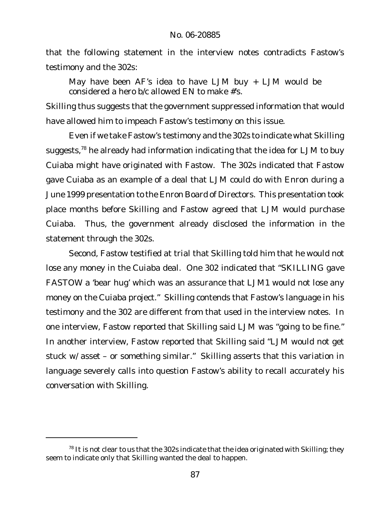that the following statement in the interview notes contradicts Fastow's testimony and the 302s:

May have been AF's idea to have LJM buy + LJM would be considered a hero b/c allowed EN to make #'s.

Skilling thus suggests that the government suppressed information that would have allowed him to impeach Fastow's testimony on this issue.

Even if we take Fastow's testimony and the 302s to indicate what Skilling suggests, $78$  he already had information indicating that the idea for LJM to buy Cuiaba might have originated with Fastow. The 302s indicated that Fastow gave Cuiaba as an example of a deal that LJM could do with Enron during a June 1999 presentation to the Enron Board of Directors. This presentation took place months before Skilling and Fastow agreed that LJM would purchase Cuiaba. Thus, the government already disclosed the information in the statement through the 302s.

Second, Fastow testified at trial that Skilling told him that he would not lose any money in the Cuiaba deal. One 302 indicated that "SKILLING gave FASTOW a 'bear hug' which was an assurance that LJM1 would not lose any money on the Cuiaba project." Skilling contends that Fastow's language in his testimony and the 302 are different from that used in the interview notes. In one interview, Fastow reported that Skilling said LJM was "going to be fine." In another interview, Fastow reported that Skilling said "LJM would not get stuck w/ asset – or something similar." Skilling asserts that this variation in language severely calls into question Fastow's ability to recall accurately his conversation with Skilling.

 $78$  It is not clear to us that the 302s indicate that the idea originated with Skilling; they seem to indicate only that Skilling wanted the deal to happen.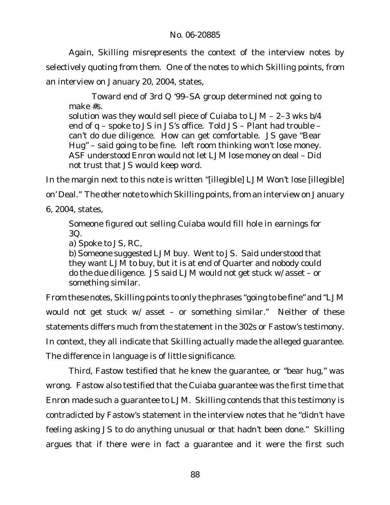Again, Skilling misrepresents the context of the interview notes by selectively quoting from them. One of the notes to which Skilling points, from an interview on January 20, 2004, states,

Toward end of 3rd Q '99–SA group determined not going to make #s.

solution was they would sell piece of Cuiaba to LJM – 2–3 wks b/4 end of q – spoke to JS in JS's office. Told JS – Plant had trouble – can't do due diligence. How can get comfortable. JS gave "Bear Hug" – said going to be fine. left room thinking won't lose money. ASF understood Enron would not let LJM lose money on deal – Did not trust that JS would keep word.

In the margin next to this note is written "[illegible] LJM Won't lose [illegible] on' Deal." The other note to which Skilling points, from an interview on January

6, 2004, states,

Someone figured out selling Cuiaba would fill hole in earnings for 3Q.

a) Spoke to JS, RC,

b) Someone suggested LJM buy. Went to JS. Said understood that they want LJM to buy, but it is at end of Quarter and nobody could do the due diligence. JS said LJM would not get stuck w/ asset – or something similar.

From these notes, Skilling points to only the phrases "going to be fine" and "LJM would not get stuck w/ asset – or something similar." Neither of these statements differs much from the statement in the 302s or Fastow's testimony. In context, they all indicate that Skilling actually made the alleged guarantee. The difference in language is of little significance.

Third, Fastow testified that he knew the guarantee, or "bear hug," was wrong. Fastow also testified that the Cuiaba guarantee was the first time that Enron made such a guarantee to LJM. Skilling contends that this testimony is contradicted by Fastow's statement in the interview notes that he "didn't have feeling asking JS to do anything unusual or that hadn't been done." Skilling argues that if there were in fact a guarantee and it were the first such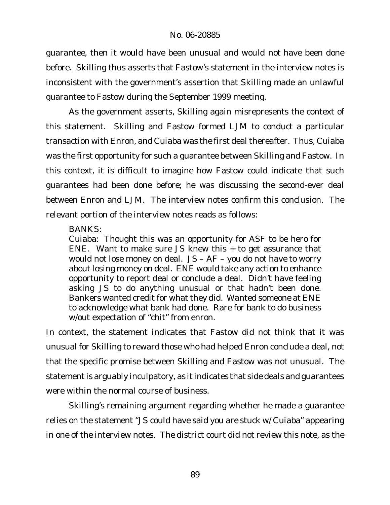guarantee, then it *would* have been unusual and *would not* have been done before. Skilling thus asserts that Fastow's statement in the interview notes is inconsistent with the government's assertion that Skilling made an unlawful guarantee to Fastow during the September 1999 meeting.

As the government asserts, Skilling again misrepresents the context of this statement. Skilling and Fastow formed LJM to conduct a particular transaction with Enron, and Cuiaba was the first deal thereafter. Thus, Cuiaba was the first opportunity for such a guarantee between Skilling and Fastow. In this context, it is difficult to imagine how Fastow could indicate that such guarantees had been done before; he was discussing the second-ever deal between Enron and LJM. The interview notes confirm this conclusion. The relevant portion of the interview notes reads as follows:

### BANKS:

Cuiaba: Thought this was an opportunity for ASF to be hero for ENE. Want to make sure JS knew this + to get assurance that would not lose money on deal. JS – AF – you do not have to worry about losing money on deal. ENE would take any action to enhance opportunity to report deal or conclude a deal. Didn't have feeling asking JS to do anything unusual or that hadn't been done. Bankers wanted credit for what they did. Wanted someone at ENE to acknowledge what bank had done. Rare for bank to do business w/out expectation of "chit" from enron.

In context, the statement indicates that Fastow did not think that it was unusual for Skilling to reward those who had helped Enron conclude a deal, not that the specific promise between Skilling and Fastow was not unusual. The statement is arguably inculpatory, as it indicates that side deals and guarantees were within the normal course of business.

Skilling's remaining argument regarding whether he made a guarantee relies on the statement "JS could have said you are stuck w/ Cuiaba" appearing in one of the interview notes. The district court did not review this note, as the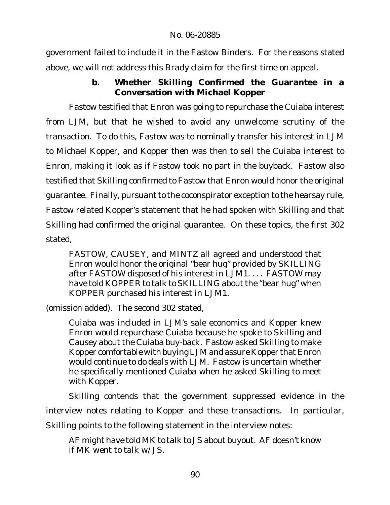government failed to include it in the Fastow Binders. For the reasons stated above, we will not address this *Brady* claim for the first time on appeal.

> **b. Whether Skilling Confirmed the Guarantee in a Conversation with Michael Kopper**

Fastow testified that Enron was going to repurchase the Cuiaba interest from LJM, but that he wished to avoid any unwelcome scrutiny of the transaction. To do this, Fastow was to nominally transfer his interest in LJM to Michael Kopper, and Kopper then was then to sell the Cuiaba interest to Enron, making it look as if Fastow took no part in the buyback. Fastow also testified that Skilling confirmed to Fastow that Enron would honor the original guarantee. Finally, pursuant to the coconspirator exception to the hearsay rule, Fastow related Kopper's statement that he had spoken with Skilling and that Skilling had confirmed the original guarantee. On these topics, the first 302 stated,

FASTOW, CAUSEY, and MINTZ all agreed and understood that Enron would honor the original "bear hug" provided by SKILLING after FASTOW disposed of his interest in LJM1. . . . FASTOW may have told KOPPER to talk to SKILLING about the "bear hug" when KOPPER purchased his interest in LJM1.

(omission added). The second 302 stated,

Cuiaba was included in LJM's sale economics and Kopper knew Enron would repurchase Cuiaba because he spoke to Skilling and Causey about the Cuiaba buy-back. Fastow asked Skilling to make Kopper comfortable with buying LJM and assure Kopper that Enron would continue to do deals with LJM. Fastow is uncertain whether he specifically mentioned Cuiaba when he asked Skilling to meet with Kopper.

Skilling contends that the government suppressed evidence in the interview notes relating to Kopper and these transactions. In particular, Skilling points to the following statement in the interview notes:

AF might have told MK to talk to JS about buyout. AF doesn't know if MK went to talk w/ JS.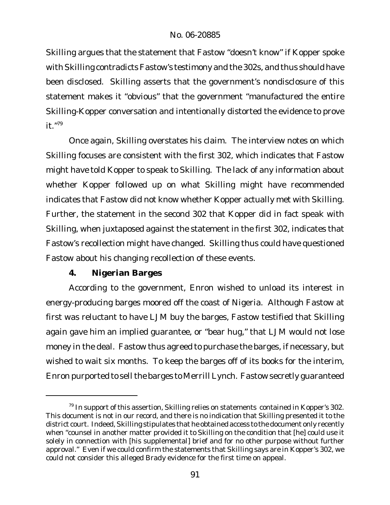Skilling argues that the statement that Fastow "doesn't know" if Kopper spoke with Skilling contradicts Fastow's testimony and the 302s, and thus should have been disclosed. Skilling asserts that the government's nondisclosure of this statement makes it "obvious" that the government "manufactured the entire Skilling-Kopper conversation and intentionally distorted the evidence to prove  $it."^{79}$ 

Once again, Skilling overstates his claim. The interview notes on which Skilling focuses are consistent with the first 302, which indicates that Fastow might have told Kopper to speak to Skilling. The lack of any information about whether Kopper followed up on what Skilling might have recommended indicates that Fastow did not know whether Kopper actually met with Skilling. Further, the statement in the second 302 that Kopper did in fact speak with Skilling, when juxtaposed against the statement in the first 302, indicates that Fastow's recollection might have changed. Skilling thus could have questioned Fastow about his changing recollection of these events.

## **4. Nigerian Barges**

According to the government, Enron wished to unload its interest in energy-producing barges moored off the coast of Nigeria. Although Fastow at first was reluctant to have LJM buy the barges, Fastow testified that Skilling again gave him an implied guarantee, or "bear hug," that LJM would not lose money in the deal. Fastow thus agreed to purchase the barges, if necessary, but wished to wait six months. To keep the barges off of its books for the interim, Enron purported to sell the barges to Merrill Lynch. Fastow secretly guaranteed

 $79$  In support of this assertion, Skilling relies on statements contained in Kopper's 302. This document is not in our record, and there is no indication that Skilling presented it to the district court. Indeed, Skilling stipulates that he obtained access to the document only recently when "counsel in another matter provided it to Skilling on the condition that [he] could use it solely in connection with [his supplemental] brief and for no other purpose without further approval." Even if we could confirm the statements that Skilling says are in Kopper's 302, we could not consider this alleged *Brady* evidence for the first time on appeal.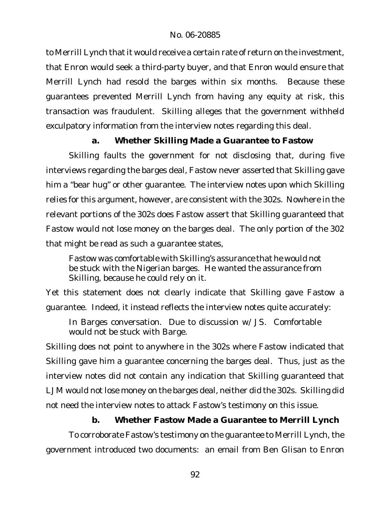to Merrill Lynch that it would receive a certain rate of return on the investment, that Enron would seek a third-party buyer, and that Enron would ensure that Merrill Lynch had resold the barges within six months. Because these guarantees prevented Merrill Lynch from having any equity at risk, this transaction was fraudulent. Skilling alleges that the government withheld exculpatory information from the interview notes regarding this deal.

**a. Whether Skilling Made a Guarantee to Fastow**

Skilling faults the government for not disclosing that, during five interviews regarding the barges deal, Fastow never asserted that Skilling gave him a "bear hug" or other guarantee. The interview notes upon which Skilling relies for this argument, however, are consistent with the 302s. Nowhere in the relevant portions of the 302s does Fastow assert that Skilling guaranteed that Fastow would not lose money on the barges deal. The only portion of the 302 that might be read as such a guarantee states,

Fastow was comfortable with Skilling's assurance that he would not be stuck with the Nigerian barges. He wanted the assurance from Skilling, because he could rely on it.

Yet this statement does not clearly indicate that Skilling gave Fastow a guarantee. Indeed, it instead reflects the interview notes quite accurately:

In Barges conversation. Due to discussion w/ JS. Comfortable would not be stuck with Barge.

Skilling does not point to anywhere in the 302s where Fastow indicated that Skilling gave him a guarantee concerning the barges deal. Thus, just as the interview notes did not contain any indication that Skilling guaranteed that LJM would not lose money on the barges deal, neither did the 302s. Skilling did not need the interview notes to attack Fastow's testimony on this issue.

**b. Whether Fastow Made a Guarantee to Merrill Lynch**

To corroborate Fastow's testimony on the guarantee to Merrill Lynch, the government introduced two documents: an email from Ben Glisan to Enron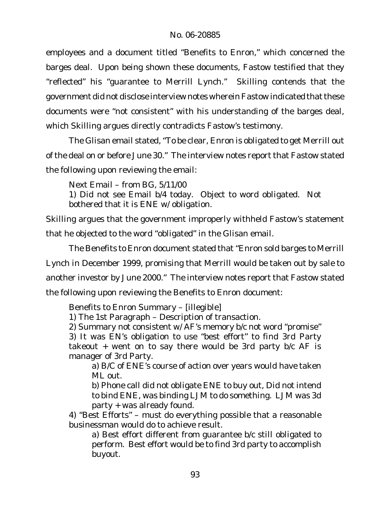employees and a document titled "Benefits to Enron," which concerned the barges deal. Upon being shown these documents, Fastow testified that they "reflected" his "guarantee to Merrill Lynch." Skilling contends that the government did not disclose interview notes wherein Fastow indicated that these documents were "not consistent" with his understanding of the barges deal, which Skilling argues directly contradicts Fastow's testimony.

The Glisan email stated, "To be clear, Enron is obligated to get Merrill out of the deal on or before June 30." The interview notes report that Fastow stated the following upon reviewing the email:

Next Email – from BG, 5/11/00

1) Did not see Email b/4 today. Object to word obligated. Not bothered that it is ENE w/ obligation.

Skilling argues that the government improperly withheld Fastow's statement that he objected to the word "obligated" in the Glisan email.

The Benefits to Enron document stated that "Enron sold barges to Merrill Lynch in December 1999, promising that Merrill would be taken out by sale to another investor by June 2000." The interview notes report that Fastow stated the following upon reviewing the Benefits to Enron document:

Benefits to Enron Summary – [illegible]

1) The 1st Paragraph – Description of transaction.

2) Summary not consistent w/ AF's memory b/c not word "promise"

3) It was EN's obligation to use "best effort" to find 3rd Party takeout  $+$  went on to say there would be 3rd party b/c AF is manager of 3rd Party.

a) B/C of ENE's course of action over years would have taken ML out.

b) Phone call did not obligate ENE to buy out, Did not intend to bind ENE, was binding LJM to do something. LJM was 3d party + was already found.

4) "Best Efforts" – must do everything possible that a reasonable businessman would do to achieve result.

a) Best effort different from guarantee b/c still obligated to perform. Best effort would be to find 3rd party to accomplish buyout.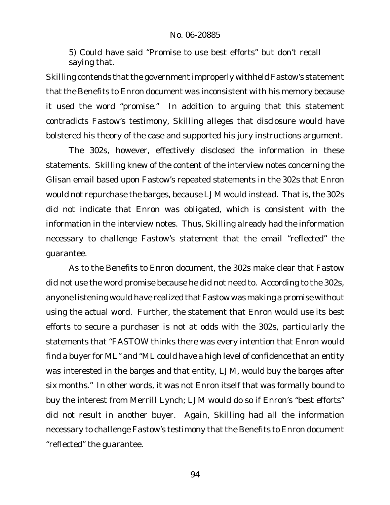5) Could have said "Promise to use best efforts" but don't recall saying that.

Skilling contends that the government improperly withheld Fastow's statement that the Benefits to Enron document was inconsistent with his memory because it used the word "promise." In addition to arguing that this statement contradicts Fastow's testimony, Skilling alleges that disclosure would have bolstered his theory of the case and supported his jury instructions argument.

The 302s, however, effectively disclosed the information in these statements. Skilling knew of the content of the interview notes concerning the Glisan email based upon Fastow's repeated statements in the 302s that Enron would not repurchase the barges, because LJM would instead. That is, the 302s did not indicate that Enron was obligated, which is consistent with the information in the interview notes. Thus, Skilling already had the information necessary to challenge Fastow's statement that the email "reflected" the guarantee.

As to the Benefits to Enron document, the 302s make clear that Fastow did not use the word promise because he did not need to. According to the 302s, anyone listening would have realized that Fastow was making a promise without using the actual word. Further, the statement that Enron would use its best efforts to secure a purchaser is not at odds with the 302s, particularly the statements that "FASTOW thinks there was every intention that Enron would find a buyer for ML" and "ML could have a high level of confidence that an entity was interested in the barges and that entity, LJM, would buy the barges after six months." In other words, it was not Enron itself that was formally bound to buy the interest from Merrill Lynch; LJM would do so if Enron's "best efforts" did not result in another buyer. Again, Skilling had all the information necessary to challenge Fastow's testimony that the Benefits to Enron document "reflected" the guarantee.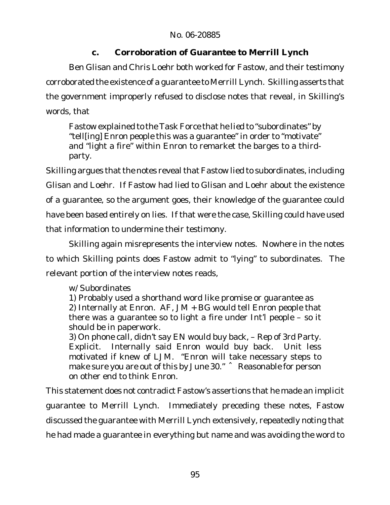**c. Corroboration of Guarantee to Merrill Lynch**

Ben Glisan and Chris Loehr both worked for Fastow, and their testimony corroborated the existence of a guarantee to Merrill Lynch. Skilling asserts that the government improperly refused to disclose notes that reveal, in Skilling's words, that

Fastow explained to the Task Force that he *lied* to "subordinates" by "tell[ing] Enron people this was a guarantee" in order to "motivate" and "light a fire" within Enron to remarket the barges to a thirdparty.

Skilling argues that the notes reveal that Fastow lied to subordinates, including Glisan and Loehr. If Fastow had lied to Glisan and Loehr about the existence of a guarantee, so the argument goes, their knowledge of the guarantee could have been based entirely on lies. If that were the case, Skilling could have used that information to undermine their testimony.

Skilling again misrepresents the interview notes. Nowhere in the notes to which Skilling points does Fastow admit to "lying" to subordinates. The relevant portion of the interview notes reads,

w/ Subordinates

1) Probably used a shorthand word like promise or guarantee as 2) Internally at Enron. AF, JM + BG would tell Enron people that there was a guarantee so to light a fire under Int'l people – so it should be in paperwork.

3) On phone call, didn't say EN would buy back, – Rep of 3rd Party. Explicit. Internally said Enron would buy back. Unit less motivated if knew of LJM. "Enron will take necessary steps to make sure you are out of this by June 30." Ö Reasonable for person on other end to think Enron.

This statement does not contradict Fastow's assertions that he made an implicit guarantee to Merrill Lynch. Immediately preceding these notes, Fastow discussed the guarantee with Merrill Lynch extensively, repeatedly noting that he had made a guarantee in everything but name and was avoiding the word to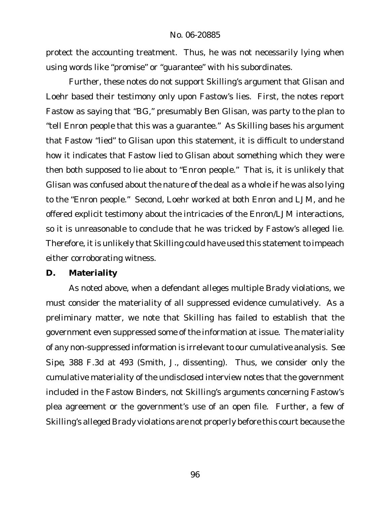protect the accounting treatment. Thus, he was not necessarily lying when using words like "promise" or "guarantee" with his subordinates.

Further, these notes do not support Skilling's argument that Glisan and Loehr based their testimony only upon Fastow's lies. First, the notes report Fastow as saying that "BG," presumably Ben Glisan, was party to the plan to "tell Enron people that this was a guarantee." As Skilling bases his argument that Fastow "lied" to Glisan upon this statement, it is difficult to understand how it indicates that Fastow lied to Glisan about something which they were then both supposed to lie about to "Enron people." That is, it is unlikely that Glisan was confused about the nature of the deal as a whole if he was also lying to the "Enron people." Second, Loehr worked at both Enron and LJM, and he offered explicit testimony about the intricacies of the Enron/LJM interactions, so it is unreasonable to conclude that he was tricked by Fastow's alleged lie. Therefore, it is unlikely that Skilling could have used this statement to impeach either corroborating witness.

**D. Materiality**

As noted above, when a defendant alleges multiple *Brady* violations, we must consider the materiality of all suppressed evidence cumulatively. As a preliminary matter, we note that Skilling has failed to establish that the government even suppressed some of the information at issue. The materiality of any non-suppressed information is irrelevant to our cumulative analysis. *See Sipe*, 388 F.3d at 493 (Smith, J., dissenting). Thus, we consider only the cumulative materiality of the undisclosed interview notes that the government included in the Fastow Binders, not Skilling's arguments concerning Fastow's plea agreement or the government's use of an open file. Further, a few of Skilling's alleged *Brady* violations are not properly before this court because the

96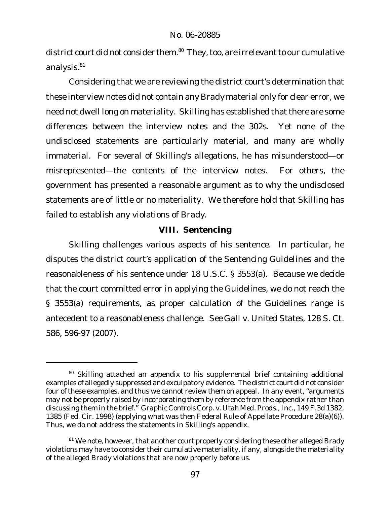district court did not consider them.<sup>80</sup> They, too, are irrelevant to our cumulative analysis.<sup>81</sup>

Considering that we are reviewing the district court's determination that these interview notes did not contain any *Brady* material only for clear error, we need not dwell long on materiality. Skilling has established that there are some differences between the interview notes and the 302s. Yet none of the undisclosed statements are particularly material, and many are wholly immaterial. For several of Skilling's allegations, he has misunderstood—or misrepresented—the contents of the interview notes. For others, the government has presented a reasonable argument as to why the undisclosed statements are of little or no materiality. We therefore hold that Skilling has failed to establish any violations of *Brady*.

### **VIII. Sentencing**

Skilling challenges various aspects of his sentence. In particular, he disputes the district court's application of the Sentencing Guidelines and the reasonableness of his sentence under 18 U.S.C. § 3553(a). Because we decide that the court committed error in applying the Guidelines, we do not reach the § 3553(a) requirements, as proper calculation of the Guidelines range is antecedent to a reasonableness challenge. *See Gall v. United States*, 128 S. Ct. 586, 596-97 (2007).

<sup>&</sup>lt;sup>80</sup> Skilling attached an appendix to his supplemental brief containing additional examples of allegedly suppressed and exculpatory evidence. The district court did not consider four of these examples, and thus we cannot review them on appeal. In any event, "arguments may not be properly raised by incorporating them by reference from the appendix rather than discussing them in the brief." *Graphic Controls Corp. v. Utah Med. Prods., Inc.*, 149 F.3d 1382, 1385 (Fed. Cir. 1998) (applying what was then Federal Rule of Appellate Procedure 28(a)(6)). Thus, we do not address the statements in Skilling's appendix.

<sup>81</sup> We note, however, that another court properly considering these other alleged *Brady* violations may have to consider their cumulative materiality, if any, alongside the materiality of the alleged *Brady* violations that are now properly before us.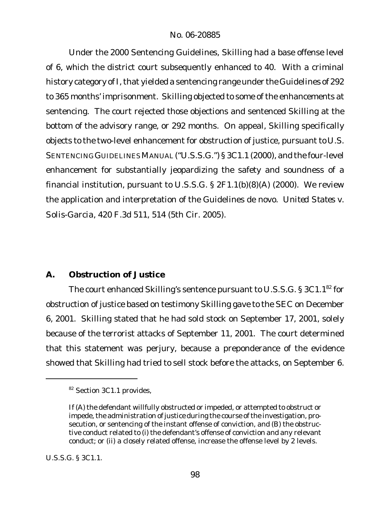Under the 2000 Sentencing Guidelines, Skilling had a base offense level of 6, which the district court subsequently enhanced to 40. With a criminal history category of I, that yielded a sentencing range under the Guidelines of 292 to 365 months' imprisonment. Skilling objected to some of the enhancements at sentencing. The court rejected those objections and sentenced Skilling at the bottom of the advisory range, or 292 months. On appeal, Skilling specifically objects to the two-level enhancement for obstruction of justice, pursuant to U.S. SENTENCINGGUIDELINESMANUAL ("U.S.S.G.") § 3C1.1 (2000), and the four-level enhancement for substantially jeopardizing the safety and soundness of a financial institution, pursuant to U.S.S.G. § 2F1.1(b)(8)(A) (2000). We review the application and interpretation of the Guidelines de novo. *United States v. Solis-Garcia*, 420 F.3d 511, 514 (5th Cir. 2005).

# **A. Obstruction of Justice**

The court enhanced Skilling's sentence pursuant to U.S.S.G. § 3C1.1<sup>82</sup> for obstruction of justice based on testimony Skilling gave to the SEC on December 6, 2001. Skilling stated that he had sold stock on September 17, 2001, solely because of the terrorist attacks of September 11, 2001. The court determined that this statement was perjury, because a preponderance of the evidence showed that Skilling had tried to sell stock before the attacks, on September 6.

<sup>82</sup> Section 3C1.1 provides,

If (A) the defendant willfully obstructed or impeded, or attempted to obstruct or impede, the administration of justice during the course of the investigation, prosecution, or sentencing of the instant offense of conviction, and (B) the obstructive conduct related to (i) the defendant's offense of conviction and any relevant conduct; or (ii) a closely related offense, increase the offense level by 2 levels.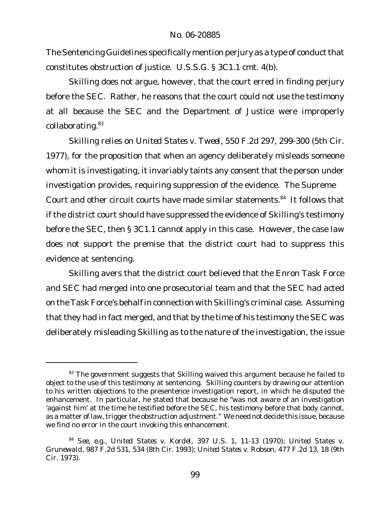The Sentencing Guidelines specifically mention perjury as a type of conduct that constitutes obstruction of justice. U.S.S.G. § 3C1.1 cmt. 4(b).

Skilling does not argue, however, that the court erred in finding perjury before the SEC. Rather, he reasons that the court could not use the testimony at all because the SEC and the Department of Justice were improperly collaborating.<sup>83</sup>

Skilling relies on *United States v. Tweel*, 550 F.2d 297, 299-300 (5th Cir. 1977), for the proposition that when an agency deliberately misleads someone whom it is investigating, it invariably taints any consent that the person under investigation provides, requiring suppression of the evidence. The Supreme Court and other circuit courts have made similar statements.<sup>84</sup> It follows that if the district court should have suppressed the evidence of Skilling's testimony before the SEC, then § 3C1.1 cannot apply in this case. However, the case law does not support the premise that the district court had to suppress this evidence at sentencing.

Skilling avers that the district court believed that the Enron Task Force and SEC had merged into one prosecutorial team and that the SEC had acted on the Task Force's behalf in connection with Skilling's criminal case. Assuming that they had in fact merged, and that by the time of his testimony the SEC was deliberately misleading Skilling as to the nature of the investigation, the issue

<sup>&</sup>lt;sup>83</sup> The government suggests that Skilling waived this argument because he failed to object to the use of this testimony at sentencing. Skilling counters by drawing our attention to his written objections to the presentence investigation report, in which he disputed the enhancement. In particular, he stated that because he "was not aware of an investigation 'against him' at the time he testified before the SEC, his testimony before that body cannot, as a matter of law, trigger the obstruction adjustment." We need not decide this issue, because we find no error in the court invoking this enhancement.

<sup>84</sup> *See, e.g.*, *United States v. Kordel*, 397 U.S. 1, 11-13 (1970); *United States v. Grunewald*, 987 F.2d 531, 534 (8th Cir. 1993); *United States v. Robson*, 477 F.2d 13, 18 (9th Cir. 1973).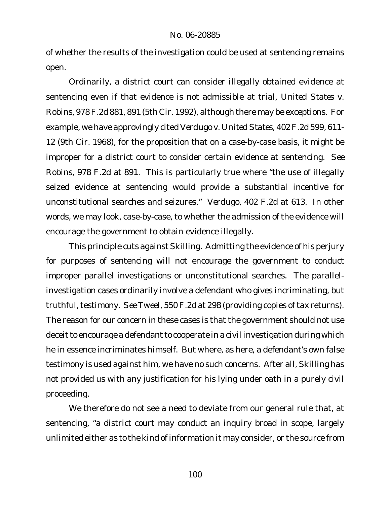of whether the results of the investigation could be used at sentencing remains open.

Ordinarily, a district court can consider illegally obtained evidence at sentencing even if that evidence is not admissible at trial, *United States v. Robins*, 978F.2d 881, 891 (5th Cir. 1992), although there may be exceptions. For example, we have approvingly cited *Verdugo v. United States*, 402F.2d 599, 611- 12 (9th Cir. 1968), for the proposition that on a case-by-case basis, it might be improper for a district court to consider certain evidence at sentencing. *See Robins*, 978 F.2d at 891. This is particularly true where "the use of illegally seized evidence at sentencing would provide a substantial incentive for unconstitutional searches and seizures." *Verdugo*, 402 F.2d at 613. In other words, we may look, case-by-case, to whether the admission of the evidence will encourage the government to obtain evidence illegally.

This principle cuts against Skilling. Admitting the evidence of his perjury for purposes of sentencing will not encourage the government to conduct improper parallel investigations or unconstitutional searches. The parallelinvestigation cases ordinarily involve a defendant who gives incriminating, but truthful, testimony. See Tweel, 550 F.2d at 298 (providing copies of tax returns). The reason for our concern in these cases is that the government should not use deceit to encourage a defendant to cooperate in a civil investigation during which he in essence incriminates himself. But where, as here, a defendant's own false testimony is used against him, we have no such concerns. After all, Skilling has not provided us with any justification for his lying under oath in a purely civil proceeding.

We therefore do not see a need to deviate from our general rule that, at sentencing, "a district court may conduct an inquiry broad in scope, largely unlimited either as to the kind of information it may consider, or the source from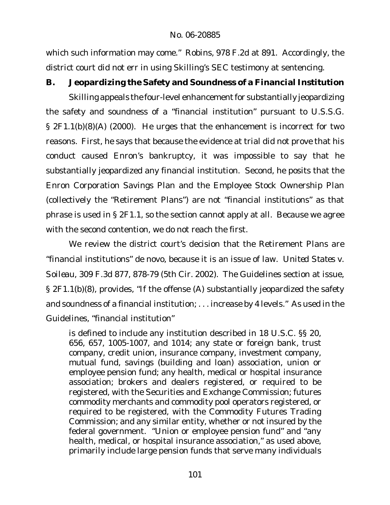which such information may come." *Robins*, 978 F.2d at 891. Accordingly, the district court did not err in using Skilling's SEC testimony at sentencing.

**B. Jeopardizing the Safety and Soundness of a Financial Institution**

Skilling appeals the four-level enhancement for substantially jeopardizing the safety and soundness of a "financial institution" pursuant to U.S.S.G. § 2F1.1(b)(8)(A) (2000). He urges that the enhancement is incorrect for two reasons. First, he says that because the evidence at trial did not prove that his conduct caused Enron's bankruptcy, it was impossible to say that he substantially jeopardized any financial institution. Second, he posits that the Enron Corporation Savings Plan and the Employee Stock Ownership Plan (collectively the "Retirement Plans") are not "financial institutions" as that phrase is used in § 2F1.1, so the section cannot apply at all. Because we agree with the second contention, we do not reach the first.

We review the district court's decision that the Retirement Plans are "financial institutions" de novo, because it is an issue of law. *United States v. Soileau*, 309 F.3d 877, 878-79 (5th Cir. 2002). The Guidelines section at issue, § 2F1.1(b)(8), provides, "If the offense (A) substantially jeopardized the safety and soundness of a financial institution; . . . increase by 4 levels." As used in the Guidelines, "financial institution"

is defined to include any institution described in 18 U.S.C. §§ 20, 656, 657, 1005-1007, and 1014; any state or foreign bank, trust company, credit union, insurance company, investment company, mutual fund, savings (building and loan) association, union or employee pension fund; any health, medical or hospital insurance association; brokers and dealers registered, or required to be registered, with the Securities and Exchange Commission; futures commodity merchants and commodity pool operators registered, or required to be registered, with the Commodity Futures Trading Commission; and any similar entity, whether or not insured by the federal government. "Union or employee pension fund" and "any health, medical, or hospital insurance association," as used above, primarily include large pension funds that serve many individuals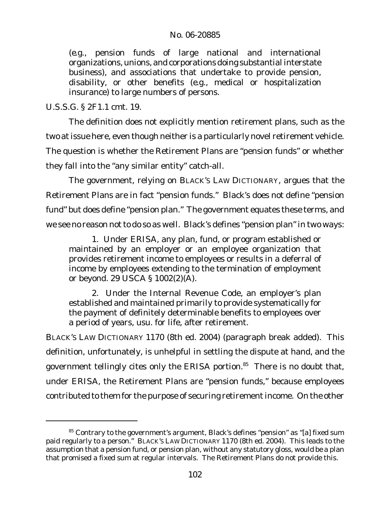### No. 06-20885

(*e.g.*, pension funds of large national and international organizations, unions, and corporations doing substantial interstate business), and associations that undertake to provide pension, disability, or other benefits (*e.g.*, medical or hospitalization insurance) to large numbers of persons.

U.S.S.G. § 2F1.1 cmt. 19.

The definition does not explicitly mention retirement plans, such as the two at issue here, even though neither is a particularly novel retirement vehicle. The question is whether the Retirement Plans are "pension funds" or whether they fall into the "any similar entity" catch-all.

The government, relying on BLACK'S LAW DICTIONARY, argues that the Retirement Plans are in fact "pension funds." Black's does not define "pension fund" but does define "pension plan." The government equates these terms, and we see no reason not to do so as well. Black's defines "pension plan" in two ways:

1. Under ERISA, any plan, fund, or program established or maintained by an employer or an employee organization that provides retirement income to employees or results in a deferral of income by employees extending to the termination of employment or beyond. 29 USCA § 1002(2)(A).

2. Under the Internal Revenue Code, an employer's plan established and maintained primarily to provide systematically for the payment of definitely determinable benefits to employees over a period of years, usu. for life, after retirement.

BLACK'S LAW DICTIONARY 1170 (8th ed. 2004) (paragraph break added). This definition, unfortunately, is unhelpful in settling the dispute at hand, and the government tellingly cites only the ERISA portion.<sup>85</sup> There is no doubt that, under ERISA, the Retirement Plans are "pension funds," because employees contributed to them for the purpose of securing retirementincome. On the other

 $85$  Contrary to the government's argument, Black's defines "pension" as "[a] fixed sum paid regularly to a person." BLACK'S LAW DICTIONARY 1170 (8th ed. 2004). This leads to the assumption that a pension fund, or pension plan, without any statutory gloss, would be a plan that promised a fixed sum at regular intervals. The Retirement Plans do not provide this.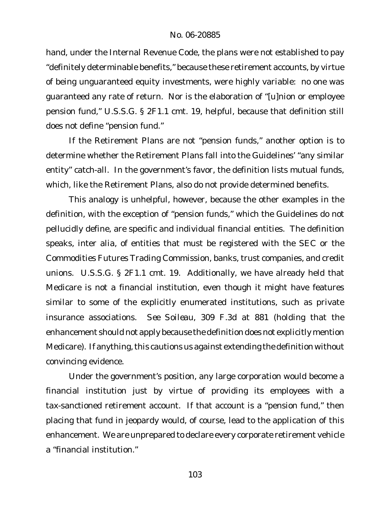hand, under the Internal Revenue Code, the plans were not established to pay "definitely determinable benefits," because these retirement accounts, by virtue of being unguaranteed equity investments, were highly variable: no one was guaranteed any rate of return. Nor is the elaboration of "[u]nion or employee pension fund," U.S.S.G. § 2F1.1 cmt. 19, helpful, because that definition still does not define "pension fund."

If the Retirement Plans are not "pension funds," another option is to determine whether the Retirement Plans fall into the Guidelines' "any similar entity" catch-all. In the government's favor, the definition lists mutual funds, which, like the Retirement Plans, also do not provide determined benefits.

This analogy is unhelpful, however, because the other examples in the definition, with the exception of "pension funds," which the Guidelines do not pellucidly define, are specific and individual financial entities. The definition speaks, inter alia, of entities that must be registered with the SEC or the Commodities Futures Trading Commission, banks, trust companies, and credit unions. U.S.S.G. § 2F1.1 cmt. 19. Additionally, we have already held that Medicare is not a financial institution, even though it might have features similar to some of the explicitly enumerated institutions, such as private insurance associations. *See Soileau*, 309 F.3d at 881 (holding that the enhancement should not apply because the definition does not explicitly mention Medicare). If anything, this cautions us against extending the definition without convincing evidence.

Under the government's position, any large corporation would become a financial institution just by virtue of providing its employees with a tax-sanctioned retirement account. If that account is a "pension fund," then placing that fund in jeopardy would, of course, lead to the application of this enhancement. We are unprepared to declare every corporate retirement vehicle a "financial institution."

103